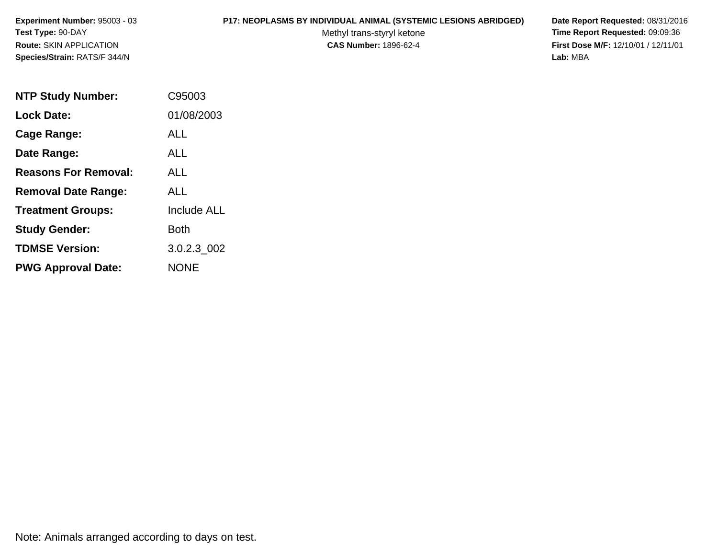### **P17: NEOPLASMS BY INDIVIDUAL ANIMAL (SYSTEMIC LESIONS ABRIDGED) Date Report Requested:** 08/31/2016

Methyl trans-styryl ketone<br>CAS Number: 1896-62-4

 **Time Report Requested:** 09:09:36 **First Dose M/F:** 12/10/01 / 12/11/01<br>Lab: MBA **Lab:** MBA

| <b>NTP Study Number:</b>    | C95003             |
|-----------------------------|--------------------|
| <b>Lock Date:</b>           | 01/08/2003         |
| Cage Range:                 | ALL                |
| Date Range:                 | ALL.               |
| <b>Reasons For Removal:</b> | ALL.               |
| <b>Removal Date Range:</b>  | ALL.               |
| <b>Treatment Groups:</b>    | <b>Include ALL</b> |
| <b>Study Gender:</b>        | Both               |
| <b>TDMSE Version:</b>       | 3.0.2.3 002        |
| <b>PWG Approval Date:</b>   | <b>NONE</b>        |

Note: Animals arranged according to days on test.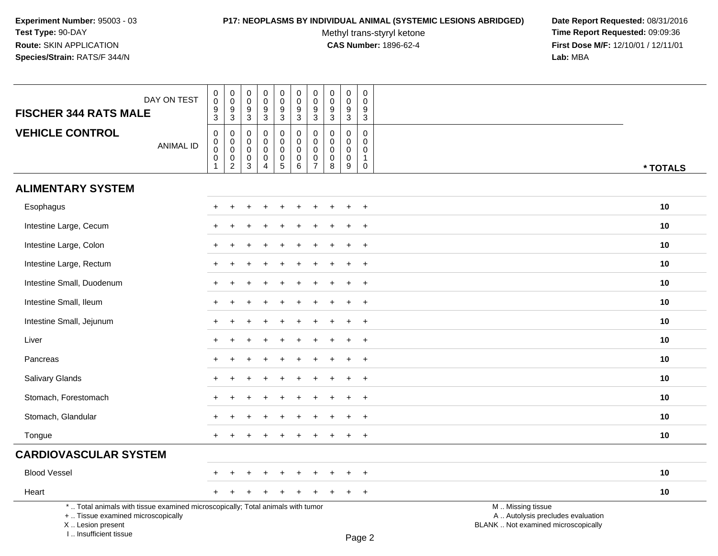# **P17: NEOPLASMS BY INDIVIDUAL ANIMAL (SYSTEMIC LESIONS ABRIDGED) Date Report Requested:** 08/31/2016

Methyl trans-styryl ketone<br>CAS Number: 1896-62-4

| DAY ON TEST                                                                                                                                                         | $\mathsf 0$<br>$\mathsf{O}\xspace$                                      | $\pmb{0}$<br>$\overline{0}$                                                   | $\boldsymbol{0}$<br>$\mathbf 0$<br>$9\,$                              | $\mathsf 0$<br>$\mathbf 0$<br>9                                       | $\pmb{0}$<br>$\overline{0}$                          | $\pmb{0}$<br>$\mathsf{O}\xspace$<br>9                         | $\pmb{0}$<br>$\pmb{0}$<br>9                                | $\pmb{0}$<br>$\mathbf 0$                                                   | $\pmb{0}$<br>$\mathbf 0$<br>$9\,$                            | $\pmb{0}$<br>$\mathbf 0$<br>$9\,$                                        |                                                                                               |          |
|---------------------------------------------------------------------------------------------------------------------------------------------------------------------|-------------------------------------------------------------------------|-------------------------------------------------------------------------------|-----------------------------------------------------------------------|-----------------------------------------------------------------------|------------------------------------------------------|---------------------------------------------------------------|------------------------------------------------------------|----------------------------------------------------------------------------|--------------------------------------------------------------|--------------------------------------------------------------------------|-----------------------------------------------------------------------------------------------|----------|
| <b>FISCHER 344 RATS MALE</b>                                                                                                                                        | $\frac{9}{3}$                                                           | $\frac{9}{3}$                                                                 | $\mathsf 3$                                                           | $\mathbf 3$                                                           | $\frac{9}{3}$                                        | $\overline{3}$                                                | $\overline{3}$                                             | $\frac{9}{3}$                                                              | $\mathbf{3}$                                                 | $\mathbf{3}$                                                             |                                                                                               |          |
| <b>VEHICLE CONTROL</b><br><b>ANIMAL ID</b>                                                                                                                          | $\mathbf 0$<br>$\mathbf 0$<br>$\mathbf 0$<br>$\mathbf 0$<br>$\mathbf 1$ | $\boldsymbol{0}$<br>$\mathbf 0$<br>$\pmb{0}$<br>$\mathbf 0$<br>$\overline{2}$ | $\mathbf 0$<br>$\mathbf 0$<br>$\mathbf 0$<br>$\pmb{0}$<br>$\mathsf 3$ | $\mathbf 0$<br>$\Omega$<br>$\mathbf 0$<br>$\pmb{0}$<br>$\overline{4}$ | 0<br>0<br>0<br>$\begin{array}{c} 0 \\ 5 \end{array}$ | $\mathbf 0$<br>$\mathbf 0$<br>$\mathbf 0$<br>$\mathbf 0$<br>6 | $\mathbf 0$<br>$\mathbf 0$<br>$\mathbf 0$<br>$\frac{0}{7}$ | $\mathbf 0$<br>$\mathbf 0$<br>$\mathbf 0$<br>$\mathbf 0$<br>$\overline{8}$ | $\mathbf 0$<br>$\mathbf{0}$<br>$\mathbf 0$<br>$\pmb{0}$<br>9 | $\mathbf 0$<br>$\mathbf 0$<br>$\mathbf 0$<br>$\mathbf{1}$<br>$\mathbf 0$ |                                                                                               | * TOTALS |
| <b>ALIMENTARY SYSTEM</b>                                                                                                                                            |                                                                         |                                                                               |                                                                       |                                                                       |                                                      |                                                               |                                                            |                                                                            |                                                              |                                                                          |                                                                                               |          |
| Esophagus                                                                                                                                                           |                                                                         |                                                                               |                                                                       |                                                                       |                                                      |                                                               |                                                            |                                                                            |                                                              | $+$                                                                      |                                                                                               | 10       |
| Intestine Large, Cecum                                                                                                                                              |                                                                         |                                                                               |                                                                       |                                                                       |                                                      |                                                               |                                                            |                                                                            |                                                              | $\ddot{}$                                                                |                                                                                               | 10       |
| Intestine Large, Colon                                                                                                                                              |                                                                         |                                                                               |                                                                       |                                                                       |                                                      |                                                               |                                                            |                                                                            |                                                              | $\ddot{}$                                                                |                                                                                               | 10       |
| Intestine Large, Rectum                                                                                                                                             |                                                                         |                                                                               |                                                                       |                                                                       |                                                      |                                                               |                                                            |                                                                            |                                                              | $\overline{+}$                                                           |                                                                                               | 10       |
| Intestine Small, Duodenum                                                                                                                                           | $\pm$                                                                   |                                                                               |                                                                       |                                                                       |                                                      |                                                               |                                                            |                                                                            | ÷                                                            | $+$                                                                      |                                                                                               | 10       |
| Intestine Small, Ileum                                                                                                                                              | +                                                                       |                                                                               |                                                                       |                                                                       |                                                      |                                                               |                                                            |                                                                            |                                                              | $+$                                                                      |                                                                                               | 10       |
| Intestine Small, Jejunum                                                                                                                                            |                                                                         |                                                                               |                                                                       |                                                                       |                                                      |                                                               |                                                            |                                                                            |                                                              | $+$                                                                      |                                                                                               | 10       |
| Liver                                                                                                                                                               |                                                                         |                                                                               |                                                                       |                                                                       |                                                      |                                                               |                                                            |                                                                            |                                                              | $\ddot{}$                                                                |                                                                                               | 10       |
| Pancreas                                                                                                                                                            |                                                                         |                                                                               |                                                                       |                                                                       |                                                      |                                                               |                                                            |                                                                            |                                                              | $\overline{+}$                                                           |                                                                                               | 10       |
| Salivary Glands                                                                                                                                                     |                                                                         |                                                                               |                                                                       |                                                                       |                                                      |                                                               |                                                            |                                                                            |                                                              | $\overline{+}$                                                           |                                                                                               | 10       |
| Stomach, Forestomach                                                                                                                                                |                                                                         |                                                                               |                                                                       |                                                                       |                                                      |                                                               |                                                            |                                                                            |                                                              | $+$                                                                      |                                                                                               | 10       |
| Stomach, Glandular                                                                                                                                                  | +                                                                       |                                                                               |                                                                       |                                                                       |                                                      |                                                               |                                                            |                                                                            | $\pm$                                                        | $+$                                                                      |                                                                                               | 10       |
| Tongue                                                                                                                                                              |                                                                         |                                                                               |                                                                       |                                                                       |                                                      |                                                               |                                                            |                                                                            | $\pm$                                                        | $+$                                                                      |                                                                                               | 10       |
| <b>CARDIOVASCULAR SYSTEM</b>                                                                                                                                        |                                                                         |                                                                               |                                                                       |                                                                       |                                                      |                                                               |                                                            |                                                                            |                                                              |                                                                          |                                                                                               |          |
| <b>Blood Vessel</b>                                                                                                                                                 |                                                                         |                                                                               |                                                                       |                                                                       |                                                      |                                                               |                                                            |                                                                            |                                                              | $\ddot{}$                                                                |                                                                                               | 10       |
| Heart                                                                                                                                                               | $+$                                                                     |                                                                               |                                                                       |                                                                       |                                                      |                                                               |                                                            |                                                                            | $\ddot{}$                                                    | $+$                                                                      |                                                                                               | 10       |
| *  Total animals with tissue examined microscopically; Total animals with tumor<br>+  Tissue examined microscopically<br>X  Lesion present<br>I Insufficient tissue |                                                                         |                                                                               |                                                                       |                                                                       |                                                      |                                                               |                                                            |                                                                            |                                                              | $D_{200}$                                                                | M  Missing tissue<br>A  Autolysis precludes evaluation<br>BLANK  Not examined microscopically |          |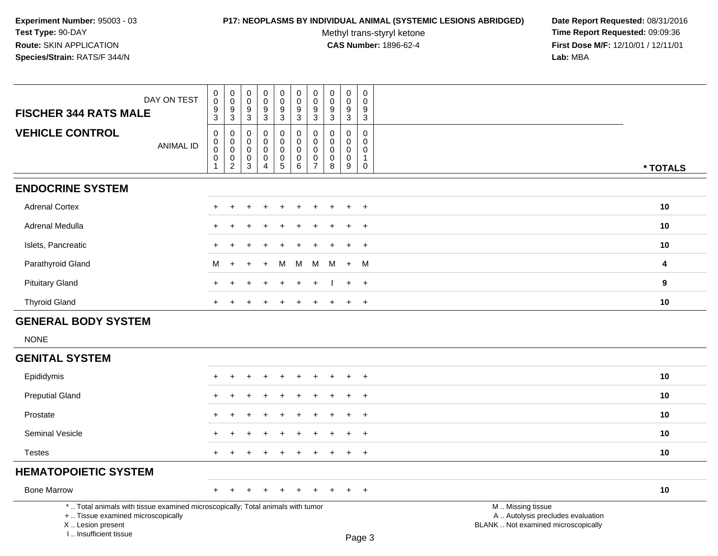### **P17: NEOPLASMS BY INDIVIDUAL ANIMAL (SYSTEMIC LESIONS ABRIDGED) Date Report Requested:** 08/31/2016

Methyl trans-styryl ketone<br>CAS Number: 1896-62-4

 **Time Report Requested:** 09:09:36 **First Dose M/F:** 12/10/01 / 12/11/01<br>Lab: MBA **Lab:** MBA

| DAY ON TEST<br><b>FISCHER 344 RATS MALE</b>                                                                                                | $\pmb{0}$<br>$\ddot{\mathbf{0}}$<br>$\boldsymbol{9}$<br>$\overline{3}$       | $\begin{smallmatrix}0\0\0\end{smallmatrix}$<br>$\boldsymbol{9}$<br>$\overline{3}$ | $\pmb{0}$<br>$\overline{0}$<br>$\boldsymbol{9}$<br>$\overline{3}$   | $\mathbf 0$<br>$\mathbf 0$<br>9<br>$\overline{3}$                | $\pmb{0}$<br>$\overline{0}$<br>$\boldsymbol{9}$<br>$\overline{3}$        | $\mathbf 0$<br>$\ddot{\mathbf{0}}$<br>$\boldsymbol{9}$<br>$\overline{3}$ | $\pmb{0}$<br>$\pmb{0}$<br>$9$<br>$\mathbf{3}$                              | 0<br>$\mathbf 0$<br>9<br>$\mathbf{3}$     | $\mathbf 0$<br>$\mathsf{O}\xspace$<br>$\boldsymbol{9}$<br>$\mathbf{3}$ | $\pmb{0}$<br>$\mathbf 0$<br>9<br>$\mathfrak{S}$                          |                                                                                               |          |
|--------------------------------------------------------------------------------------------------------------------------------------------|------------------------------------------------------------------------------|-----------------------------------------------------------------------------------|---------------------------------------------------------------------|------------------------------------------------------------------|--------------------------------------------------------------------------|--------------------------------------------------------------------------|----------------------------------------------------------------------------|-------------------------------------------|------------------------------------------------------------------------|--------------------------------------------------------------------------|-----------------------------------------------------------------------------------------------|----------|
| <b>VEHICLE CONTROL</b><br><b>ANIMAL ID</b>                                                                                                 | $\mathbf 0$<br>$\pmb{0}$<br>$\ddot{\mathbf{0}}$<br>$\pmb{0}$<br>$\mathbf{1}$ | 0<br>$\mathbf 0$<br>$\ddot{\mathbf{0}}$<br>$\mathbf 0$<br>$\overline{2}$          | $\mathbf 0$<br>$\mathsf{O}\xspace$<br>$\mathbf 0$<br>$_{3}^{\rm 0}$ | 0<br>$\mathbf 0$<br>$\mathbf 0$<br>$\mathbf 0$<br>$\overline{4}$ | $\mathbf 0$<br>$\mathbf 0$<br>$\mathbf 0$<br>$\pmb{0}$<br>$\overline{5}$ | 0<br>$\mathsf{O}$<br>$\mathbf 0$<br>$\mathbf 0$<br>6                     | $\mathbf 0$<br>$\mathbf 0$<br>$\mathbf 0$<br>$\mathbf 0$<br>$\overline{7}$ | 0<br>$\mathbf 0$<br>$\mathbf 0$<br>0<br>8 | $\mathbf 0$<br>0<br>0<br>$\mathsf{O}\xspace$<br>$9\,$                  | $\mathbf 0$<br>$\mathbf 0$<br>$\mathbf 0$<br>$\mathbf{1}$<br>$\mathbf 0$ |                                                                                               | * TOTALS |
| <b>ENDOCRINE SYSTEM</b>                                                                                                                    |                                                                              |                                                                                   |                                                                     |                                                                  |                                                                          |                                                                          |                                                                            |                                           |                                                                        |                                                                          |                                                                                               |          |
| <b>Adrenal Cortex</b>                                                                                                                      |                                                                              |                                                                                   |                                                                     |                                                                  |                                                                          |                                                                          |                                                                            |                                           |                                                                        | $\ddot{}$                                                                |                                                                                               | 10       |
| Adrenal Medulla                                                                                                                            |                                                                              |                                                                                   |                                                                     |                                                                  |                                                                          |                                                                          |                                                                            |                                           |                                                                        | $\overline{1}$                                                           |                                                                                               | 10       |
| Islets, Pancreatic                                                                                                                         | $\ddot{}$                                                                    |                                                                                   |                                                                     |                                                                  |                                                                          |                                                                          |                                                                            |                                           |                                                                        | $\ddot{}$                                                                |                                                                                               | 10       |
| Parathyroid Gland                                                                                                                          | М                                                                            | $\ddot{}$                                                                         | ÷                                                                   | $\ddot{}$                                                        | M                                                                        | M                                                                        | M                                                                          | M                                         | $+$                                                                    | - M                                                                      |                                                                                               | 4        |
| <b>Pituitary Gland</b>                                                                                                                     |                                                                              |                                                                                   |                                                                     |                                                                  |                                                                          | $\ddot{}$                                                                |                                                                            |                                           |                                                                        | $+$                                                                      |                                                                                               | 9        |
| <b>Thyroid Gland</b>                                                                                                                       | $\ddot{}$                                                                    |                                                                                   |                                                                     |                                                                  |                                                                          | $\ddot{}$                                                                |                                                                            |                                           | $+$                                                                    | $+$                                                                      |                                                                                               | 10       |
| <b>GENERAL BODY SYSTEM</b>                                                                                                                 |                                                                              |                                                                                   |                                                                     |                                                                  |                                                                          |                                                                          |                                                                            |                                           |                                                                        |                                                                          |                                                                                               |          |
| <b>NONE</b>                                                                                                                                |                                                                              |                                                                                   |                                                                     |                                                                  |                                                                          |                                                                          |                                                                            |                                           |                                                                        |                                                                          |                                                                                               |          |
| <b>GENITAL SYSTEM</b>                                                                                                                      |                                                                              |                                                                                   |                                                                     |                                                                  |                                                                          |                                                                          |                                                                            |                                           |                                                                        |                                                                          |                                                                                               |          |
| Epididymis                                                                                                                                 |                                                                              |                                                                                   |                                                                     |                                                                  |                                                                          |                                                                          |                                                                            |                                           |                                                                        | $\overline{1}$                                                           |                                                                                               | 10       |
| <b>Preputial Gland</b>                                                                                                                     |                                                                              |                                                                                   |                                                                     |                                                                  |                                                                          |                                                                          |                                                                            |                                           |                                                                        | $\ddot{}$                                                                |                                                                                               | 10       |
| Prostate                                                                                                                                   |                                                                              |                                                                                   |                                                                     |                                                                  |                                                                          |                                                                          |                                                                            |                                           |                                                                        | $\ddot{}$                                                                |                                                                                               | 10       |
| Seminal Vesicle                                                                                                                            |                                                                              |                                                                                   |                                                                     |                                                                  |                                                                          |                                                                          |                                                                            |                                           |                                                                        | $\ddot{}$                                                                |                                                                                               | 10       |
| <b>Testes</b>                                                                                                                              |                                                                              |                                                                                   |                                                                     |                                                                  |                                                                          |                                                                          |                                                                            |                                           |                                                                        | $\ddot{}$                                                                |                                                                                               | 10       |
| <b>HEMATOPOIETIC SYSTEM</b>                                                                                                                |                                                                              |                                                                                   |                                                                     |                                                                  |                                                                          |                                                                          |                                                                            |                                           |                                                                        |                                                                          |                                                                                               |          |
| <b>Bone Marrow</b>                                                                                                                         | $\ddot{}$                                                                    | $\pm$                                                                             |                                                                     |                                                                  |                                                                          | $\pm$                                                                    |                                                                            |                                           |                                                                        | $+$                                                                      |                                                                                               | 10       |
| *  Total animals with tissue examined microscopically; Total animals with tumor<br>+  Tissue examined microscopically<br>X  Lesion present |                                                                              |                                                                                   |                                                                     |                                                                  |                                                                          |                                                                          |                                                                            |                                           |                                                                        |                                                                          | M  Missing tissue<br>A  Autolysis precludes evaluation<br>BLANK  Not examined microscopically |          |

I .. Insufficient tissue

Page 3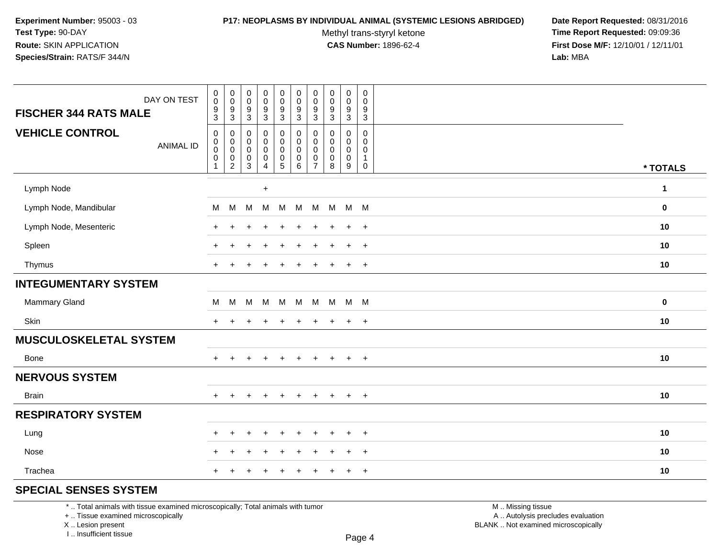### **P17: NEOPLASMS BY INDIVIDUAL ANIMAL (SYSTEMIC LESIONS ABRIDGED) Date Report Requested:** 08/31/2016

Methyl trans-styryl ketone<br>CAS Number: 1896-62-4

 **Time Report Requested:** 09:09:36 **First Dose M/F:** 12/10/01 / 12/11/01<br>**Lab:** MBA **Lab:** MBA

| DAY ON TEST<br><b>FISCHER 344 RATS MALE</b> | $_{\rm 0}^{\rm 0}$<br>$\frac{9}{3}$ | $\pmb{0}$<br>$\pmb{0}$<br>9 | $\mathbf 0$<br>$\mathsf{O}$<br>9 | $\pmb{0}$<br>$\pmb{0}$<br>$\frac{9}{3}$ | $\pmb{0}$<br>$\mathsf{O}\xspace$<br>$\frac{9}{3}$ | $\pmb{0}$<br>$\pmb{0}$<br>$\boldsymbol{9}$ | $\pmb{0}$<br>$\pmb{0}$<br>9 | $\pmb{0}$<br>$\mathbf 0$<br>9 | $\pmb{0}$<br>$\mathbf 0$<br>9 | $\,0\,$<br>$\mathbf 0$<br>$\boldsymbol{9}$ |                  |
|---------------------------------------------|-------------------------------------|-----------------------------|----------------------------------|-----------------------------------------|---------------------------------------------------|--------------------------------------------|-----------------------------|-------------------------------|-------------------------------|--------------------------------------------|------------------|
|                                             |                                     | 3                           | $\mathbf{3}$                     |                                         |                                                   | $\mathbf{3}$                               | 3                           | $\mathbf{3}$                  | 3                             | $\mathbf{3}$                               |                  |
| <b>VEHICLE CONTROL</b><br><b>ANIMAL ID</b>  | $\pmb{0}$<br>$\pmb{0}$              | 0<br>0                      | 0<br>$\mathbf 0$                 | 0<br>0                                  | $\pmb{0}$<br>$\mathbf 0$                          | 0<br>$\pmb{0}$                             | 0<br>$\mathbf 0$            | $\mathbf 0$<br>$\mathbf 0$    | 0<br>$\mathbf 0$              | $\mathbf 0$<br>$\Omega$                    |                  |
|                                             | $\boldsymbol{0}$<br>$\pmb{0}$       | 0<br>$\pmb{0}$              | $\mathbf 0$<br>$\boldsymbol{0}$  | 0<br>$\pmb{0}$                          | $\mathsf{O}\xspace$<br>$\frac{0}{5}$              | 0<br>$\pmb{0}$                             | $\mathbf 0$<br>$\pmb{0}$    | $\mathbf 0$<br>$\pmb{0}$      | $\mathbf 0$<br>$\pmb{0}$      | 0<br>$\mathbf{1}$                          |                  |
|                                             | $\overline{1}$                      | $\overline{c}$              | 3                                | 4                                       |                                                   | $\,6\,$                                    | $\overline{7}$              | 8                             | 9                             | $\mathbf 0$                                | * TOTALS         |
| Lymph Node                                  |                                     |                             |                                  | $\ddot{}$                               |                                                   |                                            |                             |                               |                               |                                            | $\mathbf 1$      |
| Lymph Node, Mandibular                      | M                                   | M                           | M                                | M                                       | M                                                 | M                                          | M                           | M                             |                               | $M$ M                                      | $\mathbf 0$      |
| Lymph Node, Mesenteric                      | $\pm$                               | $\div$                      |                                  |                                         |                                                   |                                            |                             |                               | $\ddot{}$                     | $+$                                        | 10               |
| Spleen                                      | $\pm$                               | ÷                           |                                  |                                         |                                                   |                                            |                             |                               | $\ddot{}$                     | $\overline{+}$                             | 10               |
| Thymus                                      | $\pm$                               |                             |                                  |                                         |                                                   |                                            |                             |                               | $\ddot{}$                     | $+$                                        | 10               |
| <b>INTEGUMENTARY SYSTEM</b>                 |                                     |                             |                                  |                                         |                                                   |                                            |                             |                               |                               |                                            |                  |
| Mammary Gland                               | M                                   | M                           | M                                | M                                       | M                                                 | M                                          | M                           | M M M                         |                               |                                            | $\boldsymbol{0}$ |
| Skin                                        | $+$                                 | $\ddot{}$                   |                                  |                                         | ÷                                                 | $\div$                                     | +                           | $\div$                        | $\pm$                         | $+$                                        | 10               |
| MUSCULOSKELETAL SYSTEM                      |                                     |                             |                                  |                                         |                                                   |                                            |                             |                               |                               |                                            |                  |
| <b>Bone</b>                                 | $+$                                 | $\ddot{}$                   | $\ddot{}$                        | $\ddot{}$                               | $+$                                               | $+$                                        | $+$                         | $+$                           | $+$                           | $+$                                        | 10               |
| <b>NERVOUS SYSTEM</b>                       |                                     |                             |                                  |                                         |                                                   |                                            |                             |                               |                               |                                            |                  |
| <b>Brain</b>                                | $+$                                 | $\ddot{}$                   |                                  | $\ddot{}$                               | $\ddot{}$                                         | $\ddot{}$                                  | $\ddot{}$                   | $+$                           | $+$                           | $+$                                        | $10$             |
| <b>RESPIRATORY SYSTEM</b>                   |                                     |                             |                                  |                                         |                                                   |                                            |                             |                               |                               |                                            |                  |
| Lung                                        | $\ddot{}$                           | $\ddot{}$                   | ÷.                               | $\div$                                  | $\ddot{}$                                         | ÷                                          |                             | $\div$                        | $\ddot{}$                     | $+$                                        | 10               |
| Nose                                        |                                     |                             |                                  |                                         |                                                   |                                            |                             |                               | ÷                             | $\overline{+}$                             | 10               |
| Trachea                                     | $\div$                              |                             |                                  |                                         |                                                   |                                            |                             |                               | $\ddot{}$                     | $+$                                        | 10               |
| COFOIAL CEMOFO OVOTEM                       |                                     |                             |                                  |                                         |                                                   |                                            |                             |                               |                               |                                            |                  |

# **SPECIAL SENSES SYSTEM**

\* .. Total animals with tissue examined microscopically; Total animals with tumor

+ .. Tissue examined microscopically

X .. Lesion present

I .. Insufficient tissue

 M .. Missing tissuey the contract of the contract of the contract of the contract of the contract of  $\mathsf A$  . Autolysis precludes evaluation Lesion present BLANK .. Not examined microscopically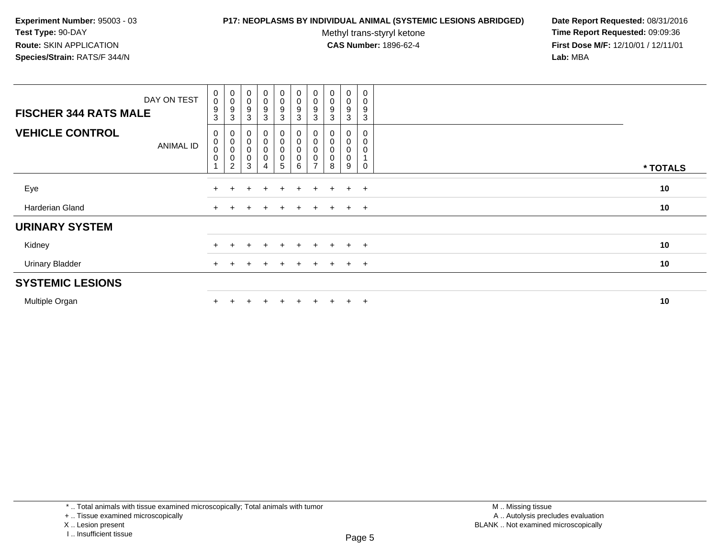### **P17: NEOPLASMS BY INDIVIDUAL ANIMAL (SYSTEMIC LESIONS ABRIDGED) Date Report Requested:** 08/31/2016

Methyl trans-styryl ketone<br>CAS Number: 1896-62-4

| DAY ON TEST<br><b>FISCHER 344 RATS MALE</b> | $\begin{smallmatrix} 0\\0 \end{smallmatrix}$<br>$9\,$<br>3 | $_{\rm 0}^{\rm 0}$<br>$\boldsymbol{9}$<br>3                        | $\begin{smallmatrix}0\\0\end{smallmatrix}$<br>9<br>3 | $\begin{smallmatrix}0\0\0\end{smallmatrix}$<br>9<br>3 | $_{\rm 0}^{\rm 0}$<br>$\boldsymbol{9}$<br>3       | $\begin{smallmatrix} 0\\0 \end{smallmatrix}$<br>$\boldsymbol{9}$<br>3 | $_{\rm 0}^{\rm 0}$<br>9<br>3 | $\begin{smallmatrix}0\\0\end{smallmatrix}$<br>9<br>3 | 0<br>0<br>9<br>3 | $\pmb{0}$<br>$\mathbf 0$<br>9<br>3   |          |
|---------------------------------------------|------------------------------------------------------------|--------------------------------------------------------------------|------------------------------------------------------|-------------------------------------------------------|---------------------------------------------------|-----------------------------------------------------------------------|------------------------------|------------------------------------------------------|------------------|--------------------------------------|----------|
| <b>VEHICLE CONTROL</b><br><b>ANIMAL ID</b>  | 0<br>$_{\rm 0}^{\rm 0}$<br>$\pmb{0}$                       | $\begin{matrix}0\0\0\end{matrix}$<br>$\mathbf 0$<br>$\overline{2}$ | 0<br>$\mathbf 0$<br>$\mathbf 0$<br>$\mathbf 0$<br>3  | 0<br>$\begin{matrix} 0 \\ 0 \end{matrix}$<br>0        | 0<br>$\mathsf 0$<br>$\mathsf 0$<br>$\pmb{0}$<br>5 | 0<br>$\overline{0}$<br>$\pmb{0}$<br>6                                 | 0<br>0<br>$\overline{ }$     | 0<br>$\mathbf 0$<br>8                                | 0<br>0<br>9      | 0<br>0<br>$\mathbf 0$<br>$\mathbf 0$ | * TOTALS |
| Eye                                         |                                                            |                                                                    |                                                      | $\ddot{}$                                             | $+$                                               | $\pm$                                                                 | $\pm$                        | $+$                                                  | $+$              | $+$                                  | 10       |
| Harderian Gland                             |                                                            |                                                                    |                                                      | $\mathbf +$                                           | $\pm$                                             | $\pm$                                                                 | $+$                          | $+$                                                  | $+$ $+$          |                                      | 10       |
| <b>URINARY SYSTEM</b>                       |                                                            |                                                                    |                                                      |                                                       |                                                   |                                                                       |                              |                                                      |                  |                                      |          |
| Kidney                                      |                                                            |                                                                    |                                                      |                                                       | $+$                                               |                                                                       | $\pm$                        | $+$                                                  | $\ddot{}$        | $+$                                  | 10       |
| <b>Urinary Bladder</b>                      | $+$                                                        |                                                                    |                                                      | $\ddot{}$                                             | $\pm$                                             | $+$                                                                   | $\pm$                        | $+$                                                  | $+$              | $+$                                  | 10       |
| <b>SYSTEMIC LESIONS</b>                     |                                                            |                                                                    |                                                      |                                                       |                                                   |                                                                       |                              |                                                      |                  |                                      |          |
| Multiple Organ                              |                                                            |                                                                    |                                                      |                                                       | $\pm$                                             | $\pm$                                                                 | $\pm$                        | $+$                                                  | $\pm$            | $+$                                  | 10       |

<sup>+ ..</sup> Tissue examined microscopically

X .. Lesion present

I .. Insufficient tissue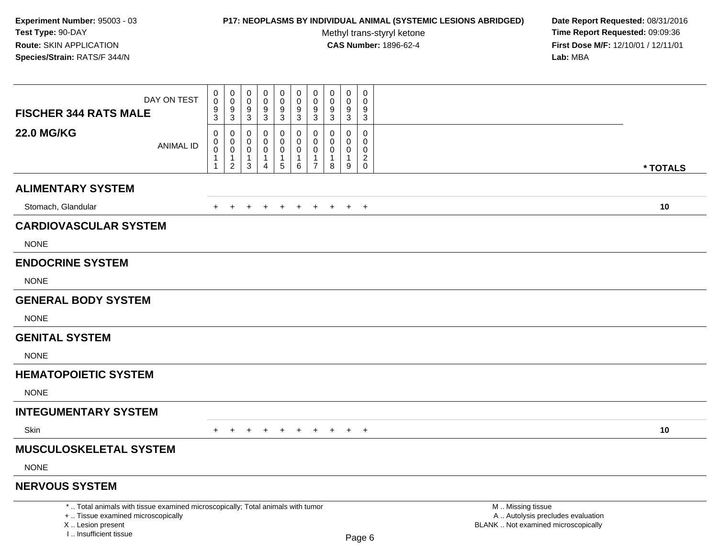# **P17: NEOPLASMS BY INDIVIDUAL ANIMAL (SYSTEMIC LESIONS ABRIDGED) Date Report Requested:** 08/31/2016

Methyl trans-styryl ketone<br>CAS Number: 1896-62-4

| DAY ON TEST                                                                                                                                                           | 0<br>$\mathsf{O}\xspace$                                              | $\mathbf 0$<br>$\mathbf 0$<br>9                                             | 0<br>$\mathbf 0$                                                       | $\pmb{0}$<br>$\mathbf 0$<br>$\boldsymbol{9}$                    | $\pmb{0}$<br>$\mathsf{O}\xspace$                              | $\mathbf 0$<br>$\mathbf 0$<br>9                                      | 0<br>$\Omega$<br>9                                            | $\pmb{0}$<br>$\mathbf 0$<br>9                    | $\pmb{0}$<br>$\mathbf 0$<br>9                     | 0<br>$\Omega$<br>9                                            |                                                                                               |          |
|-----------------------------------------------------------------------------------------------------------------------------------------------------------------------|-----------------------------------------------------------------------|-----------------------------------------------------------------------------|------------------------------------------------------------------------|-----------------------------------------------------------------|---------------------------------------------------------------|----------------------------------------------------------------------|---------------------------------------------------------------|--------------------------------------------------|---------------------------------------------------|---------------------------------------------------------------|-----------------------------------------------------------------------------------------------|----------|
| <b>FISCHER 344 RATS MALE</b>                                                                                                                                          | $\frac{9}{3}$                                                         | $\overline{3}$                                                              | $\frac{9}{3}$                                                          | $\overline{3}$                                                  | $\frac{9}{3}$                                                 | $\overline{3}$                                                       | $\ensuremath{\mathsf{3}}$                                     | $\mathbf{3}$                                     | 3                                                 | 3                                                             |                                                                                               |          |
| <b>22.0 MG/KG</b><br><b>ANIMAL ID</b>                                                                                                                                 | $\mathbf 0$<br>$\pmb{0}$<br>$\pmb{0}$<br>$\mathbf{1}$<br>$\mathbf{1}$ | $\mathbf 0$<br>$\mathbf 0$<br>$\mathbf 0$<br>$\mathbf{1}$<br>$\overline{2}$ | $\mathbf 0$<br>$\Omega$<br>$\mathbf 0$<br>$\mathbf{1}$<br>$\mathbf{3}$ | 0<br>$\pmb{0}$<br>$\mathbf 0$<br>$\mathbf{1}$<br>$\overline{4}$ | 0<br>$\mathbf 0$<br>$\mathbf 0$<br>$\mathbf{1}$<br>$\sqrt{5}$ | $\mathbf 0$<br>$\mathbf 0$<br>$\mathbf 0$<br>$\mathbf{1}$<br>$\,6\,$ | $\mathbf 0$<br>$\Omega$<br>$\mathbf 0$<br>1<br>$\overline{7}$ | $\mathbf 0$<br>$\Omega$<br>$\mathbf 0$<br>1<br>8 | 0<br>$\Omega$<br>$\mathbf 0$<br>$\mathbf{1}$<br>9 | 0<br>$\Omega$<br>$\mathbf 0$<br>$\overline{2}$<br>$\mathbf 0$ |                                                                                               | * TOTALS |
| <b>ALIMENTARY SYSTEM</b>                                                                                                                                              |                                                                       |                                                                             |                                                                        |                                                                 |                                                               |                                                                      |                                                               |                                                  |                                                   |                                                               |                                                                                               |          |
| Stomach, Glandular                                                                                                                                                    | $+$                                                                   | $+$                                                                         | $+$                                                                    | $+$                                                             | $+$                                                           | $+$                                                                  | $+$                                                           | $+$                                              | $+$                                               | $+$                                                           |                                                                                               | 10       |
| <b>CARDIOVASCULAR SYSTEM</b>                                                                                                                                          |                                                                       |                                                                             |                                                                        |                                                                 |                                                               |                                                                      |                                                               |                                                  |                                                   |                                                               |                                                                                               |          |
| <b>NONE</b>                                                                                                                                                           |                                                                       |                                                                             |                                                                        |                                                                 |                                                               |                                                                      |                                                               |                                                  |                                                   |                                                               |                                                                                               |          |
| <b>ENDOCRINE SYSTEM</b>                                                                                                                                               |                                                                       |                                                                             |                                                                        |                                                                 |                                                               |                                                                      |                                                               |                                                  |                                                   |                                                               |                                                                                               |          |
| <b>NONE</b>                                                                                                                                                           |                                                                       |                                                                             |                                                                        |                                                                 |                                                               |                                                                      |                                                               |                                                  |                                                   |                                                               |                                                                                               |          |
| <b>GENERAL BODY SYSTEM</b>                                                                                                                                            |                                                                       |                                                                             |                                                                        |                                                                 |                                                               |                                                                      |                                                               |                                                  |                                                   |                                                               |                                                                                               |          |
| <b>NONE</b>                                                                                                                                                           |                                                                       |                                                                             |                                                                        |                                                                 |                                                               |                                                                      |                                                               |                                                  |                                                   |                                                               |                                                                                               |          |
| <b>GENITAL SYSTEM</b>                                                                                                                                                 |                                                                       |                                                                             |                                                                        |                                                                 |                                                               |                                                                      |                                                               |                                                  |                                                   |                                                               |                                                                                               |          |
| <b>NONE</b>                                                                                                                                                           |                                                                       |                                                                             |                                                                        |                                                                 |                                                               |                                                                      |                                                               |                                                  |                                                   |                                                               |                                                                                               |          |
| <b>HEMATOPOIETIC SYSTEM</b>                                                                                                                                           |                                                                       |                                                                             |                                                                        |                                                                 |                                                               |                                                                      |                                                               |                                                  |                                                   |                                                               |                                                                                               |          |
| <b>NONE</b>                                                                                                                                                           |                                                                       |                                                                             |                                                                        |                                                                 |                                                               |                                                                      |                                                               |                                                  |                                                   |                                                               |                                                                                               |          |
| <b>INTEGUMENTARY SYSTEM</b>                                                                                                                                           |                                                                       |                                                                             |                                                                        |                                                                 |                                                               |                                                                      |                                                               |                                                  |                                                   |                                                               |                                                                                               |          |
| <b>Skin</b>                                                                                                                                                           | $+$                                                                   | $+$ $-$                                                                     | $+$                                                                    | $+$                                                             | $+$                                                           | $+$                                                                  | $+$                                                           | $+$ $+$                                          |                                                   | $+$                                                           |                                                                                               | 10       |
| <b>MUSCULOSKELETAL SYSTEM</b>                                                                                                                                         |                                                                       |                                                                             |                                                                        |                                                                 |                                                               |                                                                      |                                                               |                                                  |                                                   |                                                               |                                                                                               |          |
| <b>NONE</b>                                                                                                                                                           |                                                                       |                                                                             |                                                                        |                                                                 |                                                               |                                                                      |                                                               |                                                  |                                                   |                                                               |                                                                                               |          |
| <b>NERVOUS SYSTEM</b>                                                                                                                                                 |                                                                       |                                                                             |                                                                        |                                                                 |                                                               |                                                                      |                                                               |                                                  |                                                   |                                                               |                                                                                               |          |
| *  Total animals with tissue examined microscopically; Total animals with tumor<br>+  Tissue examined microscopically<br>X  Lesion present<br>I., Insufficient tissue |                                                                       |                                                                             |                                                                        |                                                                 |                                                               |                                                                      |                                                               |                                                  |                                                   | Page 6                                                        | M  Missing tissue<br>A  Autolysis precludes evaluation<br>BLANK  Not examined microscopically |          |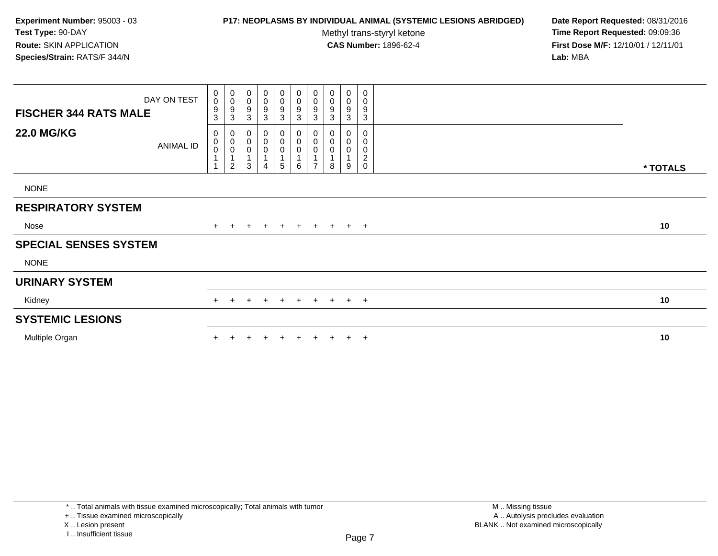# **P17: NEOPLASMS BY INDIVIDUAL ANIMAL (SYSTEMIC LESIONS ABRIDGED) Date Report Requested:** 08/31/2016

Methyl trans-styryl ketone<br>CAS Number: 1896-62-4

 **Time Report Requested:** 09:09:36 **First Dose M/F:** 12/10/01 / 12/11/01<br>**Lab:** MBA **Lab:** MBA

| <b>FISCHER 344 RATS MALE</b> | DAY ON TEST      | 0<br>$\mathbf 0$<br>$\boldsymbol{9}$<br>3 | $\begin{smallmatrix}0\\0\end{smallmatrix}$<br>$\boldsymbol{9}$<br>$\sqrt{3}$                | 0<br>$\pmb{0}$<br>9<br>3         | $_{\rm 0}^{\rm 0}$<br>$\boldsymbol{9}$<br>$\mathbf{3}$ | $\begin{smallmatrix} 0\\0 \end{smallmatrix}$<br>9<br>3 | $\mathbf 0$<br>$\pmb{0}$<br>$\boldsymbol{9}$<br>$\mathbf{3}$ | $\mathbf 0$<br>$\pmb{0}$<br>9<br>3 | $\pmb{0}$<br>$\mathsf 0$<br>9<br>3 | $\begin{smallmatrix}0\\0\end{smallmatrix}$<br>$\boldsymbol{9}$<br>$\mathbf{3}$ | $\boldsymbol{0}$<br>$\pmb{0}$<br>9<br>3     |          |
|------------------------------|------------------|-------------------------------------------|---------------------------------------------------------------------------------------------|----------------------------------|--------------------------------------------------------|--------------------------------------------------------|--------------------------------------------------------------|------------------------------------|------------------------------------|--------------------------------------------------------------------------------|---------------------------------------------|----------|
| <b>22.0 MG/KG</b>            | <b>ANIMAL ID</b> | 0<br>$\,0\,$<br>$\mathbf 0$<br>1          | $\pmb{0}$<br>$\begin{smallmatrix} 0\\0 \end{smallmatrix}$<br>$\mathbf{1}$<br>$\overline{c}$ | 0<br>$\pmb{0}$<br>$\pmb{0}$<br>3 | $\mathbf 0$<br>$\pmb{0}$<br>$\pmb{0}$<br>4             | 0<br>$\pmb{0}$<br>$\pmb{0}$<br>$\mathbf{1}$<br>5       | 0<br>$\pmb{0}$<br>$\pmb{0}$<br>$\mathbf{1}$<br>6             | 0<br>0<br>0<br>$\overline{ }$      | 0<br>0<br>8                        | 0<br>$\pmb{0}$<br>0<br>9                                                       | 0<br>$\pmb{0}$<br>$\pmb{0}$<br>$^2_{\rm 0}$ |          |
| <b>NONE</b>                  |                  |                                           |                                                                                             |                                  |                                                        |                                                        |                                                              |                                    |                                    |                                                                                |                                             | * TOTALS |
| <b>RESPIRATORY SYSTEM</b>    |                  |                                           |                                                                                             |                                  |                                                        |                                                        |                                                              |                                    |                                    |                                                                                |                                             |          |
| Nose                         |                  | $+$                                       | $+$                                                                                         | $+$                              | $+$                                                    | $+$                                                    | $+$                                                          | $+$                                | $+$                                |                                                                                | $+$ $+$                                     | 10       |
| <b>SPECIAL SENSES SYSTEM</b> |                  |                                           |                                                                                             |                                  |                                                        |                                                        |                                                              |                                    |                                    |                                                                                |                                             |          |
| <b>NONE</b>                  |                  |                                           |                                                                                             |                                  |                                                        |                                                        |                                                              |                                    |                                    |                                                                                |                                             |          |
| <b>URINARY SYSTEM</b>        |                  |                                           |                                                                                             |                                  |                                                        |                                                        |                                                              |                                    |                                    |                                                                                |                                             |          |
| Kidney                       |                  | $+$                                       | $+$                                                                                         | $\pm$                            | $\pm$                                                  | $+$                                                    | $+$                                                          | $+$                                |                                    | $+$ $+$ $+$                                                                    |                                             | 10       |
| <b>SYSTEMIC LESIONS</b>      |                  |                                           |                                                                                             |                                  |                                                        |                                                        |                                                              |                                    |                                    |                                                                                |                                             |          |
| Multiple Organ               |                  |                                           |                                                                                             |                                  |                                                        |                                                        |                                                              |                                    |                                    | $+$                                                                            | $+$                                         | 10       |

+ .. Tissue examined microscopically

X .. Lesion present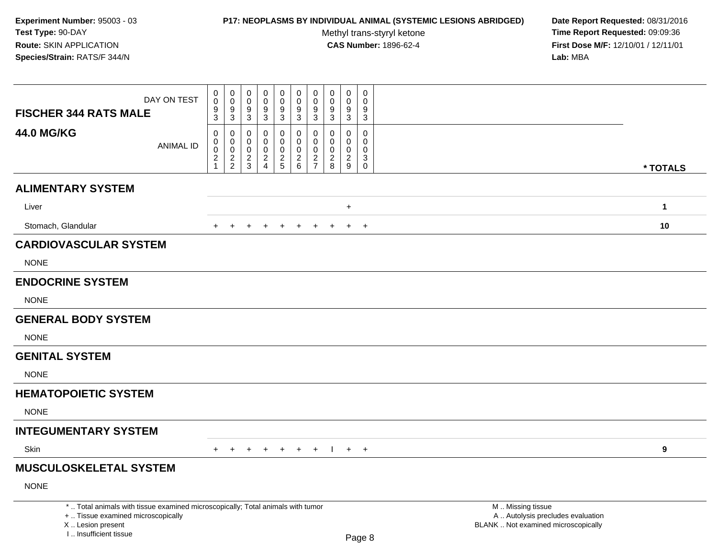## **P17: NEOPLASMS BY INDIVIDUAL ANIMAL (SYSTEMIC LESIONS ABRIDGED) Date Report Requested:** 08/31/2016

Methyl trans-styryl ketone<br>CAS Number: 1896-62-4

| DAY ON TEST<br><b>FISCHER 344 RATS MALE</b>                                                                                                                        | 0<br>$\mathbf 0$<br>9                                   | $\boldsymbol{0}$<br>$\ddot{\mathbf{0}}$<br>9              | $\mathbf 0$<br>$\mathbf 0$<br>9                     | $\mathbf 0$<br>$\mathsf{O}\xspace$<br>$\boldsymbol{9}$          | $\mathbf 0$<br>$\mathbf 0$<br>$\boldsymbol{9}$      | $\mathbf 0$<br>$\mathbf 0$<br>9                               | $\mathbf 0$<br>$\mathbf 0$<br>9                                  | $\mathbf 0$<br>$\mathbf 0$<br>9                     | $\pmb{0}$<br>$\mathbf 0$<br>9             | $\mathbf 0$<br>$\Omega$<br>9                                          |                                                                                               |              |
|--------------------------------------------------------------------------------------------------------------------------------------------------------------------|---------------------------------------------------------|-----------------------------------------------------------|-----------------------------------------------------|-----------------------------------------------------------------|-----------------------------------------------------|---------------------------------------------------------------|------------------------------------------------------------------|-----------------------------------------------------|-------------------------------------------|-----------------------------------------------------------------------|-----------------------------------------------------------------------------------------------|--------------|
|                                                                                                                                                                    | 3                                                       | $\sqrt{3}$                                                | 3                                                   | $\mathbf{3}$                                                    | $\sqrt{3}$                                          | $\mathbf{3}$                                                  | 3                                                                | $\mathbf{3}$                                        | 3                                         | 3                                                                     |                                                                                               |              |
| <b>44.0 MG/KG</b><br><b>ANIMAL ID</b>                                                                                                                              | 0<br>0<br>$\mathsf 0$<br>$\overline{a}$<br>$\mathbf{1}$ | 0<br>0<br>$\mathbf 0$<br>$\overline{c}$<br>$\overline{2}$ | $\mathbf 0$<br>$\Omega$<br>0<br>$\overline{2}$<br>3 | 0<br>$\mathbf 0$<br>$\mathbf 0$<br>$\sqrt{2}$<br>$\overline{4}$ | 0<br>$\overline{0}$<br>$\mathbf 0$<br>$\frac{2}{5}$ | $\mathbf 0$<br>$\Omega$<br>$\mathsf 0$<br>$\overline{2}$<br>6 | 0<br>$\Omega$<br>$\mathbf 0$<br>$\overline{c}$<br>$\overline{7}$ | $\mathbf 0$<br>$\Omega$<br>0<br>$\overline{c}$<br>8 | 0<br>$\Omega$<br>0<br>$\overline{a}$<br>9 | $\mathbf 0$<br>$\Omega$<br>$\mathbf 0$<br>$\mathbf{3}$<br>$\mathbf 0$ |                                                                                               |              |
|                                                                                                                                                                    |                                                         |                                                           |                                                     |                                                                 |                                                     |                                                               |                                                                  |                                                     |                                           |                                                                       |                                                                                               | * TOTALS     |
| <b>ALIMENTARY SYSTEM</b>                                                                                                                                           |                                                         |                                                           |                                                     |                                                                 |                                                     |                                                               |                                                                  |                                                     |                                           |                                                                       |                                                                                               |              |
| Liver                                                                                                                                                              |                                                         |                                                           |                                                     |                                                                 |                                                     |                                                               |                                                                  |                                                     | $\ddot{}$                                 |                                                                       |                                                                                               | $\mathbf{1}$ |
| Stomach, Glandular                                                                                                                                                 |                                                         |                                                           |                                                     |                                                                 |                                                     |                                                               |                                                                  |                                                     | $\ddot{}$                                 | $+$                                                                   |                                                                                               | 10           |
| <b>CARDIOVASCULAR SYSTEM</b>                                                                                                                                       |                                                         |                                                           |                                                     |                                                                 |                                                     |                                                               |                                                                  |                                                     |                                           |                                                                       |                                                                                               |              |
| <b>NONE</b>                                                                                                                                                        |                                                         |                                                           |                                                     |                                                                 |                                                     |                                                               |                                                                  |                                                     |                                           |                                                                       |                                                                                               |              |
| <b>ENDOCRINE SYSTEM</b>                                                                                                                                            |                                                         |                                                           |                                                     |                                                                 |                                                     |                                                               |                                                                  |                                                     |                                           |                                                                       |                                                                                               |              |
| <b>NONE</b>                                                                                                                                                        |                                                         |                                                           |                                                     |                                                                 |                                                     |                                                               |                                                                  |                                                     |                                           |                                                                       |                                                                                               |              |
| <b>GENERAL BODY SYSTEM</b>                                                                                                                                         |                                                         |                                                           |                                                     |                                                                 |                                                     |                                                               |                                                                  |                                                     |                                           |                                                                       |                                                                                               |              |
| <b>NONE</b>                                                                                                                                                        |                                                         |                                                           |                                                     |                                                                 |                                                     |                                                               |                                                                  |                                                     |                                           |                                                                       |                                                                                               |              |
| <b>GENITAL SYSTEM</b>                                                                                                                                              |                                                         |                                                           |                                                     |                                                                 |                                                     |                                                               |                                                                  |                                                     |                                           |                                                                       |                                                                                               |              |
| <b>NONE</b>                                                                                                                                                        |                                                         |                                                           |                                                     |                                                                 |                                                     |                                                               |                                                                  |                                                     |                                           |                                                                       |                                                                                               |              |
| <b>HEMATOPOIETIC SYSTEM</b>                                                                                                                                        |                                                         |                                                           |                                                     |                                                                 |                                                     |                                                               |                                                                  |                                                     |                                           |                                                                       |                                                                                               |              |
| <b>NONE</b>                                                                                                                                                        |                                                         |                                                           |                                                     |                                                                 |                                                     |                                                               |                                                                  |                                                     |                                           |                                                                       |                                                                                               |              |
| <b>INTEGUMENTARY SYSTEM</b>                                                                                                                                        |                                                         |                                                           |                                                     |                                                                 |                                                     |                                                               |                                                                  |                                                     |                                           |                                                                       |                                                                                               |              |
| Skin                                                                                                                                                               | $+$                                                     | $+$                                                       | $+$                                                 | $+$                                                             | $+$                                                 | $+$ $+$                                                       |                                                                  | $\Box$                                              |                                           | $+$ $+$                                                               |                                                                                               | 9            |
| <b>MUSCULOSKELETAL SYSTEM</b>                                                                                                                                      |                                                         |                                                           |                                                     |                                                                 |                                                     |                                                               |                                                                  |                                                     |                                           |                                                                       |                                                                                               |              |
| <b>NONE</b>                                                                                                                                                        |                                                         |                                                           |                                                     |                                                                 |                                                     |                                                               |                                                                  |                                                     |                                           |                                                                       |                                                                                               |              |
| *  Total animals with tissue examined microscopically; Total animals with tumor<br>+  Tissue examined microscopically<br>X Lesion present<br>I Insufficient tissue |                                                         |                                                           |                                                     |                                                                 |                                                     |                                                               |                                                                  |                                                     |                                           | $D_{200}$ $\Omega$                                                    | M  Missing tissue<br>A  Autolysis precludes evaluation<br>BLANK  Not examined microscopically |              |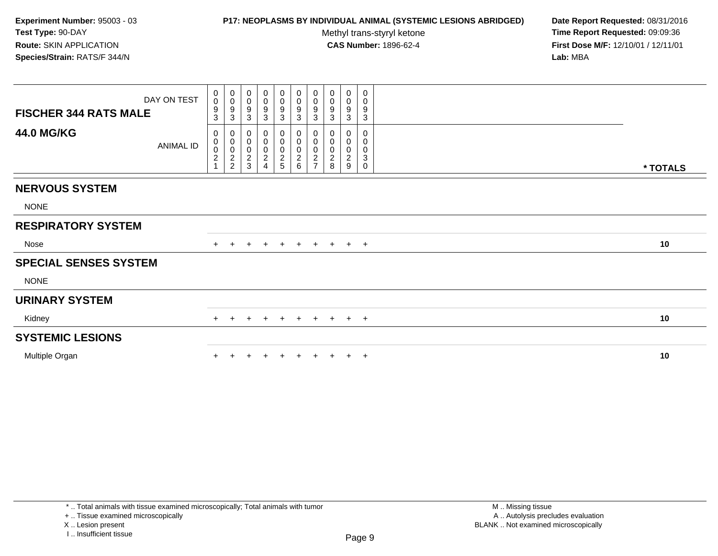## **P17: NEOPLASMS BY INDIVIDUAL ANIMAL (SYSTEMIC LESIONS ABRIDGED) Date Report Requested:** 08/31/2016

Methyl trans-styryl ketone<br>CAS Number: 1896-62-4

| <b>FISCHER 344 RATS MALE</b> | DAY ON TEST | 0<br>$\mathbf 0$<br>$\boldsymbol{9}$<br>3                              | $\pmb{0}$<br>$\boldsymbol{0}$<br>$\boldsymbol{9}$<br>3                     | 0<br>$\pmb{0}$<br>9<br>$\sqrt{3}$              | $\pmb{0}$<br>$\pmb{0}$<br>9<br>$\sqrt{3}$                       | $\pmb{0}$<br>$\mathbf 0$<br>$\frac{9}{3}$ | $\mathbf 0$<br>$\pmb{0}$<br>$\frac{9}{3}$ | $\pmb{0}$<br>$\pmb{0}$<br>9<br>$\mathbf{3}$                                   | $\pmb{0}$<br>$\pmb{0}$<br>9<br>3                     | $\mathbf 0$<br>$\mathbf 0$<br>9<br>3                     | 0<br>0<br>9<br>$\mathbf{3}$ |          |
|------------------------------|-------------|------------------------------------------------------------------------|----------------------------------------------------------------------------|------------------------------------------------|-----------------------------------------------------------------|-------------------------------------------|-------------------------------------------|-------------------------------------------------------------------------------|------------------------------------------------------|----------------------------------------------------------|-----------------------------|----------|
| <b>44.0 MG/KG</b>            | ANIMAL ID   | 0<br>$\begin{smallmatrix} 0\\0\\2 \end{smallmatrix}$<br>$\overline{1}$ | $\mathbf 0$<br>$\begin{matrix} 0 \\ 0 \\ 2 \end{matrix}$<br>$\overline{c}$ | 0<br>$\mathbf 0$<br>$\pmb{0}$<br>$\frac{2}{3}$ | 0<br>$\pmb{0}$<br>$\pmb{0}$<br>$\overline{2}$<br>$\overline{A}$ | 0<br>$\pmb{0}$<br>$\frac{0}{2}$           | 0<br>$\pmb{0}$<br>$\frac{0}{2}$           | $\mathbf 0$<br>$\mathsf 0$<br>$\pmb{0}$<br>$\boldsymbol{2}$<br>$\overline{7}$ | 0<br>$\pmb{0}$<br>$\pmb{0}$<br>$\boldsymbol{2}$<br>8 | 0<br>$\mathbf 0$<br>$\mathbf 0$<br>$\boldsymbol{2}$<br>9 | 0<br>0<br>0<br>3<br>0       | * TOTALS |
| <b>NERVOUS SYSTEM</b>        |             |                                                                        |                                                                            |                                                |                                                                 |                                           |                                           |                                                                               |                                                      |                                                          |                             |          |
| <b>NONE</b>                  |             |                                                                        |                                                                            |                                                |                                                                 |                                           |                                           |                                                                               |                                                      |                                                          |                             |          |
| <b>RESPIRATORY SYSTEM</b>    |             |                                                                        |                                                                            |                                                |                                                                 |                                           |                                           |                                                                               |                                                      |                                                          |                             |          |
| Nose                         |             |                                                                        |                                                                            |                                                | $\pm$                                                           | $\ddot{}$                                 | $+$                                       | $+$                                                                           | $+$                                                  | $+$ $+$                                                  |                             | 10       |
| <b>SPECIAL SENSES SYSTEM</b> |             |                                                                        |                                                                            |                                                |                                                                 |                                           |                                           |                                                                               |                                                      |                                                          |                             |          |
| <b>NONE</b>                  |             |                                                                        |                                                                            |                                                |                                                                 |                                           |                                           |                                                                               |                                                      |                                                          |                             |          |
| <b>URINARY SYSTEM</b>        |             |                                                                        |                                                                            |                                                |                                                                 |                                           |                                           |                                                                               |                                                      |                                                          |                             |          |
| Kidney                       |             | $+$                                                                    |                                                                            |                                                | $\pm$                                                           | $+$                                       | $+$                                       |                                                                               | + + + +                                              |                                                          |                             | 10       |
| <b>SYSTEMIC LESIONS</b>      |             |                                                                        |                                                                            |                                                |                                                                 |                                           |                                           |                                                                               |                                                      |                                                          |                             |          |
| Multiple Organ               |             |                                                                        |                                                                            |                                                |                                                                 |                                           |                                           |                                                                               |                                                      |                                                          | $\overline{+}$              | 10       |
|                              |             |                                                                        |                                                                            |                                                |                                                                 |                                           |                                           |                                                                               |                                                      |                                                          |                             |          |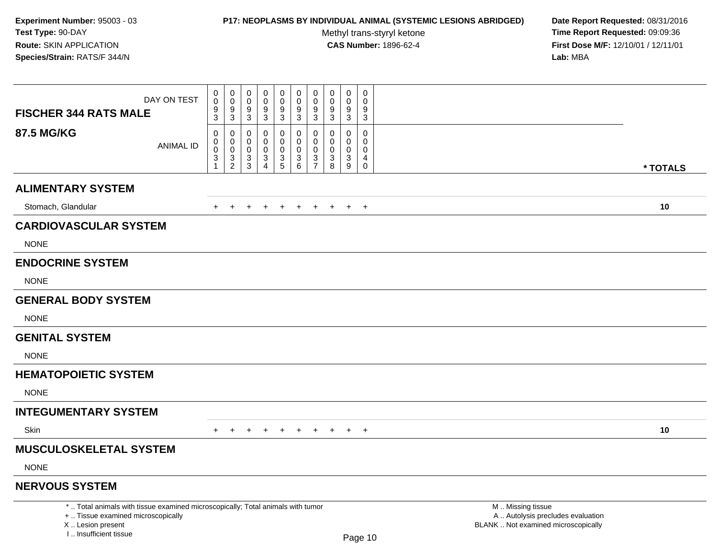# **P17: NEOPLASMS BY INDIVIDUAL ANIMAL (SYSTEMIC LESIONS ABRIDGED) Date Report Requested:** 08/31/2016

Methyl trans-styryl ketone<br>CAS Number: 1896-62-4

| DAY ON TEST<br><b>FISCHER 344 RATS MALE</b>                                                                                                                           | 0<br>$\mathbf 0$<br>$\frac{9}{3}$                                            | 0<br>0<br>$\mathbf 0$<br>$\mathbf 0$<br>$\frac{9}{3}$<br>9                                                                             | $\pmb{0}$<br>$\mathbf 0$<br>9                                                            | $\pmb{0}$<br>$\mathbf 0$<br>$\boldsymbol{9}$ | 0<br>$\mathbf 0$<br>9                                                       | $\pmb{0}$<br>$\mathbf 0$<br>9                              | $\pmb{0}$<br>$\Omega$<br>9          | $\mathbf 0$<br>0<br>9                                                                    | $\mathsf 0$<br>$\Omega$<br>9                               |                                                                                               |          |
|-----------------------------------------------------------------------------------------------------------------------------------------------------------------------|------------------------------------------------------------------------------|----------------------------------------------------------------------------------------------------------------------------------------|------------------------------------------------------------------------------------------|----------------------------------------------|-----------------------------------------------------------------------------|------------------------------------------------------------|-------------------------------------|------------------------------------------------------------------------------------------|------------------------------------------------------------|-----------------------------------------------------------------------------------------------|----------|
|                                                                                                                                                                       |                                                                              | $\overline{3}$                                                                                                                         | $\overline{3}$                                                                           | $\overline{3}$                               | $\mathbf{3}$                                                                | $\overline{3}$                                             | $\overline{3}$                      | $\overline{3}$                                                                           | $\sqrt{3}$                                                 |                                                                                               |          |
| <b>87.5 MG/KG</b><br><b>ANIMAL ID</b>                                                                                                                                 | $\mathbf 0$<br>0<br>$\mathbf 0$<br>$\ensuremath{\mathsf{3}}$<br>$\mathbf{1}$ | $\mathbf 0$<br>$\mathbf 0$<br>0<br>0<br>$\mathsf{O}\xspace$<br>$\pmb{0}$<br>$\frac{3}{2}$<br>$\ensuremath{\mathsf{3}}$<br>$\mathbf{3}$ | $\mathbf 0$<br>$\mathbf 0$<br>$\mathbf 0$<br>$\ensuremath{\mathsf{3}}$<br>$\overline{4}$ | 0<br>0<br>$\pmb{0}$<br>$\frac{3}{5}$         | $\mathbf 0$<br>$\mathbf 0$<br>$\mathbf 0$<br>$\ensuremath{\mathsf{3}}$<br>6 | $\mathbf 0$<br>$\mathbf 0$<br>$\mathbf 0$<br>$\frac{3}{7}$ | $\Omega$<br>$\Omega$<br>0<br>3<br>8 | $\mathbf 0$<br>$\mathbf 0$<br>$\pmb{0}$<br>$\ensuremath{\mathsf{3}}$<br>$\boldsymbol{9}$ | $\mathbf 0$<br>$\Omega$<br>$\mathbf 0$<br>4<br>$\mathbf 0$ |                                                                                               | * TOTALS |
| <b>ALIMENTARY SYSTEM</b>                                                                                                                                              |                                                                              |                                                                                                                                        |                                                                                          |                                              |                                                                             |                                                            |                                     |                                                                                          |                                                            |                                                                                               |          |
| Stomach, Glandular                                                                                                                                                    | $+$                                                                          | $+$<br>$+$                                                                                                                             | $+$                                                                                      | $+$                                          | $+$                                                                         | $+$                                                        | $+$                                 | $+$                                                                                      | $+$                                                        |                                                                                               | 10       |
| <b>CARDIOVASCULAR SYSTEM</b>                                                                                                                                          |                                                                              |                                                                                                                                        |                                                                                          |                                              |                                                                             |                                                            |                                     |                                                                                          |                                                            |                                                                                               |          |
| <b>NONE</b>                                                                                                                                                           |                                                                              |                                                                                                                                        |                                                                                          |                                              |                                                                             |                                                            |                                     |                                                                                          |                                                            |                                                                                               |          |
| <b>ENDOCRINE SYSTEM</b>                                                                                                                                               |                                                                              |                                                                                                                                        |                                                                                          |                                              |                                                                             |                                                            |                                     |                                                                                          |                                                            |                                                                                               |          |
| <b>NONE</b>                                                                                                                                                           |                                                                              |                                                                                                                                        |                                                                                          |                                              |                                                                             |                                                            |                                     |                                                                                          |                                                            |                                                                                               |          |
| <b>GENERAL BODY SYSTEM</b>                                                                                                                                            |                                                                              |                                                                                                                                        |                                                                                          |                                              |                                                                             |                                                            |                                     |                                                                                          |                                                            |                                                                                               |          |
| <b>NONE</b>                                                                                                                                                           |                                                                              |                                                                                                                                        |                                                                                          |                                              |                                                                             |                                                            |                                     |                                                                                          |                                                            |                                                                                               |          |
| <b>GENITAL SYSTEM</b>                                                                                                                                                 |                                                                              |                                                                                                                                        |                                                                                          |                                              |                                                                             |                                                            |                                     |                                                                                          |                                                            |                                                                                               |          |
| <b>NONE</b>                                                                                                                                                           |                                                                              |                                                                                                                                        |                                                                                          |                                              |                                                                             |                                                            |                                     |                                                                                          |                                                            |                                                                                               |          |
| <b>HEMATOPOIETIC SYSTEM</b>                                                                                                                                           |                                                                              |                                                                                                                                        |                                                                                          |                                              |                                                                             |                                                            |                                     |                                                                                          |                                                            |                                                                                               |          |
| <b>NONE</b>                                                                                                                                                           |                                                                              |                                                                                                                                        |                                                                                          |                                              |                                                                             |                                                            |                                     |                                                                                          |                                                            |                                                                                               |          |
| <b>INTEGUMENTARY SYSTEM</b>                                                                                                                                           |                                                                              |                                                                                                                                        |                                                                                          |                                              |                                                                             |                                                            |                                     |                                                                                          |                                                            |                                                                                               |          |
| Skin                                                                                                                                                                  | $+$                                                                          |                                                                                                                                        |                                                                                          | $\div$                                       |                                                                             | $\pm$                                                      | $\pm$                               | $+$                                                                                      | $+$                                                        |                                                                                               | 10       |
| <b>MUSCULOSKELETAL SYSTEM</b>                                                                                                                                         |                                                                              |                                                                                                                                        |                                                                                          |                                              |                                                                             |                                                            |                                     |                                                                                          |                                                            |                                                                                               |          |
| <b>NONE</b>                                                                                                                                                           |                                                                              |                                                                                                                                        |                                                                                          |                                              |                                                                             |                                                            |                                     |                                                                                          |                                                            |                                                                                               |          |
| <b>NERVOUS SYSTEM</b>                                                                                                                                                 |                                                                              |                                                                                                                                        |                                                                                          |                                              |                                                                             |                                                            |                                     |                                                                                          |                                                            |                                                                                               |          |
| *  Total animals with tissue examined microscopically; Total animals with tumor<br>+  Tissue examined microscopically<br>X  Lesion present<br>I., Insufficient tissue |                                                                              |                                                                                                                                        |                                                                                          |                                              |                                                                             |                                                            |                                     |                                                                                          | Page 10                                                    | M  Missing tissue<br>A  Autolysis precludes evaluation<br>BLANK  Not examined microscopically |          |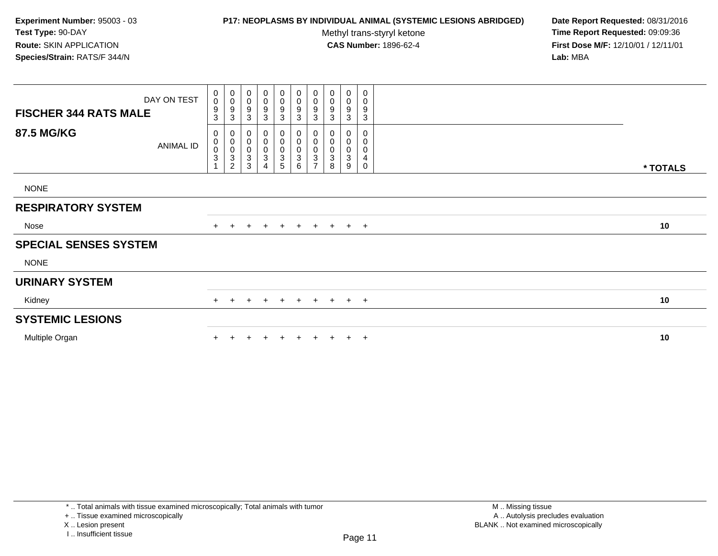# **P17: NEOPLASMS BY INDIVIDUAL ANIMAL (SYSTEMIC LESIONS ABRIDGED) Date Report Requested:** 08/31/2016

Methyl trans-styryl ketone<br>CAS Number: 1896-62-4

| <b>FISCHER 344 RATS MALE</b> | DAY ON TEST | $_{\rm 0}^{\rm 0}$<br>$\boldsymbol{9}$<br>3       | $_{\rm 0}^{\rm 0}$<br>$\boldsymbol{9}$<br>3                                     | $\begin{smallmatrix} 0\\0 \end{smallmatrix}$<br>$\boldsymbol{9}$<br>$\sqrt{3}$ | $_{\rm 0}^{\rm 0}$<br>$\boldsymbol{9}$<br>$\mathbf{3}$                                      | 0<br>$\mathsf{O}\xspace$<br>9<br>3   | $\begin{smallmatrix}0\\0\end{smallmatrix}$<br>$\boldsymbol{9}$<br>$\mathbf{3}$ | $\mathbf 0$<br>$\pmb{0}$<br>$\boldsymbol{9}$<br>$\mathbf{3}$ | 0<br>0<br>9<br>3 | $\pmb{0}$<br>$\pmb{0}$<br>$\boldsymbol{9}$<br>3 | 0<br>0<br>9<br>3      |          |
|------------------------------|-------------|---------------------------------------------------|---------------------------------------------------------------------------------|--------------------------------------------------------------------------------|---------------------------------------------------------------------------------------------|--------------------------------------|--------------------------------------------------------------------------------|--------------------------------------------------------------|------------------|-------------------------------------------------|-----------------------|----------|
| <b>87.5 MG/KG</b>            | ANIMAL ID   | 0<br>$\pmb{0}$<br>$\frac{0}{3}$<br>$\overline{A}$ | 0<br>$\pmb{0}$<br>$\overline{0}$<br>$\ensuremath{\mathsf{3}}$<br>$\overline{2}$ | $\mathbf 0$<br>$_{\rm 0}^{\rm 0}$<br>$\sqrt{3}$<br>3                           | $\pmb{0}$<br>$\begin{smallmatrix} 0\\0 \end{smallmatrix}$<br>$\ensuremath{\mathsf{3}}$<br>4 | 0<br>$\boldsymbol{0}$<br>0<br>3<br>5 | $\pmb{0}$<br>$\pmb{0}$<br>$\pmb{0}$<br>$\sqrt{3}$<br>6                         | 0<br>$\pmb{0}$<br>$\pmb{0}$<br>3<br>$\overline{ }$           | 0<br>0<br>3<br>8 | 0<br>$\pmb{0}$<br>$\pmb{0}$<br>$\sqrt{3}$<br>9  | 0<br>0<br>0<br>4<br>0 | * TOTALS |
| <b>NONE</b>                  |             |                                                   |                                                                                 |                                                                                |                                                                                             |                                      |                                                                                |                                                              |                  |                                                 |                       |          |
| <b>RESPIRATORY SYSTEM</b>    |             |                                                   |                                                                                 |                                                                                |                                                                                             |                                      |                                                                                |                                                              |                  |                                                 |                       |          |
| Nose                         |             | $+$                                               | $+$                                                                             | $+$                                                                            | $+$                                                                                         | $+$                                  | $+$                                                                            | $+$                                                          | $+$              |                                                 | $+$ $+$               | 10       |
| <b>SPECIAL SENSES SYSTEM</b> |             |                                                   |                                                                                 |                                                                                |                                                                                             |                                      |                                                                                |                                                              |                  |                                                 |                       |          |
| <b>NONE</b>                  |             |                                                   |                                                                                 |                                                                                |                                                                                             |                                      |                                                                                |                                                              |                  |                                                 |                       |          |
| <b>URINARY SYSTEM</b>        |             |                                                   |                                                                                 |                                                                                |                                                                                             |                                      |                                                                                |                                                              |                  |                                                 |                       |          |
| Kidney                       |             | $+$                                               | $\pm$                                                                           |                                                                                | $\pm$                                                                                       | $+$                                  | $+$                                                                            | $+$                                                          | $+$              |                                                 | $+$ $+$               | 10       |
| <b>SYSTEMIC LESIONS</b>      |             |                                                   |                                                                                 |                                                                                |                                                                                             |                                      |                                                                                |                                                              |                  |                                                 |                       |          |
| Multiple Organ               |             |                                                   |                                                                                 |                                                                                |                                                                                             | $\ddot{}$                            |                                                                                | $\pm$                                                        | $+$              | $+$                                             | $+$                   | 10       |

<sup>+ ..</sup> Tissue examined microscopically

X .. Lesion present

I .. Insufficient tissue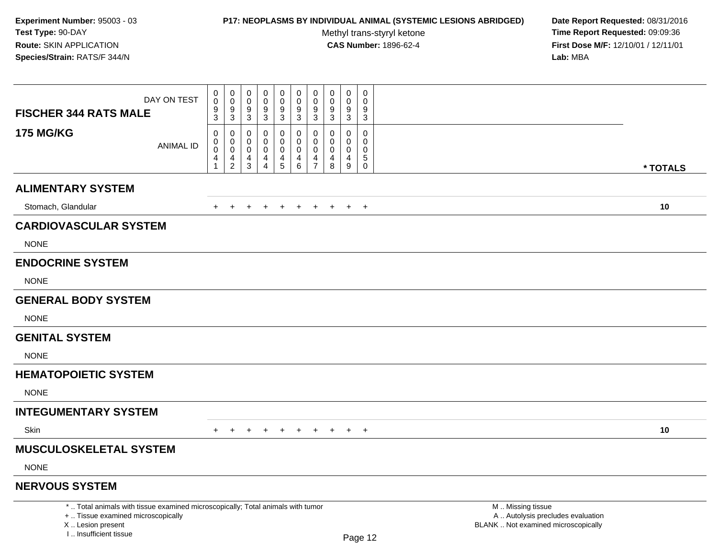# **P17: NEOPLASMS BY INDIVIDUAL ANIMAL (SYSTEMIC LESIONS ABRIDGED) Date Report Requested:** 08/31/2016

Methyl trans-styryl ketone<br>CAS Number: 1896-62-4

| DAY ON TEST<br><b>FISCHER 344 RATS MALE</b>                                                                                                                         | $\pmb{0}$<br>$\pmb{0}$<br>0<br>0<br>$\mathbf 0$<br>$\mathbf 0$<br>$\mathbf 0$<br>$\mathbf 0$<br>$9\,$<br>9                                                                                                                                      | $\mathbf 0$<br>$\pmb{0}$<br>$\pmb{0}$<br>$\pmb{0}$<br>$\mathsf 0$<br>0<br>$\pmb{0}$<br>$\mathbf 0$<br>$\mathbf 0$<br>$\mathbf 0$<br>0<br>$\Omega$<br>$\boldsymbol{9}$<br>$\boldsymbol{9}$<br>9<br>9<br>9<br>9                                                                                                                                                                        |                                                                                               |          |
|---------------------------------------------------------------------------------------------------------------------------------------------------------------------|-------------------------------------------------------------------------------------------------------------------------------------------------------------------------------------------------------------------------------------------------|--------------------------------------------------------------------------------------------------------------------------------------------------------------------------------------------------------------------------------------------------------------------------------------------------------------------------------------------------------------------------------------|-----------------------------------------------------------------------------------------------|----------|
|                                                                                                                                                                     | $\frac{9}{3}$<br>$\frac{9}{3}$<br>$\overline{3}$<br>$\overline{3}$                                                                                                                                                                              | $\overline{3}$<br>$\overline{3}$<br>$\overline{3}$<br>$\overline{3}$<br>$\overline{3}$<br>$\sqrt{3}$                                                                                                                                                                                                                                                                                 |                                                                                               |          |
| <b>175 MG/KG</b><br><b>ANIMAL ID</b>                                                                                                                                | $\mathbf 0$<br>$\mathbf 0$<br>$\mathbf 0$<br>$\mathbf 0$<br>0<br>0<br>$\mathbf 0$<br>0<br>$\mathbf 0$<br>$\mathbf 0$<br>$\mathsf{O}\xspace$<br>$\mathbf 0$<br>$\overline{4}$<br>$\frac{4}{2}$<br>$\frac{4}{3}$<br>$\frac{4}{4}$<br>$\mathbf{1}$ | $\mathbf 0$<br>$\mathbf 0$<br>0<br>$\mathbf 0$<br>0<br>$\Omega$<br>0<br>$\mathbf 0$<br>0<br>0<br>$\Omega$<br>0<br>$\mathsf{O}\xspace$<br>$\mathbf 0$<br>$\pmb{0}$<br>$\mathbf 0$<br>$\mathbf 0$<br>$\mathbf 0$<br>$\overline{5}$<br>$\frac{4}{5}$<br>$\overline{4}$<br>4<br>$\overline{4}$<br>$\overline{\mathbf{4}}$<br>6<br>$\overline{7}$<br>$\boldsymbol{9}$<br>8<br>$\mathbf 0$ |                                                                                               |          |
|                                                                                                                                                                     |                                                                                                                                                                                                                                                 |                                                                                                                                                                                                                                                                                                                                                                                      |                                                                                               | * TOTALS |
| <b>ALIMENTARY SYSTEM</b>                                                                                                                                            |                                                                                                                                                                                                                                                 |                                                                                                                                                                                                                                                                                                                                                                                      |                                                                                               |          |
| Stomach, Glandular                                                                                                                                                  | $+$<br>$+$<br>$+$<br>$+$                                                                                                                                                                                                                        | $+$<br>$+$<br>$+$<br>$+$<br>$+$<br>$+$                                                                                                                                                                                                                                                                                                                                               |                                                                                               | 10       |
| <b>CARDIOVASCULAR SYSTEM</b>                                                                                                                                        |                                                                                                                                                                                                                                                 |                                                                                                                                                                                                                                                                                                                                                                                      |                                                                                               |          |
| <b>NONE</b>                                                                                                                                                         |                                                                                                                                                                                                                                                 |                                                                                                                                                                                                                                                                                                                                                                                      |                                                                                               |          |
| <b>ENDOCRINE SYSTEM</b>                                                                                                                                             |                                                                                                                                                                                                                                                 |                                                                                                                                                                                                                                                                                                                                                                                      |                                                                                               |          |
| <b>NONE</b>                                                                                                                                                         |                                                                                                                                                                                                                                                 |                                                                                                                                                                                                                                                                                                                                                                                      |                                                                                               |          |
| <b>GENERAL BODY SYSTEM</b>                                                                                                                                          |                                                                                                                                                                                                                                                 |                                                                                                                                                                                                                                                                                                                                                                                      |                                                                                               |          |
| <b>NONE</b>                                                                                                                                                         |                                                                                                                                                                                                                                                 |                                                                                                                                                                                                                                                                                                                                                                                      |                                                                                               |          |
| <b>GENITAL SYSTEM</b>                                                                                                                                               |                                                                                                                                                                                                                                                 |                                                                                                                                                                                                                                                                                                                                                                                      |                                                                                               |          |
| <b>NONE</b>                                                                                                                                                         |                                                                                                                                                                                                                                                 |                                                                                                                                                                                                                                                                                                                                                                                      |                                                                                               |          |
| <b>HEMATOPOIETIC SYSTEM</b>                                                                                                                                         |                                                                                                                                                                                                                                                 |                                                                                                                                                                                                                                                                                                                                                                                      |                                                                                               |          |
| <b>NONE</b>                                                                                                                                                         |                                                                                                                                                                                                                                                 |                                                                                                                                                                                                                                                                                                                                                                                      |                                                                                               |          |
| <b>INTEGUMENTARY SYSTEM</b>                                                                                                                                         |                                                                                                                                                                                                                                                 |                                                                                                                                                                                                                                                                                                                                                                                      |                                                                                               |          |
| Skin                                                                                                                                                                | $+$<br>$\div$<br>$\pm$<br>$\pm$                                                                                                                                                                                                                 | $+$<br>$+$<br>$+$<br>$+$<br>$\ddot{}$<br>$+$                                                                                                                                                                                                                                                                                                                                         |                                                                                               | 10       |
| <b>MUSCULOSKELETAL SYSTEM</b>                                                                                                                                       |                                                                                                                                                                                                                                                 |                                                                                                                                                                                                                                                                                                                                                                                      |                                                                                               |          |
| <b>NONE</b>                                                                                                                                                         |                                                                                                                                                                                                                                                 |                                                                                                                                                                                                                                                                                                                                                                                      |                                                                                               |          |
| <b>NERVOUS SYSTEM</b>                                                                                                                                               |                                                                                                                                                                                                                                                 |                                                                                                                                                                                                                                                                                                                                                                                      |                                                                                               |          |
| *  Total animals with tissue examined microscopically; Total animals with tumor<br>+  Tissue examined microscopically<br>X  Lesion present<br>I Insufficient tissue |                                                                                                                                                                                                                                                 | Page 12                                                                                                                                                                                                                                                                                                                                                                              | M  Missing tissue<br>A  Autolysis precludes evaluation<br>BLANK  Not examined microscopically |          |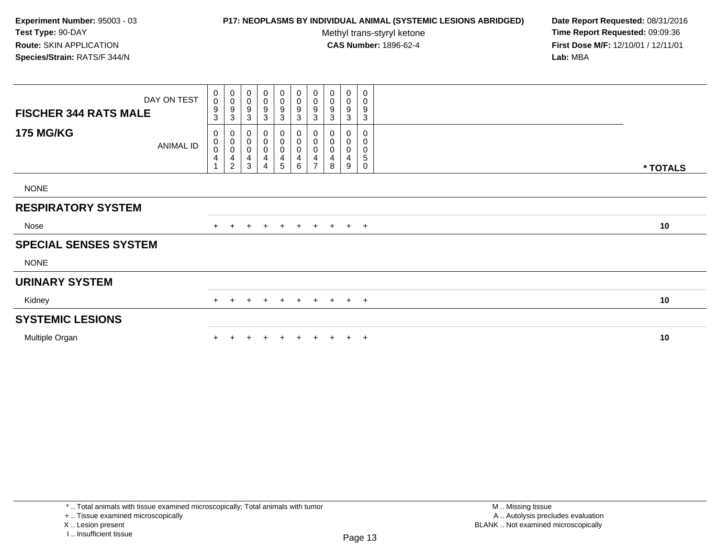# **P17: NEOPLASMS BY INDIVIDUAL ANIMAL (SYSTEMIC LESIONS ABRIDGED) Date Report Requested:** 08/31/2016

Methyl trans-styryl ketone<br>CAS Number: 1896-62-4

 **Time Report Requested:** 09:09:36 **First Dose M/F:** 12/10/01 / 12/11/01<br>**Lab:** MBA **Lab:** MBA

| <b>FISCHER 344 RATS MALE</b> | DAY ON TEST      | 0<br>0<br>9<br>3 | $_{\rm 0}^{\rm 0}$<br>$\overline{9}$<br>$\sqrt{3}$                                           | $\pmb{0}$<br>$\mathbf 0$<br>9<br>3 | $\pmb{0}$<br>$\pmb{0}$<br>9<br>3     | $\mathbf 0$<br>$\mathsf{O}\xspace$<br>9<br>3 | $\begin{smallmatrix} 0\\0 \end{smallmatrix}$<br>$\overline{9}$<br>$\mathbf{3}$ | $_{\rm 0}^{\rm 0}$<br>$\boldsymbol{9}$<br>$\sqrt{3}$             | $\begin{smallmatrix} 0\\0 \end{smallmatrix}$<br>$\boldsymbol{9}$<br>3 | $\pmb{0}$<br>$\mathsf 0$<br>9<br>3                         | $\pmb{0}$<br>0<br>9<br>3 |          |
|------------------------------|------------------|------------------|----------------------------------------------------------------------------------------------|------------------------------------|--------------------------------------|----------------------------------------------|--------------------------------------------------------------------------------|------------------------------------------------------------------|-----------------------------------------------------------------------|------------------------------------------------------------|--------------------------|----------|
| <b>175 MG/KG</b>             | <b>ANIMAL ID</b> | 0<br>0<br>0<br>4 | $\overline{0}$<br>$\mathbf 0$<br>$\overline{0}$<br>$\overline{\mathbf{r}}$<br>$\overline{c}$ | 0<br>$\pmb{0}$<br>0<br>4<br>3      | 0<br>$\boldsymbol{0}$<br>0<br>4<br>4 | 0<br>0<br>0<br>4<br>5                        | 0<br>0<br>$\pmb{0}$<br>$\overline{\mathbf{4}}$<br>6                            | 0<br>$\boldsymbol{0}$<br>$\boldsymbol{0}$<br>4<br>$\overline{ }$ | 0<br>$\pmb{0}$<br>$\pmb{0}$<br>4<br>8                                 | 0<br>$\begin{smallmatrix}0\0\0\end{smallmatrix}$<br>4<br>9 | 0<br>0<br>0<br>5<br>0    | * TOTALS |
| <b>NONE</b>                  |                  |                  |                                                                                              |                                    |                                      |                                              |                                                                                |                                                                  |                                                                       |                                                            |                          |          |
| <b>RESPIRATORY SYSTEM</b>    |                  |                  |                                                                                              |                                    |                                      |                                              |                                                                                |                                                                  |                                                                       |                                                            |                          |          |
| Nose                         |                  | $+$              | $+$                                                                                          | $\pm$                              | $+$                                  | $+$                                          |                                                                                |                                                                  | + + + + +                                                             |                                                            |                          | 10       |
| <b>SPECIAL SENSES SYSTEM</b> |                  |                  |                                                                                              |                                    |                                      |                                              |                                                                                |                                                                  |                                                                       |                                                            |                          |          |
| <b>NONE</b>                  |                  |                  |                                                                                              |                                    |                                      |                                              |                                                                                |                                                                  |                                                                       |                                                            |                          |          |
| <b>URINARY SYSTEM</b>        |                  |                  |                                                                                              |                                    |                                      |                                              |                                                                                |                                                                  |                                                                       |                                                            |                          |          |
| Kidney                       |                  | $+$              |                                                                                              | $\pm$                              | $+$                                  | $\overline{+}$                               | $+$                                                                            | $+$                                                              |                                                                       | $+$ $+$ $+$                                                |                          | 10       |
| <b>SYSTEMIC LESIONS</b>      |                  |                  |                                                                                              |                                    |                                      |                                              |                                                                                |                                                                  |                                                                       |                                                            |                          |          |
| Multiple Organ               |                  |                  |                                                                                              |                                    |                                      |                                              | $\pm$                                                                          | $\pm$                                                            |                                                                       | $+$                                                        | $+$                      | 10       |

\* .. Total animals with tissue examined microscopically; Total animals with tumor

+ .. Tissue examined microscopically

X .. Lesion present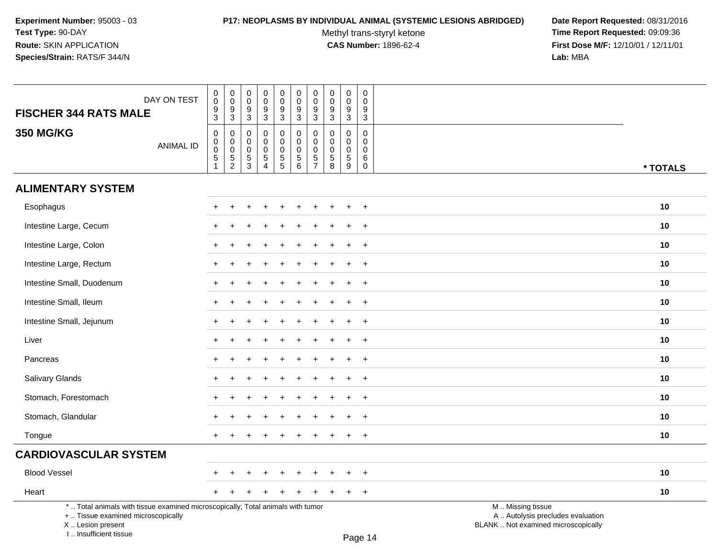### **P17: NEOPLASMS BY INDIVIDUAL ANIMAL (SYSTEMIC LESIONS ABRIDGED) Date Report Requested:** 08/31/2016

Methyl trans-styryl ketone<br>CAS Number: 1896-62-4

| DAY ON TEST<br><b>FISCHER 344 RATS MALE</b>                                                                                                                         | $\pmb{0}$<br>$\pmb{0}$<br>$\frac{9}{3}$        | $_{\rm 0}^{\rm 0}$<br>$\frac{9}{3}$                       | 0<br>$\mathbf 0$<br>$\boldsymbol{9}$                       | $\pmb{0}$<br>$\Omega$<br>$\boldsymbol{9}$                                          | $\pmb{0}$<br>$\mathbf 0$<br>9                  | $\mathbf 0$<br>$\mathsf{O}\xspace$<br>9          | $\pmb{0}$<br>$\pmb{0}$<br>$\frac{9}{3}$      | $\pmb{0}$<br>$\mathbf 0$<br>9                                              | $\mathsf 0$<br>$\boldsymbol{0}$<br>9                         | $\mathbf 0$<br>$\Omega$<br>9                                              |                                                                                               |          |
|---------------------------------------------------------------------------------------------------------------------------------------------------------------------|------------------------------------------------|-----------------------------------------------------------|------------------------------------------------------------|------------------------------------------------------------------------------------|------------------------------------------------|--------------------------------------------------|----------------------------------------------|----------------------------------------------------------------------------|--------------------------------------------------------------|---------------------------------------------------------------------------|-----------------------------------------------------------------------------------------------|----------|
|                                                                                                                                                                     |                                                |                                                           | $\mathbf{3}$                                               | $\overline{3}$                                                                     | $\overline{3}$                                 | $\overline{3}$                                   |                                              | $\mathbf{3}$                                                               | $\mathbf{3}$                                                 | $\mathsf 3$                                                               |                                                                                               |          |
| <b>350 MG/KG</b><br><b>ANIMAL ID</b>                                                                                                                                | $\pmb{0}$<br>$_{\rm 0}^{\rm 0}$<br>$\,$ 5 $\,$ | $\pmb{0}$<br>$\pmb{0}$<br>$\overline{0}$<br>$\frac{5}{2}$ | $\mathbf 0$<br>$\mathbf 0$<br>$\mathbf 0$<br>$\frac{5}{3}$ | $\mathbf 0$<br>$\mathbf 0$<br>$\mathbf 0$<br>$\,$ 5 $\,$<br>$\boldsymbol{\Lambda}$ | 0<br>$\mathbf 0$<br>$\pmb{0}$<br>$\frac{5}{5}$ | 0<br>$\mathbf 0$<br>$\mathbf 0$<br>$\frac{5}{6}$ | 0<br>$\pmb{0}$<br>$\pmb{0}$<br>$\frac{5}{7}$ | $\mathbf 0$<br>$\mathbf 0$<br>$\mathbf 0$<br>$\,$ 5 $\,$<br>$\overline{8}$ | $\mathbf 0$<br>$\mathbf 0$<br>$\mathbf 0$<br>$\sqrt{5}$<br>9 | $\mathbf 0$<br>$\mathbf 0$<br>$\mathbf 0$<br>$6\phantom{1}6$<br>$\pmb{0}$ |                                                                                               | * TOTALS |
| <b>ALIMENTARY SYSTEM</b>                                                                                                                                            |                                                |                                                           |                                                            |                                                                                    |                                                |                                                  |                                              |                                                                            |                                                              |                                                                           |                                                                                               |          |
| Esophagus                                                                                                                                                           |                                                |                                                           |                                                            |                                                                                    |                                                |                                                  |                                              |                                                                            |                                                              | $+$                                                                       |                                                                                               | 10       |
| Intestine Large, Cecum                                                                                                                                              |                                                |                                                           |                                                            |                                                                                    |                                                |                                                  |                                              |                                                                            |                                                              | $\ddot{}$                                                                 |                                                                                               | 10       |
| Intestine Large, Colon                                                                                                                                              |                                                |                                                           |                                                            |                                                                                    |                                                |                                                  |                                              |                                                                            |                                                              | $\ddot{}$                                                                 |                                                                                               | 10       |
| Intestine Large, Rectum                                                                                                                                             |                                                |                                                           |                                                            |                                                                                    |                                                |                                                  |                                              |                                                                            |                                                              | $^{+}$                                                                    |                                                                                               | 10       |
| Intestine Small, Duodenum                                                                                                                                           | $+$                                            |                                                           |                                                            |                                                                                    |                                                |                                                  |                                              |                                                                            |                                                              | $+$                                                                       |                                                                                               | 10       |
| Intestine Small, Ileum                                                                                                                                              | $\pm$                                          |                                                           |                                                            |                                                                                    |                                                |                                                  |                                              |                                                                            |                                                              | $+$                                                                       |                                                                                               | 10       |
| Intestine Small, Jejunum                                                                                                                                            | $\pm$                                          |                                                           |                                                            |                                                                                    |                                                |                                                  |                                              |                                                                            |                                                              | $+$                                                                       |                                                                                               | 10       |
| Liver                                                                                                                                                               |                                                |                                                           |                                                            |                                                                                    |                                                |                                                  |                                              |                                                                            |                                                              | $\ddot{}$                                                                 |                                                                                               | 10       |
| Pancreas                                                                                                                                                            |                                                |                                                           |                                                            |                                                                                    |                                                |                                                  |                                              |                                                                            |                                                              | $\ddot{}$                                                                 |                                                                                               | 10       |
| Salivary Glands                                                                                                                                                     | ÷                                              |                                                           |                                                            |                                                                                    |                                                |                                                  |                                              |                                                                            |                                                              | $+$                                                                       |                                                                                               | 10       |
| Stomach, Forestomach                                                                                                                                                |                                                |                                                           |                                                            |                                                                                    |                                                |                                                  |                                              |                                                                            |                                                              | $+$                                                                       |                                                                                               | 10       |
| Stomach, Glandular                                                                                                                                                  | $\pm$                                          |                                                           |                                                            |                                                                                    |                                                |                                                  |                                              |                                                                            | ÷                                                            | $+$                                                                       |                                                                                               | 10       |
| Tongue                                                                                                                                                              | $+$                                            |                                                           |                                                            |                                                                                    |                                                |                                                  |                                              |                                                                            |                                                              | $+$                                                                       |                                                                                               | 10       |
| <b>CARDIOVASCULAR SYSTEM</b>                                                                                                                                        |                                                |                                                           |                                                            |                                                                                    |                                                |                                                  |                                              |                                                                            |                                                              |                                                                           |                                                                                               |          |
| <b>Blood Vessel</b>                                                                                                                                                 |                                                |                                                           |                                                            |                                                                                    |                                                |                                                  |                                              |                                                                            |                                                              | $\ddot{}$                                                                 |                                                                                               | 10       |
| Heart                                                                                                                                                               | $+$                                            |                                                           |                                                            |                                                                                    |                                                |                                                  |                                              |                                                                            | $\ddot{}$                                                    | $+$                                                                       |                                                                                               | 10       |
| *  Total animals with tissue examined microscopically; Total animals with tumor<br>+  Tissue examined microscopically<br>X  Lesion present<br>I Insufficient tissue |                                                |                                                           |                                                            |                                                                                    |                                                |                                                  |                                              |                                                                            |                                                              | $D_{200}$ 14                                                              | M  Missing tissue<br>A  Autolysis precludes evaluation<br>BLANK  Not examined microscopically |          |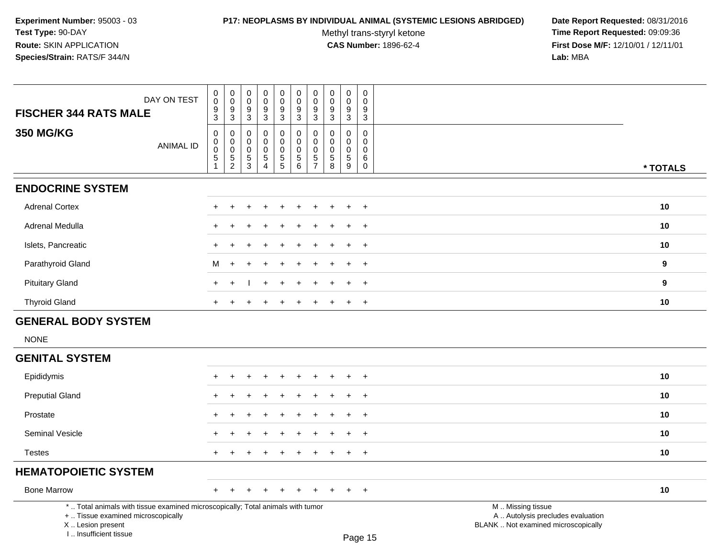### **P17: NEOPLASMS BY INDIVIDUAL ANIMAL (SYSTEMIC LESIONS ABRIDGED) Date Report Requested:** 08/31/2016

Methyl trans-styryl ketone<br>CAS Number: 1896-62-4

| DAY ON TEST<br><b>FISCHER 344 RATS MALE</b>                                                                                                                         | 0<br>$\mathsf{O}\xspace$<br>9<br>3      | $_{\rm 0}^{\rm 0}$<br>$\overline{9}$<br>3         | $\boldsymbol{0}$<br>$\pmb{0}$<br>9<br>3                          | $\pmb{0}$<br>$\mathbf 0$<br>9<br>3                  | $\mathbf 0$<br>$\ddot{\mathbf{0}}$<br>$\boldsymbol{9}$<br>$\mathbf{3}$ | $\pmb{0}$<br>$\mathsf{O}\xspace$<br>9<br>3 | $\pmb{0}$<br>$\pmb{0}$<br>9<br>3                                          | 0<br>$\mathbf 0$<br>9<br>3      | $\mathbf 0$<br>$\mathsf{O}\xspace$<br>$\boldsymbol{9}$<br>3 | $\mathbf 0$<br>$\mathbf 0$<br>9<br>$\mathbf{3}$           |                                                                                               |
|---------------------------------------------------------------------------------------------------------------------------------------------------------------------|-----------------------------------------|---------------------------------------------------|------------------------------------------------------------------|-----------------------------------------------------|------------------------------------------------------------------------|--------------------------------------------|---------------------------------------------------------------------------|---------------------------------|-------------------------------------------------------------|-----------------------------------------------------------|-----------------------------------------------------------------------------------------------|
| <b>350 MG/KG</b><br><b>ANIMAL ID</b>                                                                                                                                | 0<br>$\pmb{0}$<br>$\mathbf 0$<br>5<br>1 | $\pmb{0}$<br>$\overline{0}$<br>0<br>$\frac{5}{2}$ | $\pmb{0}$<br>$\mathbf 0$<br>$\pmb{0}$<br>$5\,$<br>$\overline{3}$ | 0<br>0<br>0<br>$\sqrt{5}$<br>$\boldsymbol{\Lambda}$ | $\mathbf 0$<br>$\mathbf 0$<br>$\pmb{0}$<br>$\frac{5}{5}$               | 0<br>0<br>0<br>$\sqrt{5}$<br>$\,6\,$       | $\mathbf 0$<br>$\mathbf 0$<br>$\mathbf 0$<br>$\sqrt{5}$<br>$\overline{7}$ | 0<br>$\mathbf 0$<br>0<br>5<br>8 | 0<br>$\mathbf 0$<br>0<br>5<br>9                             | 0<br>$\mathbf 0$<br>$\mathbf 0$<br>$\,6\,$<br>$\mathbf 0$ | * TOTALS                                                                                      |
| <b>ENDOCRINE SYSTEM</b>                                                                                                                                             |                                         |                                                   |                                                                  |                                                     |                                                                        |                                            |                                                                           |                                 |                                                             |                                                           |                                                                                               |
| <b>Adrenal Cortex</b>                                                                                                                                               |                                         |                                                   |                                                                  |                                                     |                                                                        | +                                          |                                                                           |                                 |                                                             | $^{+}$                                                    | 10                                                                                            |
| Adrenal Medulla                                                                                                                                                     |                                         |                                                   |                                                                  |                                                     |                                                                        |                                            |                                                                           |                                 |                                                             | $\overline{+}$                                            | 10                                                                                            |
| Islets, Pancreatic                                                                                                                                                  | $\ddot{}$                               |                                                   |                                                                  |                                                     |                                                                        |                                            |                                                                           |                                 |                                                             | $\overline{+}$                                            | 10                                                                                            |
| Parathyroid Gland                                                                                                                                                   | M                                       | $\div$                                            | ÷                                                                |                                                     |                                                                        |                                            |                                                                           |                                 |                                                             | $\ddot{}$                                                 | $\boldsymbol{9}$                                                                              |
| <b>Pituitary Gland</b>                                                                                                                                              | $\div$                                  |                                                   |                                                                  |                                                     |                                                                        | ÷                                          |                                                                           |                                 | ÷                                                           | $^{+}$                                                    | 9                                                                                             |
| <b>Thyroid Gland</b>                                                                                                                                                |                                         |                                                   |                                                                  |                                                     |                                                                        |                                            |                                                                           |                                 |                                                             | $\overline{+}$                                            | 10                                                                                            |
| <b>GENERAL BODY SYSTEM</b>                                                                                                                                          |                                         |                                                   |                                                                  |                                                     |                                                                        |                                            |                                                                           |                                 |                                                             |                                                           |                                                                                               |
| <b>NONE</b>                                                                                                                                                         |                                         |                                                   |                                                                  |                                                     |                                                                        |                                            |                                                                           |                                 |                                                             |                                                           |                                                                                               |
| <b>GENITAL SYSTEM</b>                                                                                                                                               |                                         |                                                   |                                                                  |                                                     |                                                                        |                                            |                                                                           |                                 |                                                             |                                                           |                                                                                               |
| Epididymis                                                                                                                                                          |                                         |                                                   |                                                                  |                                                     |                                                                        |                                            |                                                                           |                                 |                                                             | $\overline{ }$                                            | 10                                                                                            |
| <b>Preputial Gland</b>                                                                                                                                              |                                         |                                                   |                                                                  |                                                     |                                                                        |                                            |                                                                           |                                 |                                                             | $^{+}$                                                    | 10                                                                                            |
| Prostate                                                                                                                                                            |                                         |                                                   |                                                                  |                                                     |                                                                        |                                            |                                                                           |                                 | $\pm$                                                       | $^{+}$                                                    | 10                                                                                            |
| Seminal Vesicle                                                                                                                                                     |                                         |                                                   |                                                                  |                                                     |                                                                        |                                            |                                                                           |                                 |                                                             | $\ddot{}$                                                 | 10                                                                                            |
| <b>Testes</b>                                                                                                                                                       |                                         |                                                   | $\div$                                                           |                                                     |                                                                        | ÷                                          |                                                                           |                                 | $\pm$                                                       | $^{+}$                                                    | 10                                                                                            |
| <b>HEMATOPOIETIC SYSTEM</b>                                                                                                                                         |                                         |                                                   |                                                                  |                                                     |                                                                        |                                            |                                                                           |                                 |                                                             |                                                           |                                                                                               |
| <b>Bone Marrow</b>                                                                                                                                                  | $\ddot{}$                               |                                                   |                                                                  |                                                     |                                                                        |                                            |                                                                           |                                 |                                                             | $+$                                                       | 10                                                                                            |
| *  Total animals with tissue examined microscopically; Total animals with tumor<br>+  Tissue examined microscopically<br>X  Lesion present<br>I Insufficient tissue |                                         |                                                   |                                                                  |                                                     |                                                                        |                                            |                                                                           |                                 |                                                             | $D_{200}$ 15                                              | M  Missing tissue<br>A  Autolysis precludes evaluation<br>BLANK  Not examined microscopically |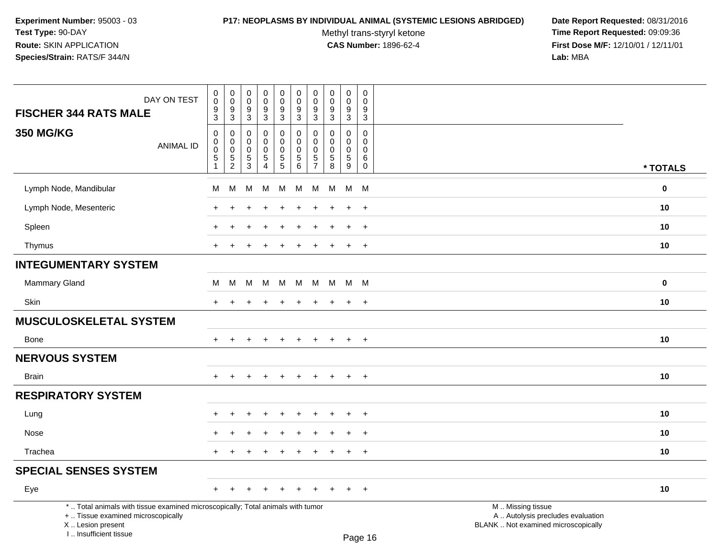### **P17: NEOPLASMS BY INDIVIDUAL ANIMAL (SYSTEMIC LESIONS ABRIDGED) Date Report Requested:** 08/31/2016

Methyl trans-styryl ketone<br>CAS Number: 1896-62-4

| DAY ON TEST                                                                                                                                                         | $\pmb{0}$<br>0                                     | $\pmb{0}$<br>$\mathbf 0$                                   | $\pmb{0}$<br>$\boldsymbol{0}$          | $\pmb{0}$<br>$\pmb{0}$                         | $\pmb{0}$<br>$\mathbf 0$                         | $\pmb{0}$<br>$\mathbf 0$                                                 | 0<br>$\mathbf 0$                                                            | $\mathsf{O}\xspace$<br>$\Omega$                           | $\pmb{0}$<br>0                      | $\mathsf 0$<br>$\Omega$                                       |                                                                                               |          |
|---------------------------------------------------------------------------------------------------------------------------------------------------------------------|----------------------------------------------------|------------------------------------------------------------|----------------------------------------|------------------------------------------------|--------------------------------------------------|--------------------------------------------------------------------------|-----------------------------------------------------------------------------|-----------------------------------------------------------|-------------------------------------|---------------------------------------------------------------|-----------------------------------------------------------------------------------------------|----------|
| <b>FISCHER 344 RATS MALE</b>                                                                                                                                        | $\frac{9}{3}$                                      | 9<br>$\overline{3}$                                        | $\frac{9}{3}$                          | $\boldsymbol{9}$<br>$\overline{3}$             | $\frac{9}{3}$                                    | $9\,$<br>$\overline{3}$                                                  | 9<br>$\mathbf{3}$                                                           | 9<br>$\mathbf{3}$                                         | $\boldsymbol{9}$<br>$\overline{3}$  | 9<br>$\sqrt{3}$                                               |                                                                                               |          |
| <b>350 MG/KG</b><br><b>ANIMAL ID</b>                                                                                                                                | $\mathbf 0$<br>0<br>$\mathbf 0$<br>$\sqrt{5}$<br>1 | $\mathbf 0$<br>$\mathbf 0$<br>$\mathbf 0$<br>$\frac{5}{2}$ | 0<br>0<br>$\mathbf 0$<br>$\frac{5}{3}$ | 0<br>$\mathbf 0$<br>$\pmb{0}$<br>$\frac{5}{4}$ | 0<br>$\mathbf 0$<br>$\mathbf 0$<br>$\frac{5}{5}$ | $\pmb{0}$<br>$\mathbf 0$<br>$\mathbf 0$<br>$\,$ 5 $\,$<br>$\overline{6}$ | $\mathbf{0}$<br>$\mathbf 0$<br>$\mathbf 0$<br>$\,$ 5 $\,$<br>$\overline{7}$ | $\Omega$<br>$\mathbf 0$<br>$\mathbf 0$<br>$\sqrt{5}$<br>8 | $\Omega$<br>0<br>0<br>$\frac{5}{9}$ | $\mathbf 0$<br>$\mathbf 0$<br>$\mathbf 0$<br>6<br>$\mathbf 0$ |                                                                                               | * TOTALS |
| Lymph Node, Mandibular                                                                                                                                              | М                                                  | M                                                          | M                                      | м                                              | M                                                | М                                                                        | M                                                                           | M                                                         | M                                   | <b>M</b>                                                      |                                                                                               | $\bf{0}$ |
| Lymph Node, Mesenteric                                                                                                                                              |                                                    |                                                            |                                        |                                                |                                                  |                                                                          |                                                                             |                                                           | $\div$                              | $\ddot{}$                                                     |                                                                                               | 10       |
| Spleen                                                                                                                                                              |                                                    |                                                            |                                        |                                                |                                                  |                                                                          |                                                                             |                                                           | $\ddot{}$                           | $\ddot{}$                                                     |                                                                                               | 10       |
| Thymus                                                                                                                                                              | $+$                                                | $\ddot{}$                                                  |                                        | $\div$                                         | $\ddot{}$                                        |                                                                          |                                                                             |                                                           | $+$                                 | $+$                                                           |                                                                                               | 10       |
| <b>INTEGUMENTARY SYSTEM</b>                                                                                                                                         |                                                    |                                                            |                                        |                                                |                                                  |                                                                          |                                                                             |                                                           |                                     |                                                               |                                                                                               |          |
| Mammary Gland                                                                                                                                                       | М                                                  | M                                                          | M                                      | M                                              | M                                                | M                                                                        | M                                                                           |                                                           | M M M                               |                                                               |                                                                                               | $\bf{0}$ |
| Skin                                                                                                                                                                | $\ddot{}$                                          | $\ddot{}$                                                  |                                        | $\ddot{}$                                      | +                                                | $\pm$                                                                    | $\ddot{}$                                                                   | $\pm$                                                     | $\ddot{}$                           | $+$                                                           |                                                                                               | 10       |
| <b>MUSCULOSKELETAL SYSTEM</b>                                                                                                                                       |                                                    |                                                            |                                        |                                                |                                                  |                                                                          |                                                                             |                                                           |                                     |                                                               |                                                                                               |          |
| Bone                                                                                                                                                                | $+$                                                | $\overline{ }$                                             |                                        | $\div$                                         | $\ddot{}$                                        | $\pm$                                                                    | $\pm$                                                                       | $\pm$                                                     | $+$                                 | $+$                                                           |                                                                                               | 10       |
| <b>NERVOUS SYSTEM</b>                                                                                                                                               |                                                    |                                                            |                                        |                                                |                                                  |                                                                          |                                                                             |                                                           |                                     |                                                               |                                                                                               |          |
| <b>Brain</b>                                                                                                                                                        | $\div$                                             |                                                            |                                        |                                                |                                                  |                                                                          |                                                                             |                                                           | $\ddot{}$                           | $\overline{+}$                                                |                                                                                               | 10       |
| <b>RESPIRATORY SYSTEM</b>                                                                                                                                           |                                                    |                                                            |                                        |                                                |                                                  |                                                                          |                                                                             |                                                           |                                     |                                                               |                                                                                               |          |
| Lung                                                                                                                                                                |                                                    |                                                            |                                        |                                                |                                                  |                                                                          |                                                                             |                                                           |                                     | $\ddot{}$                                                     |                                                                                               | 10       |
| Nose                                                                                                                                                                |                                                    |                                                            |                                        |                                                |                                                  |                                                                          |                                                                             |                                                           |                                     | $\ddot{}$                                                     |                                                                                               | 10       |
| Trachea                                                                                                                                                             | $+$                                                | $\div$                                                     |                                        | $\ddot{}$                                      | $\ddot{}$                                        | $\ddot{}$                                                                | ÷                                                                           | $\div$                                                    | $\ddot{}$                           | $+$                                                           |                                                                                               | 10       |
| <b>SPECIAL SENSES SYSTEM</b>                                                                                                                                        |                                                    |                                                            |                                        |                                                |                                                  |                                                                          |                                                                             |                                                           |                                     |                                                               |                                                                                               |          |
| Eye                                                                                                                                                                 | $+$                                                | $\ddot{}$                                                  |                                        | $\ddot{}$                                      | $\ddot{}$                                        | $\ddot{}$                                                                | $\ddot{}$                                                                   |                                                           | $\ddot{}$                           | $+$                                                           |                                                                                               | 10       |
| *  Total animals with tissue examined microscopically; Total animals with tumor<br>+  Tissue examined microscopically<br>X  Lesion present<br>I Insufficient tissue |                                                    |                                                            |                                        |                                                |                                                  |                                                                          |                                                                             |                                                           |                                     | D <sub>2</sub> 200                                            | M  Missing tissue<br>A  Autolysis precludes evaluation<br>BLANK  Not examined microscopically |          |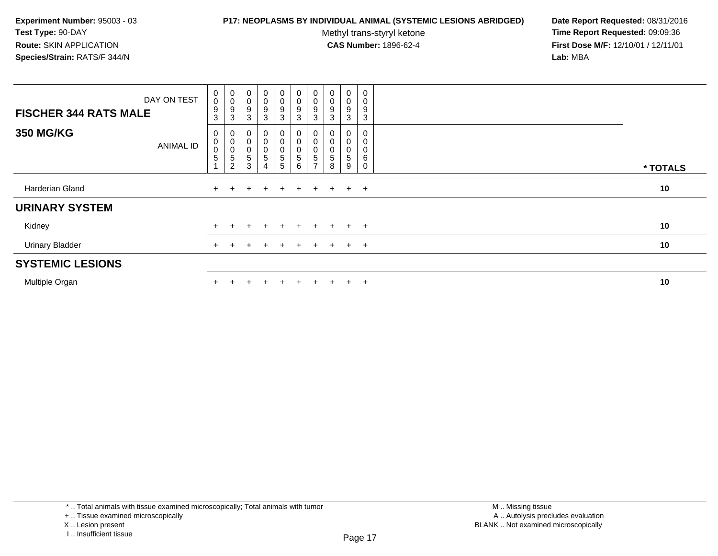### **P17: NEOPLASMS BY INDIVIDUAL ANIMAL (SYSTEMIC LESIONS ABRIDGED) Date Report Requested:** 08/31/2016

Methyl trans-styryl ketone<br>CAS Number: 1896-62-4

| DAY ON TEST<br><b>FISCHER 344 RATS MALE</b> | $\boldsymbol{0}$<br>$\mathsf{O}\xspace$<br>$\boldsymbol{9}$<br>3 | $_{\rm 0}^{\rm 0}$<br>9<br>3                                                        | $\begin{smallmatrix}0\\0\end{smallmatrix}$<br>9<br>3 | $\overline{0}$<br>$\pmb{0}$<br>9<br>3 | $\mathbf 0$<br>0<br>9<br>3                | $\begin{smallmatrix}0\0\0\end{smallmatrix}$<br>$\boldsymbol{9}$<br>3 | $\mathbf 0$<br>$\pmb{0}$<br>$\boldsymbol{9}$<br>3 | $\mathbf 0$<br>$\pmb{0}$<br>9<br>3 | 0<br>0<br>9<br>3      | 0<br>9<br>3 |          |
|---------------------------------------------|------------------------------------------------------------------|-------------------------------------------------------------------------------------|------------------------------------------------------|---------------------------------------|-------------------------------------------|----------------------------------------------------------------------|---------------------------------------------------|------------------------------------|-----------------------|-------------|----------|
| <b>350 MG/KG</b><br><b>ANIMAL ID</b>        | 0<br>$\pmb{0}$<br>$\mathbf 0$<br>$\sqrt{5}$                      | $\begin{smallmatrix} 0 \\ 0 \\ 0 \end{smallmatrix}$<br>$\sqrt{5}$<br>$\overline{c}$ | 0<br>$\pmb{0}$<br>$\boldsymbol{0}$<br>5<br>3         | 0<br>$\pmb{0}$<br>$\pmb{0}$<br>5<br>4 | 0<br>$\mathbf 0$<br>$\mathbf 0$<br>5<br>5 | $\begin{matrix} 0 \\ 0 \end{matrix}$<br>$\pmb{0}$<br>5<br>6          | $\pmb{0}$<br>$\pmb{0}$<br>5                       | $\mathsf 0$<br>0<br>5<br>8         | 0<br>0<br>0<br>5<br>9 | 0<br>6      | * TOTALS |
| Harderian Gland                             | $+$                                                              |                                                                                     | $\pm$                                                | $\pm$                                 | $+$                                       | $+$                                                                  | $+$                                               | $+$                                | $+$                   | $+$         | 10       |
| <b>URINARY SYSTEM</b>                       |                                                                  |                                                                                     |                                                      |                                       |                                           |                                                                      |                                                   |                                    |                       |             |          |
| Kidney                                      |                                                                  |                                                                                     |                                                      |                                       | $+$                                       | $\div$                                                               | $+$                                               | $\div$                             | $\ddot{}$             | $+$         | 10       |
| <b>Urinary Bladder</b>                      |                                                                  |                                                                                     |                                                      |                                       | $+$                                       | $\ddot{}$                                                            | $\pm$                                             | $\pm$                              | $+$                   | $+$         | 10       |
| <b>SYSTEMIC LESIONS</b>                     |                                                                  |                                                                                     |                                                      |                                       |                                           |                                                                      |                                                   |                                    |                       |             |          |
| Multiple Organ                              |                                                                  |                                                                                     |                                                      |                                       |                                           |                                                                      |                                                   |                                    | $\pm$                 | $+$         | 10       |

<sup>+ ..</sup> Tissue examined microscopically

X .. Lesion present

I .. Insufficient tissue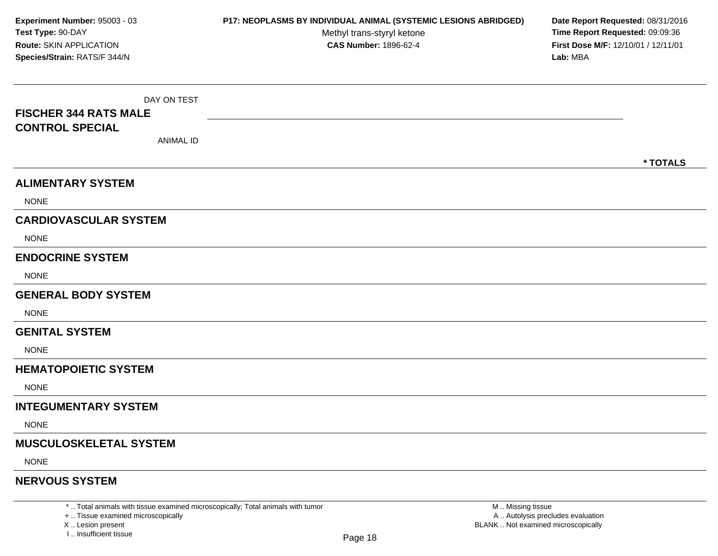DAY ON TEST**FISCHER 344 RATS MALECONTROL SPECIAL**ANIMAL ID**\* TOTALSALIMENTARY SYSTEM**NONE**CARDIOVASCULAR SYSTEM**NONE**ENDOCRINE SYSTEM**NONE**GENERAL BODY SYSTEMNONE GENITAL SYSTEM**NONE**HEMATOPOIETIC SYSTEMNONE INTEGUMENTARY SYSTEM**NONE**MUSCULOSKELETAL SYSTEM**NONE**NERVOUS SYSTEMExperiment Number:** 95003 - 03 **P17: NEOPLASMS BY INDIVIDUAL ANIMAL (SYSTEMIC LESIONS ABRIDGED) Date Report Requested:** 08/31/2016 **Test Type:** 90-DAYMethyl trans-styryl ketone<br>CAS Number: 1896-62-4 **Time Report Requested:** 09:09:36 **Route:** SKIN APPLICATION**First Dose M/F:** 12/10/01 / 12/11/01<br>**Lab:** MBA **Species/Strain:** RATS/F 344/N**Lab:** MBA

\* .. Total animals with tissue examined microscopically; Total animals with tumor

+ .. Tissue examined microscopically

X .. Lesion present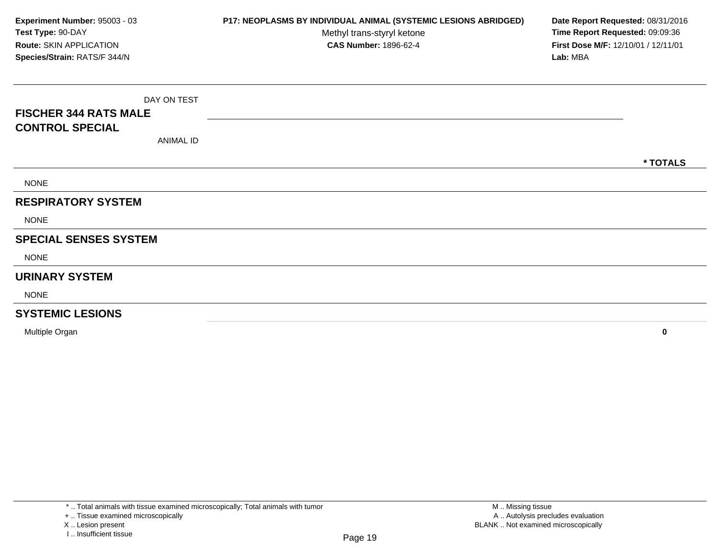DAY ON TEST**FISCHER 344 RATS MALECONTROL SPECIAL**ANIMAL ID**\* TOTALS**NONE**RESPIRATORY SYSTEM**NONE**SPECIAL SENSES SYSTEM**NONE**URINARY SYSTEM**NONE**SYSTEMIC LESIONS**Multiple Organ **<sup>0</sup> Experiment Number:** 95003 - 03 **P17: NEOPLASMS BY INDIVIDUAL ANIMAL (SYSTEMIC LESIONS ABRIDGED) Date Report Requested:** 08/31/2016 **Test Type:** 90-DAYMethyl trans-styryl ketone<br>CAS Number: 1896-62-4 **Time Report Requested:** 09:09:36 **Route:** SKIN APPLICATION**First Dose M/F:** 12/10/01 / 12/11/01<br>**Lab:** MBA **Species/Strain:** RATS/F 344/N**Lab:** MBA

X .. Lesion present

<sup>+ ..</sup> Tissue examined microscopically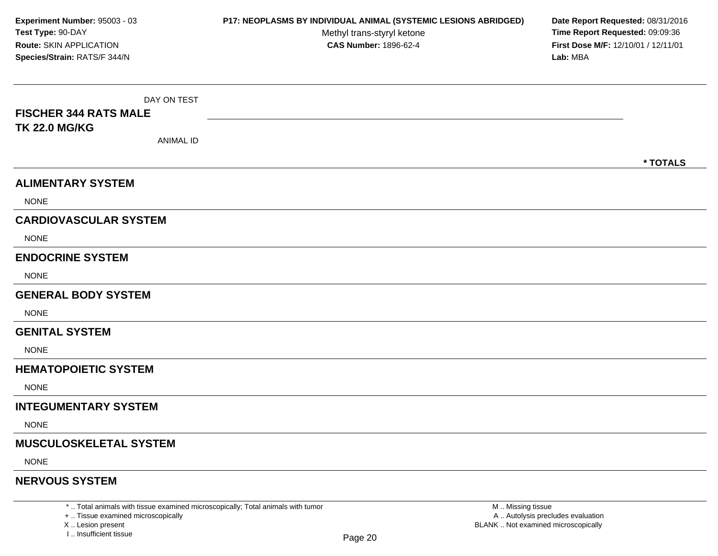DAY ON TEST**FISCHER 344 RATS MALETK 22.0 MG/KG**ANIMAL ID**\* TOTALSALIMENTARY SYSTEM**NONE**CARDIOVASCULAR SYSTEM**NONE**ENDOCRINE SYSTEM**NONE**GENERAL BODY SYSTEMNONE GENITAL SYSTEM**NONE**HEMATOPOIETIC SYSTEMNONE INTEGUMENTARY SYSTEM**NONE**MUSCULOSKELETAL SYSTEM**NONE**NERVOUS SYSTEMExperiment Number:** 95003 - 03 **P17: NEOPLASMS BY INDIVIDUAL ANIMAL (SYSTEMIC LESIONS ABRIDGED) Date Report Requested:** 08/31/2016 **Test Type:** 90-DAYMethyl trans-styryl ketone<br>CAS Number: 1896-62-4 **Time Report Requested:** 09:09:36 **Route:** SKIN APPLICATION**First Dose M/F:** 12/10/01 / 12/11/01<br>**Lab:** MBA **Species/Strain:** RATS/F 344/N**Lab:** MBA

\* .. Total animals with tissue examined microscopically; Total animals with tumor

+ .. Tissue examined microscopically

X .. Lesion present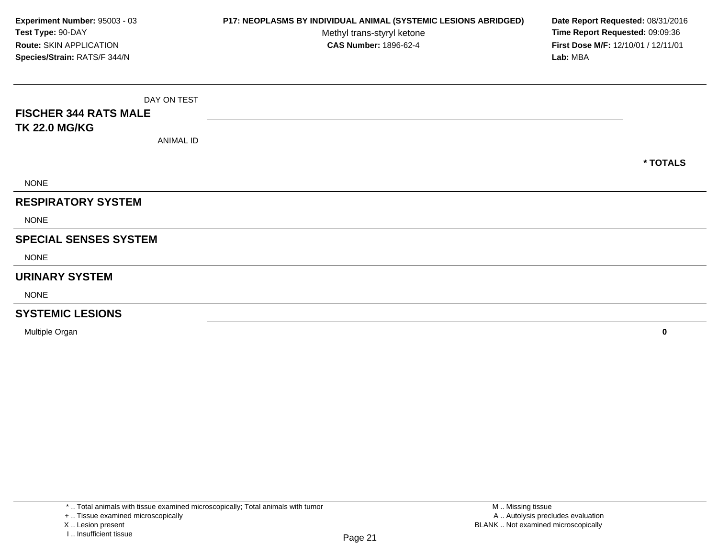DAY ON TEST**FISCHER 344 RATS MALETK 22.0 MG/KG**ANIMAL ID**\* TOTALS**NONE**RESPIRATORY SYSTEMNONE SPECIAL SENSES SYSTEM**NONE**URINARY SYSTEM**NONE**SYSTEMIC LESIONS**Multiple Organ **<sup>0</sup> Experiment Number:** 95003 - 03 **P17: NEOPLASMS BY INDIVIDUAL ANIMAL (SYSTEMIC LESIONS ABRIDGED) Date Report Requested:** 08/31/2016 **Test Type:** 90-DAYMethyl trans-styryl ketone<br>CAS Number: 1896-62-4 **Time Report Requested:** 09:09:36 **Route:** SKIN APPLICATION**First Dose M/F:** 12/10/01 / 12/11/01<br>**Lab:** MBA **Species/Strain:** RATS/F 344/N**Lab:** MBA

<sup>+ ..</sup> Tissue examined microscopically

X .. Lesion present

I .. Insufficient tissue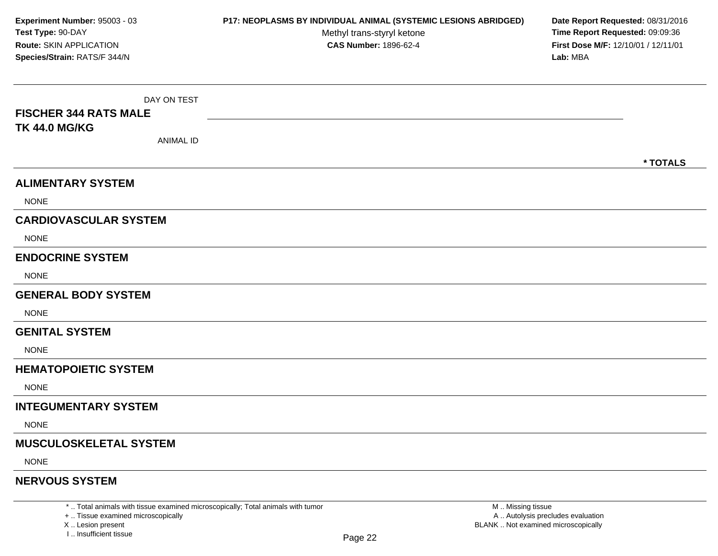DAY ON TEST**FISCHER 344 RATS MALETK 44.0 MG/KG**ANIMAL ID**\* TOTALSALIMENTARY SYSTEM**NONE**CARDIOVASCULAR SYSTEM**NONE**ENDOCRINE SYSTEM**NONE**GENERAL BODY SYSTEMNONE GENITAL SYSTEM**NONE**HEMATOPOIETIC SYSTEMNONE INTEGUMENTARY SYSTEM**NONE**MUSCULOSKELETAL SYSTEM**NONE**NERVOUS SYSTEMExperiment Number:** 95003 - 03 **P17: NEOPLASMS BY INDIVIDUAL ANIMAL (SYSTEMIC LESIONS ABRIDGED) Date Report Requested:** 08/31/2016 **Test Type:** 90-DAYMethyl trans-styryl ketone<br>CAS Number: 1896-62-4 **Time Report Requested:** 09:09:36 **Route:** SKIN APPLICATION**First Dose M/F:** 12/10/01 / 12/11/01<br>**Lab:** MBA **Species/Strain:** RATS/F 344/N**Lab:** MBA

\* .. Total animals with tissue examined microscopically; Total animals with tumor

+ .. Tissue examined microscopically

X .. Lesion present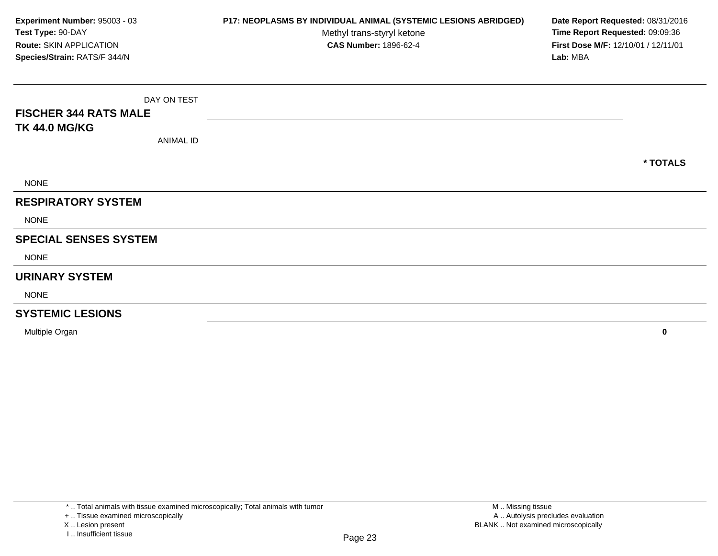DAY ON TEST**FISCHER 344 RATS MALETK 44.0 MG/KG**ANIMAL ID**\* TOTALS**NONE**RESPIRATORY SYSTEMNONE SPECIAL SENSES SYSTEM**NONE**URINARY SYSTEM**NONE**SYSTEMIC LESIONS**Multiple Organ **<sup>0</sup> Experiment Number:** 95003 - 03 **P17: NEOPLASMS BY INDIVIDUAL ANIMAL (SYSTEMIC LESIONS ABRIDGED) Date Report Requested:** 08/31/2016 **Test Type:** 90-DAYMethyl trans-styryl ketone<br>CAS Number: 1896-62-4 **Time Report Requested:** 09:09:36 **Route:** SKIN APPLICATION**First Dose M/F:** 12/10/01 / 12/11/01<br>**Lab:** MBA **Species/Strain:** RATS/F 344/N**Lab:** MBA

+ .. Tissue examined microscopically

X .. Lesion present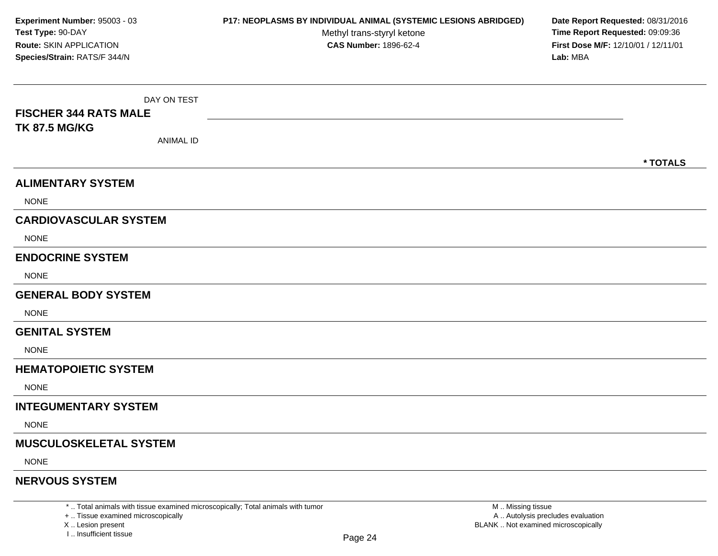DAY ON TEST**FISCHER 344 RATS MALETK 87.5 MG/KG**ANIMAL ID**\* TOTALSALIMENTARY SYSTEM**NONE**CARDIOVASCULAR SYSTEM**NONE**ENDOCRINE SYSTEM**NONE**GENERAL BODY SYSTEMNONE GENITAL SYSTEM**NONE**HEMATOPOIETIC SYSTEMNONE INTEGUMENTARY SYSTEM**NONE**MUSCULOSKELETAL SYSTEM**NONE**NERVOUS SYSTEMExperiment Number:** 95003 - 03 **P17: NEOPLASMS BY INDIVIDUAL ANIMAL (SYSTEMIC LESIONS ABRIDGED) Date Report Requested:** 08/31/2016 **Test Type:** 90-DAYMethyl trans-styryl ketone<br>CAS Number: 1896-62-4 **Time Report Requested:** 09:09:36 **Route:** SKIN APPLICATION**First Dose M/F:** 12/10/01 / 12/11/01<br>**Lab:** MBA **Species/Strain:** RATS/F 344/N**Lab:** MBA

\* .. Total animals with tissue examined microscopically; Total animals with tumor

+ .. Tissue examined microscopically

X .. Lesion present

I .. Insufficient tissue

M .. Missing tissue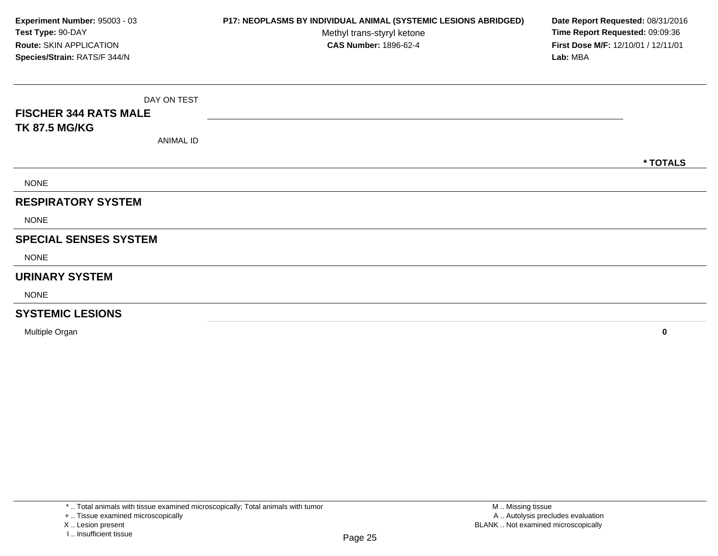DAY ON TEST**FISCHER 344 RATS MALETK 87.5 MG/KG**ANIMAL ID**\* TOTALS**NONE**RESPIRATORY SYSTEMNONE SPECIAL SENSES SYSTEM**NONE**URINARY SYSTEM**NONE**SYSTEMIC LESIONS**Multiple Organ **<sup>0</sup> Experiment Number:** 95003 - 03 **P17: NEOPLASMS BY INDIVIDUAL ANIMAL (SYSTEMIC LESIONS ABRIDGED) Date Report Requested:** 08/31/2016 **Test Type:** 90-DAYMethyl trans-styryl ketone<br>CAS Number: 1896-62-4 **Time Report Requested:** 09:09:36 **Route:** SKIN APPLICATION**First Dose M/F:** 12/10/01 / 12/11/01<br>**Lab:** MBA **Species/Strain:** RATS/F 344/N**Lab:** MBA

<sup>+ ..</sup> Tissue examined microscopically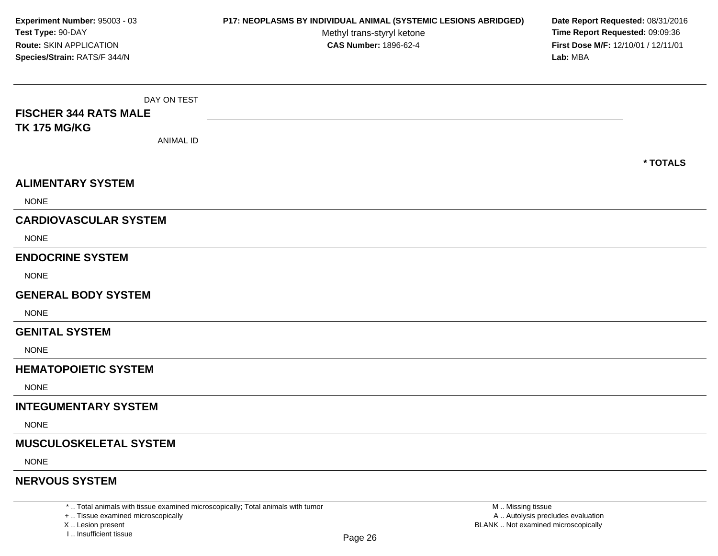DAY ON TEST**FISCHER 344 RATS MALETK 175 MG/KG**ANIMAL ID**\* TOTALSALIMENTARY SYSTEM**NONE**CARDIOVASCULAR SYSTEM**NONE**ENDOCRINE SYSTEM**NONE**GENERAL BODY SYSTEMNONE GENITAL SYSTEM**NONE**HEMATOPOIETIC SYSTEMNONE INTEGUMENTARY SYSTEM**NONE**MUSCULOSKELETAL SYSTEM**NONE**NERVOUS SYSTEMExperiment Number:** 95003 - 03 **P17: NEOPLASMS BY INDIVIDUAL ANIMAL (SYSTEMIC LESIONS ABRIDGED) Date Report Requested:** 08/31/2016 **Test Type:** 90-DAYMethyl trans-styryl ketone<br>CAS Number: 1896-62-4 **Time Report Requested:** 09:09:36 **Route:** SKIN APPLICATION**First Dose M/F:** 12/10/01 / 12/11/01<br>**Lab:** MBA **Species/Strain:** RATS/F 344/N**Lab:** MBA

\* .. Total animals with tissue examined microscopically; Total animals with tumor

+ .. Tissue examined microscopically

X .. Lesion present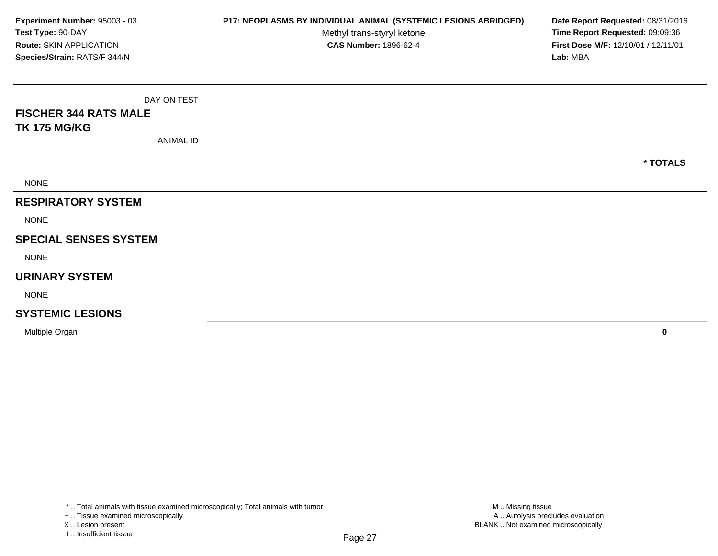DAY ON TEST**FISCHER 344 RATS MALETK 175 MG/KG**ANIMAL ID**\* TOTALS**NONE**RESPIRATORY SYSTEM**NONE**SPECIAL SENSES SYSTEM**NONE**URINARY SYSTEM**NONE**SYSTEMIC LESIONS**Multiple Organ **<sup>0</sup> Experiment Number:** 95003 - 03 **P17: NEOPLASMS BY INDIVIDUAL ANIMAL (SYSTEMIC LESIONS ABRIDGED) Date Report Requested:** 08/31/2016 **Test Type:** 90-DAYMethyl trans-styryl ketone<br>CAS Number: 1896-62-4 **Time Report Requested:** 09:09:36 **Route:** SKIN APPLICATION**First Dose M/F:** 12/10/01 / 12/11/01<br>**Lab:** MBA **Species/Strain:** RATS/F 344/N**Lab:** MBA

<sup>+ ..</sup> Tissue examined microscopically

X .. Lesion present

I .. Insufficient tissue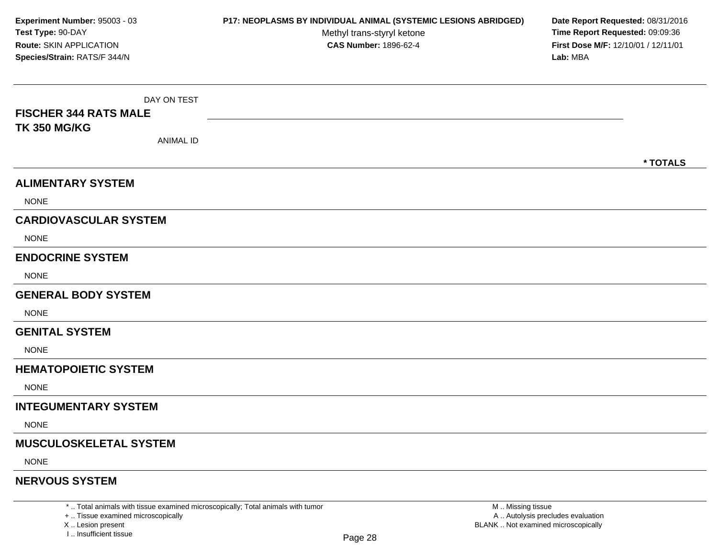DAY ON TEST**FISCHER 344 RATS MALETK 350 MG/KG**ANIMAL ID**\* TOTALSALIMENTARY SYSTEM**NONE**CARDIOVASCULAR SYSTEM**NONE**ENDOCRINE SYSTEM**NONE**GENERAL BODY SYSTEMNONE GENITAL SYSTEM**NONE**HEMATOPOIETIC SYSTEMNONE INTEGUMENTARY SYSTEM**NONE**MUSCULOSKELETAL SYSTEM**NONE**NERVOUS SYSTEMExperiment Number:** 95003 - 03 **P17: NEOPLASMS BY INDIVIDUAL ANIMAL (SYSTEMIC LESIONS ABRIDGED) Date Report Requested:** 08/31/2016 **Test Type:** 90-DAYMethyl trans-styryl ketone<br>CAS Number: 1896-62-4 **Time Report Requested:** 09:09:36 **Route:** SKIN APPLICATION**First Dose M/F:** 12/10/01 / 12/11/01<br>**Lab:** MBA **Species/Strain:** RATS/F 344/N**Lab:** MBA

\* .. Total animals with tissue examined microscopically; Total animals with tumor

+ .. Tissue examined microscopically

X .. Lesion present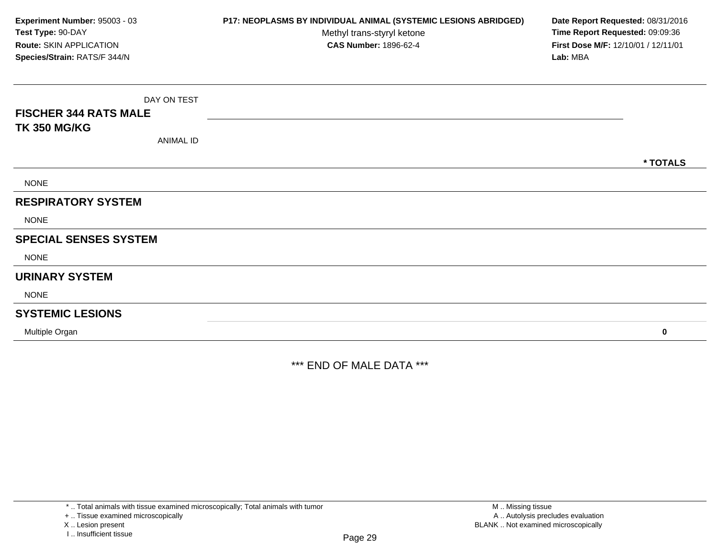DAY ON TEST**FISCHER 344 RATS MALETK 350 MG/KG**ANIMAL ID**\* TOTALS**NONE**RESPIRATORY SYSTEMNONE SPECIAL SENSES SYSTEM**NONE**URINARY SYSTEM**NONE**SYSTEMIC LESIONS**Multiple Organ **<sup>0</sup> Experiment Number:** 95003 - 03 **P17: NEOPLASMS BY INDIVIDUAL ANIMAL (SYSTEMIC LESIONS ABRIDGED) Date Report Requested:** 08/31/2016 **Test Type:** 90-DAYMethyl trans-styryl ketone<br>CAS Number: 1896-62-4 **Time Report Requested:** 09:09:36 **Route:** SKIN APPLICATION**First Dose M/F:** 12/10/01 / 12/11/01<br>**Lab:** MBA **Species/Strain:** RATS/F 344/N**Lab:** MBA

\*\*\* END OF MALE DATA \*\*\*

\* .. Total animals with tissue examined microscopically; Total animals with tumor

+ .. Tissue examined microscopically

X .. Lesion present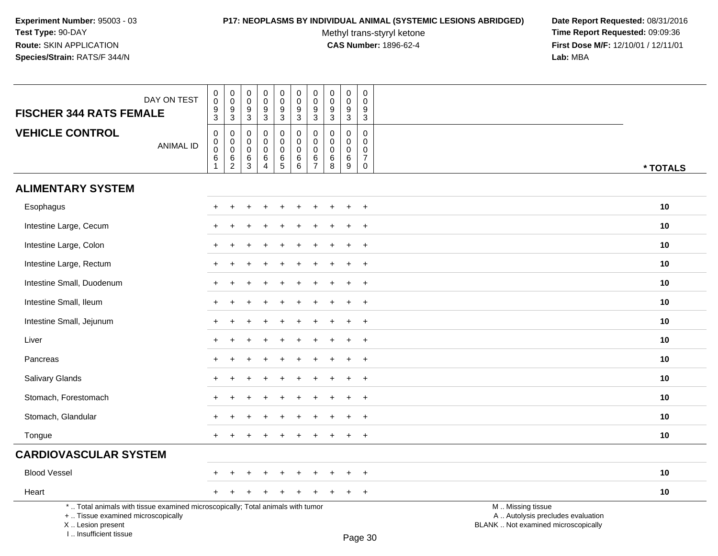# **P17: NEOPLASMS BY INDIVIDUAL ANIMAL (SYSTEMIC LESIONS ABRIDGED) Date Report Requested:** 08/31/2016

Methyl trans-styryl ketone<br>CAS Number: 1896-62-4

 **Time Report Requested:** 09:09:36 **First Dose M/F:** 12/10/01 / 12/11/01<br>Lab: MBA **Lab:** MBA

| DAY ON TEST                                                                                                                                                         | $\pmb{0}$<br>$\ddot{\mathbf{0}}$                                  | $\pmb{0}$<br>$\mathbf 0$                               | $\mathbf 0$<br>$\mathbf 0$                      | $\pmb{0}$<br>$\mathbf 0$                                         | $\pmb{0}$<br>$\mathbf 0$                                  | $\pmb{0}$<br>$\overline{0}$                   | $\pmb{0}$<br>$\overline{0}$                                | $\mathbf 0$<br>$\mathbf 0$                          | $\pmb{0}$<br>$\mathbf 0$                                 | $\pmb{0}$<br>$\mathbf 0$                                              |                                                                                               |          |
|---------------------------------------------------------------------------------------------------------------------------------------------------------------------|-------------------------------------------------------------------|--------------------------------------------------------|-------------------------------------------------|------------------------------------------------------------------|-----------------------------------------------------------|-----------------------------------------------|------------------------------------------------------------|-----------------------------------------------------|----------------------------------------------------------|-----------------------------------------------------------------------|-----------------------------------------------------------------------------------------------|----------|
| <b>FISCHER 344 RATS FEMALE</b>                                                                                                                                      | $\frac{9}{3}$                                                     | $\frac{9}{3}$                                          | 9<br>$\mathbf{3}$                               | $\frac{9}{3}$                                                    | $\frac{9}{3}$                                             | $\frac{9}{3}$                                 | $\frac{9}{3}$                                              | $\frac{9}{3}$                                       | $\frac{9}{3}$                                            | 9<br>$\mathbf{3}$                                                     |                                                                                               |          |
| <b>VEHICLE CONTROL</b><br><b>ANIMAL ID</b>                                                                                                                          | $\boldsymbol{0}$<br>0<br>$\mathbf 0$<br>$\,6\,$<br>$\overline{1}$ | $\mathbf 0$<br>0<br>$\mathbf 0$<br>6<br>$\overline{c}$ | $\mathbf 0$<br>0<br>$\mathbf 0$<br>$\,6\,$<br>3 | $\mathbf 0$<br>$\mathbf 0$<br>$\mathbf 0$<br>6<br>$\overline{4}$ | $\mathsf{O}$<br>$\mathbf 0$<br>$\mathsf{O}$<br>$6\over 5$ | 0<br>$\mathbf 0$<br>$\mathbf 0$<br>$^6_{\ 6}$ | $\mathbf 0$<br>$\mathbf 0$<br>$\mathbf 0$<br>$\frac{6}{7}$ | $\mathbf 0$<br>$\mathbf 0$<br>$\mathbf 0$<br>6<br>8 | $\mathbf 0$<br>$\Omega$<br>$\mathbf 0$<br>$\,6$<br>$9\,$ | $\mathbf 0$<br>$\Omega$<br>$\mathbf 0$<br>$\overline{7}$<br>$\pmb{0}$ |                                                                                               | * TOTALS |
| <b>ALIMENTARY SYSTEM</b>                                                                                                                                            |                                                                   |                                                        |                                                 |                                                                  |                                                           |                                               |                                                            |                                                     |                                                          |                                                                       |                                                                                               |          |
| Esophagus                                                                                                                                                           |                                                                   |                                                        |                                                 |                                                                  |                                                           |                                               |                                                            |                                                     |                                                          | $+$                                                                   |                                                                                               | 10       |
| Intestine Large, Cecum                                                                                                                                              |                                                                   |                                                        |                                                 |                                                                  |                                                           |                                               |                                                            |                                                     |                                                          | $\ddot{}$                                                             |                                                                                               | 10       |
| Intestine Large, Colon                                                                                                                                              |                                                                   |                                                        |                                                 |                                                                  |                                                           |                                               |                                                            |                                                     |                                                          | $\ddot{}$                                                             |                                                                                               | 10       |
| Intestine Large, Rectum                                                                                                                                             |                                                                   |                                                        |                                                 |                                                                  |                                                           |                                               |                                                            |                                                     |                                                          | $\ddot{}$                                                             |                                                                                               | 10       |
| Intestine Small, Duodenum                                                                                                                                           | $+$                                                               |                                                        |                                                 |                                                                  |                                                           |                                               |                                                            |                                                     | $\div$                                                   | $+$                                                                   |                                                                                               | 10       |
| Intestine Small, Ileum                                                                                                                                              | $+$                                                               |                                                        |                                                 |                                                                  |                                                           |                                               |                                                            |                                                     |                                                          | $+$                                                                   |                                                                                               | 10       |
| Intestine Small, Jejunum                                                                                                                                            |                                                                   |                                                        |                                                 |                                                                  |                                                           |                                               |                                                            |                                                     |                                                          | $+$                                                                   |                                                                                               | 10       |
| Liver                                                                                                                                                               |                                                                   |                                                        |                                                 |                                                                  |                                                           |                                               |                                                            |                                                     |                                                          | $\ddot{}$                                                             |                                                                                               | 10       |
| Pancreas                                                                                                                                                            | $\ddot{}$                                                         |                                                        |                                                 |                                                                  |                                                           |                                               |                                                            |                                                     |                                                          | $\overline{+}$                                                        |                                                                                               | 10       |
| Salivary Glands                                                                                                                                                     |                                                                   |                                                        |                                                 |                                                                  |                                                           |                                               |                                                            |                                                     |                                                          | $\ddot{}$                                                             |                                                                                               | 10       |
| Stomach, Forestomach                                                                                                                                                |                                                                   |                                                        |                                                 |                                                                  |                                                           |                                               |                                                            |                                                     |                                                          | $\overline{+}$                                                        |                                                                                               | 10       |
| Stomach, Glandular                                                                                                                                                  | $+$                                                               |                                                        |                                                 |                                                                  |                                                           |                                               |                                                            |                                                     | $\ddot{}$                                                | $+$                                                                   |                                                                                               | 10       |
| Tongue                                                                                                                                                              | $+$                                                               |                                                        |                                                 |                                                                  |                                                           |                                               |                                                            |                                                     | $\pm$                                                    | $+$                                                                   |                                                                                               | 10       |
| <b>CARDIOVASCULAR SYSTEM</b>                                                                                                                                        |                                                                   |                                                        |                                                 |                                                                  |                                                           |                                               |                                                            |                                                     |                                                          |                                                                       |                                                                                               |          |
| <b>Blood Vessel</b>                                                                                                                                                 |                                                                   |                                                        |                                                 |                                                                  |                                                           |                                               |                                                            |                                                     |                                                          | $\div$                                                                |                                                                                               | 10       |
| Heart                                                                                                                                                               | $\pm$                                                             | $\div$                                                 |                                                 |                                                                  |                                                           |                                               |                                                            |                                                     | $\ddot{}$                                                | $+$                                                                   |                                                                                               | 10       |
| *  Total animals with tissue examined microscopically; Total animals with tumor<br>+  Tissue examined microscopically<br>X  Lesion present<br>I Insufficient tissue |                                                                   |                                                        |                                                 |                                                                  |                                                           |                                               |                                                            |                                                     |                                                          | $D_{200}$ 20                                                          | M  Missing tissue<br>A  Autolysis precludes evaluation<br>BLANK  Not examined microscopically |          |

Page 30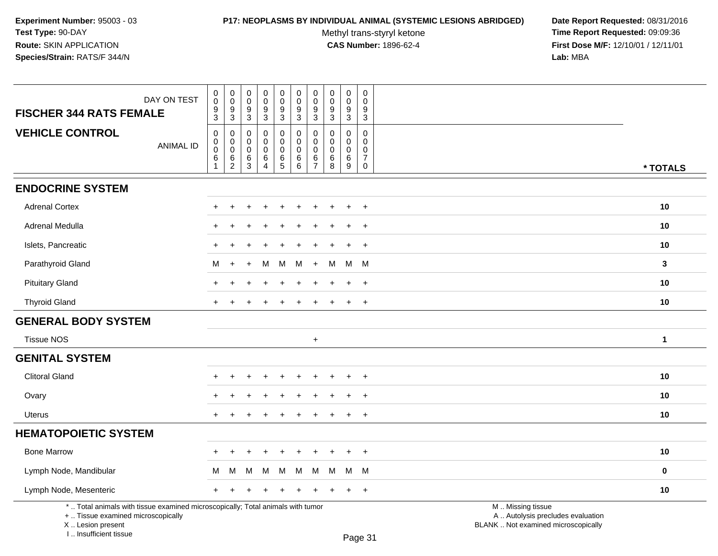I .. Insufficient tissue

### **P17: NEOPLASMS BY INDIVIDUAL ANIMAL (SYSTEMIC LESIONS ABRIDGED) Date Report Requested:** 08/31/2016

Methyl trans-styryl ketone<br>CAS Number: 1896-62-4

| DAY ON TEST<br><b>FISCHER 344 RATS FEMALE</b>                                                                                              | $\pmb{0}$<br>$\ddot{\mathbf{0}}$<br>9<br>$\overline{3}$ | $\pmb{0}$<br>$\ddot{\mathbf{0}}$<br>9<br>$\overline{3}$      | $\mathbf 0$<br>$\mathbf 0$<br>9<br>$\mathbf{3}$ | $\pmb{0}$<br>$\overline{0}$<br>$\boldsymbol{9}$<br>$\sqrt{3}$  | $\pmb{0}$<br>$\pmb{0}$<br>$\boldsymbol{9}$<br>$\mathbf{3}$ | $\pmb{0}$<br>$\pmb{0}$<br>9<br>3                    | $\pmb{0}$<br>$\pmb{0}$<br>9<br>$\mathbf{3}$            | $\pmb{0}$<br>$\mathbf 0$<br>9<br>3        | $\pmb{0}$<br>$\pmb{0}$<br>$\boldsymbol{9}$<br>$\mathbf{3}$    | $\mathsf{O}\xspace$<br>$\mathbf 0$<br>9<br>$\sqrt{3}$            |                                                                                               |              |
|--------------------------------------------------------------------------------------------------------------------------------------------|---------------------------------------------------------|--------------------------------------------------------------|-------------------------------------------------|----------------------------------------------------------------|------------------------------------------------------------|-----------------------------------------------------|--------------------------------------------------------|-------------------------------------------|---------------------------------------------------------------|------------------------------------------------------------------|-----------------------------------------------------------------------------------------------|--------------|
| <b>VEHICLE CONTROL</b><br><b>ANIMAL ID</b>                                                                                                 | 0<br>$\pmb{0}$<br>$\pmb{0}$<br>$\,6$<br>-1              | 0<br>$\mathsf 0$<br>$\mathbf 0$<br>$\,6\,$<br>$\overline{2}$ | 0<br>0<br>0<br>6<br>3                           | 0<br>$\pmb{0}$<br>$\pmb{0}$<br>$\,6$<br>$\boldsymbol{\Lambda}$ | 0<br>$\mathsf 0$<br>$\mathbf 0$<br>$\,6\,$<br>$\sqrt{5}$   | 0<br>$\mathbf 0$<br>$\pmb{0}$<br>$\,6\,$<br>$\,6\,$ | 0<br>$\mathbf 0$<br>$\mathbf 0$<br>6<br>$\overline{7}$ | $\Omega$<br>$\Omega$<br>0<br>$\,6\,$<br>8 | $\mathbf 0$<br>$\mathbf 0$<br>$\mathbf 0$<br>$\,6\,$<br>$9\,$ | $\mathbf 0$<br>0<br>$\mathbf 0$<br>$\overline{7}$<br>$\mathsf 0$ |                                                                                               | * TOTALS     |
| <b>ENDOCRINE SYSTEM</b>                                                                                                                    |                                                         |                                                              |                                                 |                                                                |                                                            |                                                     |                                                        |                                           |                                                               |                                                                  |                                                                                               |              |
| <b>Adrenal Cortex</b>                                                                                                                      |                                                         | $\div$                                                       |                                                 |                                                                | $\div$                                                     |                                                     |                                                        |                                           | ÷                                                             | $^{+}$                                                           |                                                                                               | 10           |
| Adrenal Medulla                                                                                                                            |                                                         |                                                              |                                                 |                                                                |                                                            |                                                     |                                                        |                                           |                                                               | $\overline{+}$                                                   |                                                                                               | 10           |
| Islets, Pancreatic                                                                                                                         |                                                         |                                                              |                                                 |                                                                |                                                            |                                                     |                                                        |                                           |                                                               | $\ddot{}$                                                        |                                                                                               | 10           |
| Parathyroid Gland                                                                                                                          | M                                                       |                                                              |                                                 | м                                                              | м                                                          | M                                                   | $\ddot{+}$                                             | M                                         | M M                                                           |                                                                  |                                                                                               | $\mathbf{3}$ |
| <b>Pituitary Gland</b>                                                                                                                     |                                                         |                                                              |                                                 |                                                                |                                                            |                                                     |                                                        |                                           |                                                               | $+$                                                              |                                                                                               | 10           |
| <b>Thyroid Gland</b>                                                                                                                       | $+$                                                     |                                                              |                                                 |                                                                | ÷.                                                         |                                                     |                                                        |                                           | $\ddot{}$                                                     | $+$                                                              |                                                                                               | 10           |
| <b>GENERAL BODY SYSTEM</b>                                                                                                                 |                                                         |                                                              |                                                 |                                                                |                                                            |                                                     |                                                        |                                           |                                                               |                                                                  |                                                                                               |              |
| <b>Tissue NOS</b>                                                                                                                          |                                                         |                                                              |                                                 |                                                                |                                                            |                                                     | $+$                                                    |                                           |                                                               |                                                                  |                                                                                               | $\mathbf{1}$ |
| <b>GENITAL SYSTEM</b>                                                                                                                      |                                                         |                                                              |                                                 |                                                                |                                                            |                                                     |                                                        |                                           |                                                               |                                                                  |                                                                                               |              |
| <b>Clitoral Gland</b>                                                                                                                      |                                                         |                                                              |                                                 |                                                                |                                                            |                                                     |                                                        |                                           |                                                               |                                                                  |                                                                                               | 10           |
| Ovary                                                                                                                                      |                                                         |                                                              |                                                 |                                                                |                                                            |                                                     |                                                        |                                           |                                                               | $\overline{+}$                                                   |                                                                                               | 10           |
| <b>Uterus</b>                                                                                                                              | $+$                                                     |                                                              |                                                 |                                                                |                                                            |                                                     |                                                        |                                           | $\ddot{}$                                                     | $+$                                                              |                                                                                               | 10           |
| <b>HEMATOPOIETIC SYSTEM</b>                                                                                                                |                                                         |                                                              |                                                 |                                                                |                                                            |                                                     |                                                        |                                           |                                                               |                                                                  |                                                                                               |              |
| <b>Bone Marrow</b>                                                                                                                         |                                                         |                                                              |                                                 |                                                                |                                                            |                                                     |                                                        |                                           |                                                               | $\ddot{}$                                                        |                                                                                               | 10           |
| Lymph Node, Mandibular                                                                                                                     | M                                                       | M                                                            | M                                               | M                                                              | м                                                          | M                                                   | M                                                      | M                                         | м                                                             | - M                                                              |                                                                                               | $\bf{0}$     |
| Lymph Node, Mesenteric                                                                                                                     | $^+$                                                    |                                                              |                                                 |                                                                |                                                            |                                                     |                                                        |                                           | ÷                                                             | $+$                                                              |                                                                                               | 10           |
| *  Total animals with tissue examined microscopically; Total animals with tumor<br>+  Tissue examined microscopically<br>X  Lesion present |                                                         |                                                              |                                                 |                                                                |                                                            |                                                     |                                                        |                                           |                                                               |                                                                  | M  Missing tissue<br>A  Autolysis precludes evaluation<br>BLANK  Not examined microscopically |              |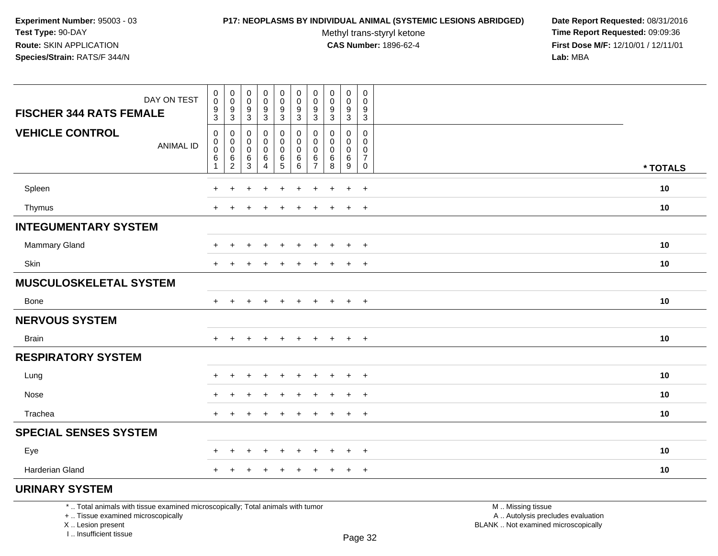#### **P17: NEOPLASMS BY INDIVIDUAL ANIMAL (SYSTEMIC LESIONS ABRIDGED) Date Report Requested:** 08/31/2016

Methyl trans-styryl ketone<br>CAS Number: 1896-62-4

 **Time Report Requested:** 09:09:36 **First Dose M/F:** 12/10/01 / 12/11/01<br>**Lab:** MBA **Lab:** MBA

| <b>VEHICLE CONTROL</b><br>$\pmb{0}$<br>$\boldsymbol{0}$<br>$\pmb{0}$<br>0<br>0<br>0<br>0<br>0<br>0<br>0<br>$\boldsymbol{0}$<br>$\mathbf 0$<br>$\mathbf 0$<br>0<br>$\mathbf 0$<br>$\mathbf 0$<br>$\mathbf 0$<br>$\mathbf 0$<br>$\mathbf 0$<br>0<br><b>ANIMAL ID</b><br>$\overline{0}$<br>$\mathbf 0$<br>0<br>0<br>$\mathbf 0$<br>$\mathbf 0$<br>$\mathbf 0$<br>0<br>0<br>0<br>$\frac{6}{2}$<br>$\,6\,$<br>$\,6$<br>$\frac{6}{5}$<br>$^6_{\ 6}$<br>6<br>$\,6\,$<br>$\overline{7}$<br>$\,6$<br>6<br>$\overline{3}$<br>$\overline{7}$<br>$\overline{8}$<br>$\overline{9}$<br>$\overline{4}$<br>$\mathbf 0$<br>* TOTALS<br>Spleen<br>10<br>$\ddot{}$<br>+<br>$\ddot{}$<br>$\ddot{}$<br>$\ddot{}$<br>$\ddot{}$<br>$\ddot{}$<br>$+$<br>$+$<br>$\ddot{}$<br>10<br>Thymus<br>$\ddot{}$<br>$\overline{+}$<br>$\ddot{}$<br><b>INTEGUMENTARY SYSTEM</b><br>Mammary Gland<br>10<br>$\ddot{}$<br>$+$<br>$\ddot{}$<br>$\ddot{}$<br>$\pm$<br>+<br>÷<br>$\div$<br>$\pm$<br>$\div$<br>Skin<br>10<br>$\ddot{}$<br>$\ddot{}$<br>$\overline{+}$<br><b>MUSCULOSKELETAL SYSTEM</b><br>10<br>Bone<br>$+$<br>$+$<br>$+$<br>$+$<br>$+$<br>$+$<br>÷.<br>$\ddot{}$<br>$+$<br>$+$<br><b>NERVOUS SYSTEM</b><br>10<br><b>Brain</b><br>$+$<br>$+$<br>$\ddot{}$<br>$\div$<br>$\ddot{}$<br>$+$<br>$+$<br>$^{+}$<br>÷<br>$\ddot{}$<br><b>RESPIRATORY SYSTEM</b><br>10<br>Lung<br>$+$<br>$\ddot{}$<br>$\ddot{}$ |  |
|-----------------------------------------------------------------------------------------------------------------------------------------------------------------------------------------------------------------------------------------------------------------------------------------------------------------------------------------------------------------------------------------------------------------------------------------------------------------------------------------------------------------------------------------------------------------------------------------------------------------------------------------------------------------------------------------------------------------------------------------------------------------------------------------------------------------------------------------------------------------------------------------------------------------------------------------------------------------------------------------------------------------------------------------------------------------------------------------------------------------------------------------------------------------------------------------------------------------------------------------------------------------------------------------------------------------------------------------------------------------------------|--|
|                                                                                                                                                                                                                                                                                                                                                                                                                                                                                                                                                                                                                                                                                                                                                                                                                                                                                                                                                                                                                                                                                                                                                                                                                                                                                                                                                                             |  |
|                                                                                                                                                                                                                                                                                                                                                                                                                                                                                                                                                                                                                                                                                                                                                                                                                                                                                                                                                                                                                                                                                                                                                                                                                                                                                                                                                                             |  |
|                                                                                                                                                                                                                                                                                                                                                                                                                                                                                                                                                                                                                                                                                                                                                                                                                                                                                                                                                                                                                                                                                                                                                                                                                                                                                                                                                                             |  |
|                                                                                                                                                                                                                                                                                                                                                                                                                                                                                                                                                                                                                                                                                                                                                                                                                                                                                                                                                                                                                                                                                                                                                                                                                                                                                                                                                                             |  |
|                                                                                                                                                                                                                                                                                                                                                                                                                                                                                                                                                                                                                                                                                                                                                                                                                                                                                                                                                                                                                                                                                                                                                                                                                                                                                                                                                                             |  |
|                                                                                                                                                                                                                                                                                                                                                                                                                                                                                                                                                                                                                                                                                                                                                                                                                                                                                                                                                                                                                                                                                                                                                                                                                                                                                                                                                                             |  |
|                                                                                                                                                                                                                                                                                                                                                                                                                                                                                                                                                                                                                                                                                                                                                                                                                                                                                                                                                                                                                                                                                                                                                                                                                                                                                                                                                                             |  |
|                                                                                                                                                                                                                                                                                                                                                                                                                                                                                                                                                                                                                                                                                                                                                                                                                                                                                                                                                                                                                                                                                                                                                                                                                                                                                                                                                                             |  |
|                                                                                                                                                                                                                                                                                                                                                                                                                                                                                                                                                                                                                                                                                                                                                                                                                                                                                                                                                                                                                                                                                                                                                                                                                                                                                                                                                                             |  |
|                                                                                                                                                                                                                                                                                                                                                                                                                                                                                                                                                                                                                                                                                                                                                                                                                                                                                                                                                                                                                                                                                                                                                                                                                                                                                                                                                                             |  |
|                                                                                                                                                                                                                                                                                                                                                                                                                                                                                                                                                                                                                                                                                                                                                                                                                                                                                                                                                                                                                                                                                                                                                                                                                                                                                                                                                                             |  |
|                                                                                                                                                                                                                                                                                                                                                                                                                                                                                                                                                                                                                                                                                                                                                                                                                                                                                                                                                                                                                                                                                                                                                                                                                                                                                                                                                                             |  |
| Nose<br>10<br>$\overline{+}$<br>$\ddot{}$<br>$\div$                                                                                                                                                                                                                                                                                                                                                                                                                                                                                                                                                                                                                                                                                                                                                                                                                                                                                                                                                                                                                                                                                                                                                                                                                                                                                                                         |  |
| Trachea<br>10<br>$+$<br>$\ddot{}$<br>$+$<br>÷                                                                                                                                                                                                                                                                                                                                                                                                                                                                                                                                                                                                                                                                                                                                                                                                                                                                                                                                                                                                                                                                                                                                                                                                                                                                                                                               |  |
| <b>SPECIAL SENSES SYSTEM</b>                                                                                                                                                                                                                                                                                                                                                                                                                                                                                                                                                                                                                                                                                                                                                                                                                                                                                                                                                                                                                                                                                                                                                                                                                                                                                                                                                |  |
| Eye<br>10<br>$\ddot{}$<br>$+$<br>$\ddot{}$<br>$+$<br>$\ddot{}$<br>÷<br>+                                                                                                                                                                                                                                                                                                                                                                                                                                                                                                                                                                                                                                                                                                                                                                                                                                                                                                                                                                                                                                                                                                                                                                                                                                                                                                    |  |
| Harderian Gland<br>10<br>$+$<br>$+$<br>$\ddot{}$                                                                                                                                                                                                                                                                                                                                                                                                                                                                                                                                                                                                                                                                                                                                                                                                                                                                                                                                                                                                                                                                                                                                                                                                                                                                                                                            |  |
| <b>URINARY SYSTEM</b>                                                                                                                                                                                                                                                                                                                                                                                                                                                                                                                                                                                                                                                                                                                                                                                                                                                                                                                                                                                                                                                                                                                                                                                                                                                                                                                                                       |  |

\* .. Total animals with tissue examined microscopically; Total animals with tumor

+ .. Tissue examined microscopically

 Lesion present BLANK .. Not examined microscopicallyX .. Lesion present

I .. Insufficient tissue

 M .. Missing tissuey the contract of the contract of the contract of the contract of the contract of  $\mathsf A$  . Autolysis precludes evaluation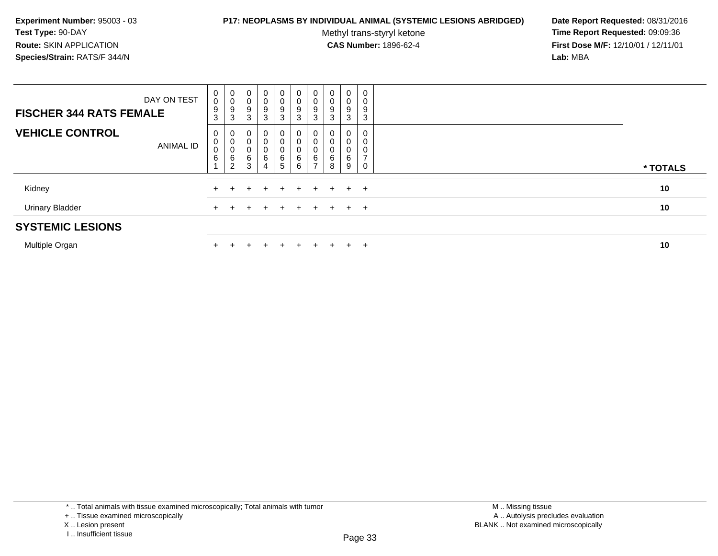### **P17: NEOPLASMS BY INDIVIDUAL ANIMAL (SYSTEMIC LESIONS ABRIDGED) Date Report Requested:** 08/31/2016

Methyl trans-styryl ketone<br>CAS Number: 1896-62-4

 **Time Report Requested:** 09:09:36 **First Dose M/F:** 12/10/01 / 12/11/01<br>**Lab:** MBA **Lab:** MBA

| <b>Urinary Bladder</b><br><b>SYSTEMIC LESIONS</b> |             |                                             |                               |                  | ÷                           | $\div$                        | $+$                                 | $+$              | $+$    |                            | $+$ $+$          | 10       |
|---------------------------------------------------|-------------|---------------------------------------------|-------------------------------|------------------|-----------------------------|-------------------------------|-------------------------------------|------------------|--------|----------------------------|------------------|----------|
| Kidney                                            |             |                                             |                               |                  | $+$                         | $+$                           | $+$ $-$                             | $+$ $-$          | $+$    |                            | $+$ $+$          | 10       |
| <b>VEHICLE CONTROL</b>                            | ANIMAL ID   | 0<br>$\overline{0}$<br>$\pmb{0}$<br>$\,6\,$ | 0<br>0<br>6<br>$\sim$         | 0<br>0<br>6<br>3 | 0<br>0<br>0<br>6<br>4       | 0<br>0<br>0<br>$\frac{6}{5}$  | 0<br>$\pmb{0}$<br>0<br>$\,6\,$<br>6 | 0<br>0<br>0<br>6 | 6<br>8 | 0<br>0<br>0<br>6<br>9      | 0<br>0           | * TOTALS |
| <b>FISCHER 344 RATS FEMALE</b>                    | DAY ON TEST | 0<br>$\pmb{0}$<br>$9\,$<br>3                | $\overline{0}$<br>0<br>9<br>3 | 0<br>0<br>9<br>3 | $\mathbf{0}$<br>0<br>9<br>3 | $\overline{0}$<br>0<br>9<br>3 | 0<br>0<br>$\boldsymbol{9}$<br>3     | 0<br>0<br>9<br>3 | 0      | 0<br>$\mathbf 0$<br>9<br>3 | 0<br>0<br>9<br>3 |          |

Multiple Organn  $+$ 

<sup>+</sup> <sup>+</sup> <sup>+</sup> <sup>+</sup> <sup>+</sup> <sup>+</sup> <sup>+</sup> <sup>+</sup> <sup>+</sup> **<sup>10</sup>**

\* .. Total animals with tissue examined microscopically; Total animals with tumor

+ .. Tissue examined microscopically

X .. Lesion present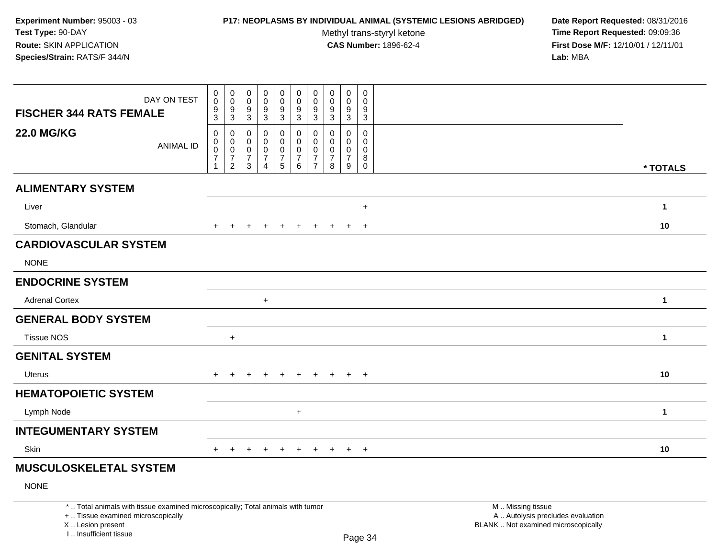# **P17: NEOPLASMS BY INDIVIDUAL ANIMAL (SYSTEMIC LESIONS ABRIDGED) Date Report Requested:** 08/31/2016

Methyl trans-styryl ketone<br>CAS Number: 1896-62-4

| DAY ON TEST<br><b>FISCHER 344 RATS FEMALE</b>                                                                                                                         | $\pmb{0}$<br>$\mathsf{O}\xspace$<br>$\boldsymbol{9}$<br>$\sqrt{3}$     | $\mathbf 0$<br>$\ddot{\mathbf{0}}$<br>$\frac{9}{3}$                         | $\pmb{0}$<br>$\pmb{0}$<br>$\boldsymbol{9}$<br>$\mathbf{3}$       | $\mathbf 0$<br>$\ddot{\mathbf{0}}$<br>$\frac{9}{3}$            | 0<br>$\pmb{0}$<br>$\boldsymbol{9}$<br>3                  | $\pmb{0}$<br>$\boldsymbol{0}$<br>$9\,$<br>$\mathbf{3}$                      | $\mathbf 0$<br>0<br>9<br>3                                | $\mathbf 0$<br>$\pmb{0}$<br>9<br>$\mathbf{3}$       | $\pmb{0}$<br>$\mathsf{O}\xspace$<br>$\boldsymbol{9}$<br>$\mathbf{3}$ | $\mathbf 0$<br>$\mathbf 0$<br>9<br>$\overline{3}$             |                                                                                               |              |
|-----------------------------------------------------------------------------------------------------------------------------------------------------------------------|------------------------------------------------------------------------|-----------------------------------------------------------------------------|------------------------------------------------------------------|----------------------------------------------------------------|----------------------------------------------------------|-----------------------------------------------------------------------------|-----------------------------------------------------------|-----------------------------------------------------|----------------------------------------------------------------------|---------------------------------------------------------------|-----------------------------------------------------------------------------------------------|--------------|
| <b>22.0 MG/KG</b><br><b>ANIMAL ID</b>                                                                                                                                 | $\pmb{0}$<br>$\pmb{0}$<br>$\mathbf 0$<br>$\frac{5}{7}$<br>$\mathbf{1}$ | 0<br>$\mathbf 0$<br>$\mathsf{O}\xspace$<br>$\overline{7}$<br>$\overline{a}$ | $\Omega$<br>0<br>$\mathbf 0$<br>$\overline{7}$<br>$\mathfrak{S}$ | $\mathbf 0$<br>$\mathbf 0$<br>$\pmb{0}$<br>$\overline{7}$<br>4 | 0<br>0<br>$\mathbf 0$<br>$\boldsymbol{7}$<br>$\,$ 5 $\,$ | $\mathbf 0$<br>$\boldsymbol{0}$<br>$\mathbf 0$<br>$\overline{7}$<br>$\,6\,$ | 0<br>0<br>$\mathbf 0$<br>$\overline{7}$<br>$\overline{7}$ | $\Omega$<br>0<br>$\mathbf 0$<br>$\overline{7}$<br>8 | $\mathbf 0$<br>$\mathbf 0$<br>$\mathbf 0$<br>$\overline{7}$<br>9     | $\mathbf 0$<br>$\mathbf 0$<br>$\mathbf 0$<br>8<br>$\mathbf 0$ |                                                                                               | * TOTALS     |
| <b>ALIMENTARY SYSTEM</b>                                                                                                                                              |                                                                        |                                                                             |                                                                  |                                                                |                                                          |                                                                             |                                                           |                                                     |                                                                      |                                                               |                                                                                               |              |
| Liver                                                                                                                                                                 |                                                                        |                                                                             |                                                                  |                                                                |                                                          |                                                                             |                                                           |                                                     |                                                                      | $\ddot{}$                                                     |                                                                                               | $\mathbf{1}$ |
| Stomach, Glandular                                                                                                                                                    |                                                                        |                                                                             |                                                                  |                                                                |                                                          |                                                                             |                                                           |                                                     |                                                                      | $\ddot{}$                                                     |                                                                                               | 10           |
| <b>CARDIOVASCULAR SYSTEM</b>                                                                                                                                          |                                                                        |                                                                             |                                                                  |                                                                |                                                          |                                                                             |                                                           |                                                     |                                                                      |                                                               |                                                                                               |              |
| <b>NONE</b>                                                                                                                                                           |                                                                        |                                                                             |                                                                  |                                                                |                                                          |                                                                             |                                                           |                                                     |                                                                      |                                                               |                                                                                               |              |
| <b>ENDOCRINE SYSTEM</b>                                                                                                                                               |                                                                        |                                                                             |                                                                  |                                                                |                                                          |                                                                             |                                                           |                                                     |                                                                      |                                                               |                                                                                               |              |
| <b>Adrenal Cortex</b>                                                                                                                                                 |                                                                        |                                                                             |                                                                  | $\ddot{}$                                                      |                                                          |                                                                             |                                                           |                                                     |                                                                      |                                                               |                                                                                               | $\mathbf{1}$ |
| <b>GENERAL BODY SYSTEM</b>                                                                                                                                            |                                                                        |                                                                             |                                                                  |                                                                |                                                          |                                                                             |                                                           |                                                     |                                                                      |                                                               |                                                                                               |              |
| <b>Tissue NOS</b>                                                                                                                                                     |                                                                        | $\ddot{}$                                                                   |                                                                  |                                                                |                                                          |                                                                             |                                                           |                                                     |                                                                      |                                                               |                                                                                               | $\mathbf{1}$ |
| <b>GENITAL SYSTEM</b>                                                                                                                                                 |                                                                        |                                                                             |                                                                  |                                                                |                                                          |                                                                             |                                                           |                                                     |                                                                      |                                                               |                                                                                               |              |
| Uterus                                                                                                                                                                | $+$                                                                    | $\ddot{}$                                                                   | ÷                                                                |                                                                | $\ddot{}$                                                | $\div$                                                                      | $\ddot{}$                                                 | $+$                                                 | $+$                                                                  | $+$                                                           |                                                                                               | 10           |
| <b>HEMATOPOIETIC SYSTEM</b>                                                                                                                                           |                                                                        |                                                                             |                                                                  |                                                                |                                                          |                                                                             |                                                           |                                                     |                                                                      |                                                               |                                                                                               |              |
| Lymph Node                                                                                                                                                            |                                                                        |                                                                             |                                                                  |                                                                |                                                          | $\ddot{}$                                                                   |                                                           |                                                     |                                                                      |                                                               |                                                                                               | $\mathbf{1}$ |
| <b>INTEGUMENTARY SYSTEM</b>                                                                                                                                           |                                                                        |                                                                             |                                                                  |                                                                |                                                          |                                                                             |                                                           |                                                     |                                                                      |                                                               |                                                                                               |              |
| Skin                                                                                                                                                                  | $+$                                                                    | $\ddot{}$                                                                   | $\ddot{}$                                                        | $\overline{+}$                                                 | $+$                                                      | $\ddot{}$                                                                   | $+$                                                       | $+$                                                 | $+$                                                                  | $+$                                                           |                                                                                               | 10           |
| <b>MUSCULOSKELETAL SYSTEM</b>                                                                                                                                         |                                                                        |                                                                             |                                                                  |                                                                |                                                          |                                                                             |                                                           |                                                     |                                                                      |                                                               |                                                                                               |              |
| <b>NONE</b>                                                                                                                                                           |                                                                        |                                                                             |                                                                  |                                                                |                                                          |                                                                             |                                                           |                                                     |                                                                      |                                                               |                                                                                               |              |
| *  Total animals with tissue examined microscopically; Total animals with tumor<br>+  Tissue examined microscopically<br>X  Lesion present<br>I., Insufficient tissue |                                                                        |                                                                             |                                                                  |                                                                |                                                          |                                                                             |                                                           |                                                     |                                                                      | Page 34                                                       | M  Missing tissue<br>A  Autolysis precludes evaluation<br>BLANK  Not examined microscopically |              |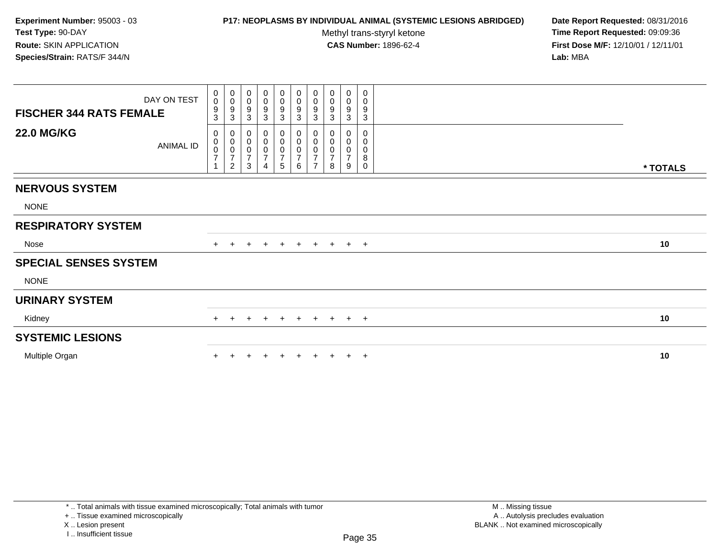# **P17: NEOPLASMS BY INDIVIDUAL ANIMAL (SYSTEMIC LESIONS ABRIDGED) Date Report Requested:** 08/31/2016

Methyl trans-styryl ketone<br>CAS Number: 1896-62-4

 **Time Report Requested:** 09:09:36 **First Dose M/F:** 12/10/01 / 12/11/01<br>**Lab:** MBA **Lab:** MBA

| <b>FISCHER 344 RATS FEMALE</b> | DAY ON TEST      | $_{\rm 0}^{\rm 0}$<br>$\frac{9}{3}$ | $_{\rm 0}^{\rm 0}$<br>$\frac{9}{3}$                          | 0<br>$\pmb{0}$<br>9<br>3                           | 0<br>$\pmb{0}$<br>9<br>$\ensuremath{\mathsf{3}}$     | $_0^0$<br>$\frac{9}{3}$ | $\begin{array}{c} 0 \\ 0 \\ 9 \\ 3 \end{array}$ | $\begin{matrix} 0 \\ 0 \\ 9 \\ 3 \end{matrix}$ | 0<br>$\pmb{0}$<br>9<br>$\mathbf{3}$   | 0<br>$\pmb{0}$<br>$\boldsymbol{9}$<br>$\sqrt{3}$   | 0<br>0<br>9<br>$\sqrt{3}$ |          |
|--------------------------------|------------------|-------------------------------------|--------------------------------------------------------------|----------------------------------------------------|------------------------------------------------------|-------------------------|-------------------------------------------------|------------------------------------------------|---------------------------------------|----------------------------------------------------|---------------------------|----------|
| <b>22.0 MG/KG</b>              | <b>ANIMAL ID</b> |                                     | $\begin{matrix} 0 \\ 0 \\ 0 \\ 7 \end{matrix}$<br>$\sqrt{2}$ | 0<br>$\pmb{0}$<br>$\pmb{0}$<br>$\overline{7}$<br>3 | 0<br>$\pmb{0}$<br>$\mathsf 0$<br>$\overline{7}$<br>4 | 5                       | $_0^0$<br>0<br>$\boldsymbol{7}$<br>6            | $\overline{7}$                                 | 0<br>$\pmb{0}$<br>$\pmb{0}$<br>7<br>8 | 0<br>$\pmb{0}$<br>$\pmb{0}$<br>$\overline{7}$<br>9 | 0<br>0<br>0<br>8<br>0     | * TOTALS |
| <b>NERVOUS SYSTEM</b>          |                  |                                     |                                                              |                                                    |                                                      |                         |                                                 |                                                |                                       |                                                    |                           |          |
| <b>NONE</b>                    |                  |                                     |                                                              |                                                    |                                                      |                         |                                                 |                                                |                                       |                                                    |                           |          |
| <b>RESPIRATORY SYSTEM</b>      |                  |                                     |                                                              |                                                    |                                                      |                         |                                                 |                                                |                                       |                                                    |                           |          |
| Nose                           |                  |                                     |                                                              | $\pm$                                              | $\pm$                                                | $+$                     | $+$                                             | $+$                                            | $+$                                   |                                                    | $+$ $+$                   | 10       |
| <b>SPECIAL SENSES SYSTEM</b>   |                  |                                     |                                                              |                                                    |                                                      |                         |                                                 |                                                |                                       |                                                    |                           |          |
| <b>NONE</b>                    |                  |                                     |                                                              |                                                    |                                                      |                         |                                                 |                                                |                                       |                                                    |                           |          |
| <b>URINARY SYSTEM</b>          |                  |                                     |                                                              |                                                    |                                                      |                         |                                                 |                                                |                                       |                                                    |                           |          |
| Kidney                         |                  | $+$                                 | $+$                                                          | $\pm$                                              | $\pm$                                                | $+$                     | $+$                                             |                                                | $+ + + +$                             |                                                    |                           | 10       |
| <b>SYSTEMIC LESIONS</b>        |                  |                                     |                                                              |                                                    |                                                      |                         |                                                 |                                                |                                       |                                                    |                           |          |
| Multiple Organ                 |                  |                                     |                                                              |                                                    |                                                      |                         | ÷                                               |                                                |                                       | $+$                                                | $+$                       | 10       |

\* .. Total animals with tissue examined microscopically; Total animals with tumor

+ .. Tissue examined microscopically

X .. Lesion present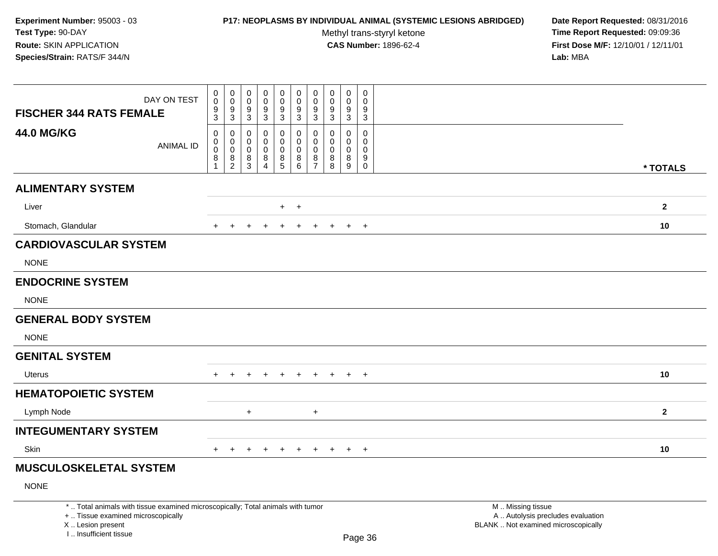# **P17: NEOPLASMS BY INDIVIDUAL ANIMAL (SYSTEMIC LESIONS ABRIDGED) Date Report Requested:** 08/31/2016

Methyl trans-styryl ketone<br>CAS Number: 1896-62-4

| DAY ON TEST<br><b>FISCHER 344 RATS FEMALE</b>                                                                                                                         | $\begin{smallmatrix}0\0\0\end{smallmatrix}$<br>$\frac{9}{3}$ | $\pmb{0}$<br>$\ddot{\mathbf{0}}$<br>$\frac{9}{3}$                        | $\mathbf 0$<br>$\mathsf 0$<br>9<br>$\mathbf{3}$       | $\mathbf 0$<br>$\ddot{\mathbf{0}}$<br>$\frac{9}{3}$                  | $\mathbf 0$<br>$\pmb{0}$<br>9<br>$\mathbf{3}$       | $\mathbf 0$<br>$\mathbf 0$<br>9<br>$\mathbf{3}$           | 0<br>$\pmb{0}$<br>9<br>$\mathbf{3}$          | $\mathbf 0$<br>$\pmb{0}$<br>9<br>$\mathbf{3}$ | $\pmb{0}$<br>$\pmb{0}$<br>$\boldsymbol{9}$<br>$\mathbf{3}$       | $\mathbf 0$<br>$\mathbf 0$<br>9<br>$\overline{3}$             |                                                                                               |              |
|-----------------------------------------------------------------------------------------------------------------------------------------------------------------------|--------------------------------------------------------------|--------------------------------------------------------------------------|-------------------------------------------------------|----------------------------------------------------------------------|-----------------------------------------------------|-----------------------------------------------------------|----------------------------------------------|-----------------------------------------------|------------------------------------------------------------------|---------------------------------------------------------------|-----------------------------------------------------------------------------------------------|--------------|
| <b>44.0 MG/KG</b><br><b>ANIMAL ID</b>                                                                                                                                 | $\pmb{0}$<br>$\mathsf{O}\xspace$<br>$\overline{0}$<br>8<br>1 | $\mathbf 0$<br>$\mathbf 0$<br>$\ddot{\mathbf{0}}$<br>8<br>$\overline{2}$ | $\mathbf{0}$<br>0<br>$\mathbf 0$<br>8<br>$\mathbf{3}$ | $\mathbf 0$<br>$\pmb{0}$<br>$\pmb{0}$<br>8<br>$\boldsymbol{\Lambda}$ | 0<br>$\mathsf 0$<br>$\mathbf 0$<br>8<br>$\,$ 5 $\,$ | $\mathbf 0$<br>$\mathbf 0$<br>$\mathbf 0$<br>8<br>$\,6\,$ | 0<br>0<br>$\mathbf 0$<br>8<br>$\overline{7}$ | $\Omega$<br>0<br>$\mathbf 0$<br>8<br>8        | $\mathbf 0$<br>$\pmb{0}$<br>$\mathbf 0$<br>8<br>$\boldsymbol{9}$ | $\mathbf 0$<br>$\mathbf 0$<br>$\mathbf 0$<br>9<br>$\mathbf 0$ |                                                                                               | * TOTALS     |
| <b>ALIMENTARY SYSTEM</b>                                                                                                                                              |                                                              |                                                                          |                                                       |                                                                      |                                                     |                                                           |                                              |                                               |                                                                  |                                                               |                                                                                               |              |
| Liver                                                                                                                                                                 |                                                              |                                                                          |                                                       |                                                                      | $+$                                                 | $+$                                                       |                                              |                                               |                                                                  |                                                               |                                                                                               | $\mathbf{2}$ |
| Stomach, Glandular                                                                                                                                                    |                                                              |                                                                          |                                                       |                                                                      |                                                     |                                                           |                                              |                                               |                                                                  |                                                               |                                                                                               | 10           |
|                                                                                                                                                                       |                                                              |                                                                          |                                                       |                                                                      |                                                     |                                                           |                                              |                                               | $\ddot{}$                                                        | $+$                                                           |                                                                                               |              |
| <b>CARDIOVASCULAR SYSTEM</b><br><b>NONE</b>                                                                                                                           |                                                              |                                                                          |                                                       |                                                                      |                                                     |                                                           |                                              |                                               |                                                                  |                                                               |                                                                                               |              |
| <b>ENDOCRINE SYSTEM</b>                                                                                                                                               |                                                              |                                                                          |                                                       |                                                                      |                                                     |                                                           |                                              |                                               |                                                                  |                                                               |                                                                                               |              |
| <b>NONE</b>                                                                                                                                                           |                                                              |                                                                          |                                                       |                                                                      |                                                     |                                                           |                                              |                                               |                                                                  |                                                               |                                                                                               |              |
| <b>GENERAL BODY SYSTEM</b>                                                                                                                                            |                                                              |                                                                          |                                                       |                                                                      |                                                     |                                                           |                                              |                                               |                                                                  |                                                               |                                                                                               |              |
| <b>NONE</b>                                                                                                                                                           |                                                              |                                                                          |                                                       |                                                                      |                                                     |                                                           |                                              |                                               |                                                                  |                                                               |                                                                                               |              |
| <b>GENITAL SYSTEM</b>                                                                                                                                                 |                                                              |                                                                          |                                                       |                                                                      |                                                     |                                                           |                                              |                                               |                                                                  |                                                               |                                                                                               |              |
| <b>Uterus</b>                                                                                                                                                         | $+$                                                          | $+$                                                                      | $\div$                                                |                                                                      | $+$                                                 | $\ddot{}$                                                 | $+$                                          | $+$                                           | $+$                                                              | $+$                                                           |                                                                                               | 10           |
| <b>HEMATOPOIETIC SYSTEM</b>                                                                                                                                           |                                                              |                                                                          |                                                       |                                                                      |                                                     |                                                           |                                              |                                               |                                                                  |                                                               |                                                                                               |              |
| Lymph Node                                                                                                                                                            |                                                              |                                                                          | $\ddot{}$                                             |                                                                      |                                                     |                                                           | $\ddot{}$                                    |                                               |                                                                  |                                                               |                                                                                               | $\mathbf{2}$ |
| <b>INTEGUMENTARY SYSTEM</b>                                                                                                                                           |                                                              |                                                                          |                                                       |                                                                      |                                                     |                                                           |                                              |                                               |                                                                  |                                                               |                                                                                               |              |
| Skin                                                                                                                                                                  | $+$                                                          | $+$                                                                      | $\ddot{}$                                             | $\ddot{}$                                                            | $+$                                                 | $+$                                                       | $+$                                          | $+$                                           | $+$                                                              | $+$                                                           |                                                                                               | 10           |
| <b>MUSCULOSKELETAL SYSTEM</b>                                                                                                                                         |                                                              |                                                                          |                                                       |                                                                      |                                                     |                                                           |                                              |                                               |                                                                  |                                                               |                                                                                               |              |
| <b>NONE</b>                                                                                                                                                           |                                                              |                                                                          |                                                       |                                                                      |                                                     |                                                           |                                              |                                               |                                                                  |                                                               |                                                                                               |              |
| *  Total animals with tissue examined microscopically; Total animals with tumor<br>+  Tissue examined microscopically<br>X  Lesion present<br>I., Insufficient tissue |                                                              |                                                                          |                                                       |                                                                      |                                                     |                                                           |                                              |                                               |                                                                  | Page 36                                                       | M  Missing tissue<br>A  Autolysis precludes evaluation<br>BLANK  Not examined microscopically |              |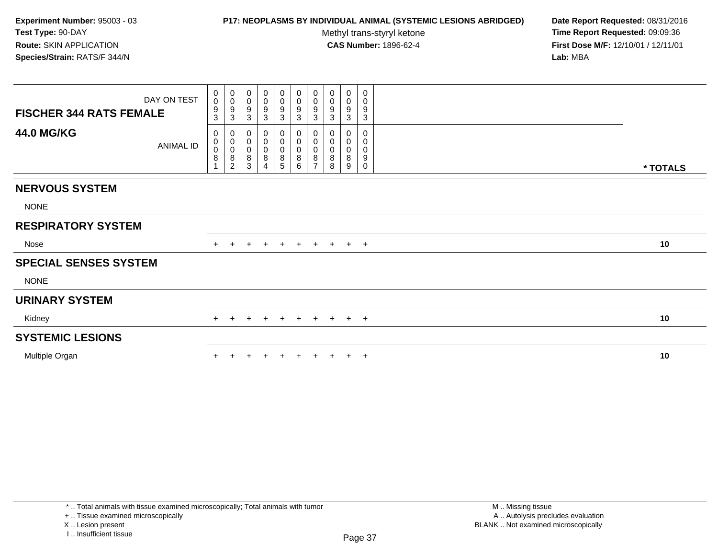## **P17: NEOPLASMS BY INDIVIDUAL ANIMAL (SYSTEMIC LESIONS ABRIDGED) Date Report Requested:** 08/31/2016

Methyl trans-styryl ketone<br>CAS Number: 1896-62-4

 **Time Report Requested:** 09:09:36 **First Dose M/F:** 12/10/01 / 12/11/01<br>**Lab:** MBA **Lab:** MBA

|                                | DAY ON TEST      |                                                | $\begin{smallmatrix} 0\\0 \end{smallmatrix}$ | 0<br>$\pmb{0}$                        | 0<br>$\pmb{0}$                                |                                                     | $_0^0$                                     | $\begin{smallmatrix} 0\\0 \end{smallmatrix}$             | 0<br>0                                | $\pmb{0}$<br>$\pmb{0}$                  | 0<br>0                          |          |
|--------------------------------|------------------|------------------------------------------------|----------------------------------------------|---------------------------------------|-----------------------------------------------|-----------------------------------------------------|--------------------------------------------|----------------------------------------------------------|---------------------------------------|-----------------------------------------|---------------------------------|----------|
| <b>FISCHER 344 RATS FEMALE</b> |                  | $\begin{matrix} 0 \\ 0 \\ 9 \\ 3 \end{matrix}$ | $\frac{9}{3}$                                | 9<br>3                                | $\boldsymbol{9}$<br>$\ensuremath{\mathsf{3}}$ | $\begin{array}{c} 0 \\ 0 \\ 9 \\ 3 \end{array}$     | $\frac{9}{3}$                              | $\frac{9}{3}$                                            | 9<br>$\mathbf{3}$                     | 9<br>3                                  | 9<br>$\mathbf{3}$               |          |
| <b>44.0 MG/KG</b>              | <b>ANIMAL ID</b> | 0<br>$\begin{matrix} 0 \\ 0 \\ 8 \end{matrix}$ | 000008                                       | 0<br>$\pmb{0}$<br>$\pmb{0}$<br>8<br>3 | $\pmb{0}$<br>$\pmb{0}$<br>8                   | 0<br>$\begin{matrix} 0 \\ 0 \\ 8 \end{matrix}$<br>5 | 0<br>0<br>$_{8}^{\rm o}$<br>$6\phantom{a}$ | $\begin{matrix}0\\0\\0\\8\end{matrix}$<br>$\overline{ }$ | 0<br>$\pmb{0}$<br>$\pmb{0}$<br>8<br>8 | 0<br>$\pmb{0}$<br>$\mathbf 0$<br>8<br>9 | 0<br>0<br>0<br>9<br>$\mathbf 0$ | * TOTALS |
| <b>NERVOUS SYSTEM</b>          |                  |                                                |                                              |                                       |                                               |                                                     |                                            |                                                          |                                       |                                         |                                 |          |
| <b>NONE</b>                    |                  |                                                |                                              |                                       |                                               |                                                     |                                            |                                                          |                                       |                                         |                                 |          |
| <b>RESPIRATORY SYSTEM</b>      |                  |                                                |                                              |                                       |                                               |                                                     |                                            |                                                          |                                       |                                         |                                 |          |
| Nose                           |                  | $+$                                            | $\pm$                                        | $\ddot{}$                             | $+$                                           | $+$                                                 | $+$                                        |                                                          | $+ + + +$                             |                                         |                                 | 10       |
| <b>SPECIAL SENSES SYSTEM</b>   |                  |                                                |                                              |                                       |                                               |                                                     |                                            |                                                          |                                       |                                         |                                 |          |
| <b>NONE</b>                    |                  |                                                |                                              |                                       |                                               |                                                     |                                            |                                                          |                                       |                                         |                                 |          |
| <b>URINARY SYSTEM</b>          |                  |                                                |                                              |                                       |                                               |                                                     |                                            |                                                          |                                       |                                         |                                 |          |
| Kidney                         |                  | $+$                                            | $\pm$                                        | $\pm$                                 | $\pm$                                         | $+$                                                 | $+$                                        |                                                          | $+$ $+$ $+$ $+$                       |                                         |                                 | 10       |
| <b>SYSTEMIC LESIONS</b>        |                  |                                                |                                              |                                       |                                               |                                                     |                                            |                                                          |                                       |                                         |                                 |          |
| Multiple Organ                 |                  |                                                |                                              |                                       |                                               |                                                     | ÷                                          |                                                          |                                       | $+$                                     | $+$                             | 10       |

\* .. Total animals with tissue examined microscopically; Total animals with tumor

+ .. Tissue examined microscopically

X .. Lesion present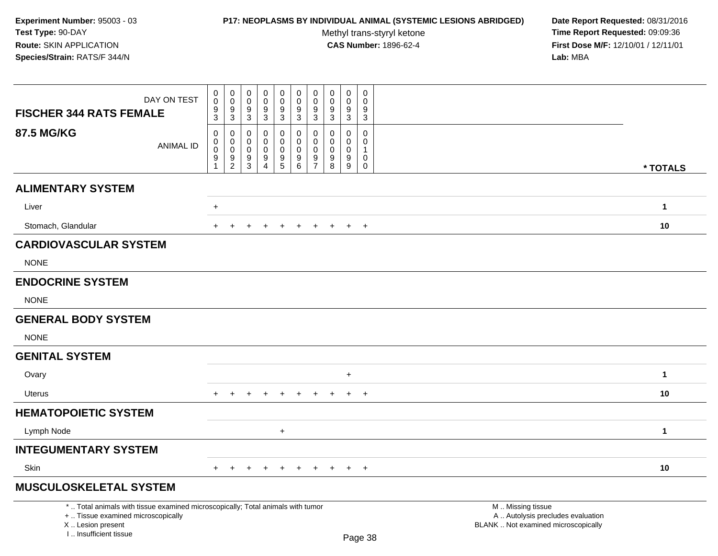# **P17: NEOPLASMS BY INDIVIDUAL ANIMAL (SYSTEMIC LESIONS ABRIDGED) Date Report Requested:** 08/31/2016

Methyl trans-styryl ketone<br>CAS Number: 1896-62-4

| DAY ON TEST<br><b>FISCHER 344 RATS FEMALE</b>                                                                                                                         | 0<br>$\mathbf 0$<br>$\frac{9}{3}$                                 | $\pmb{0}$<br>$\mathsf 0$<br>9<br>$\mathbf{3}$              | 0<br>$\pmb{0}$<br>9<br>$\mathbf{3}$    | $\mathbf 0$<br>$\mathsf{O}\xspace$<br>9<br>$\mathbf{3}$ | $\pmb{0}$<br>$\pmb{0}$<br>$\frac{9}{3}$                              | $\mathbf 0$<br>$\pmb{0}$<br>$\frac{9}{3}$           | $\pmb{0}$<br>$\mathsf 0$<br>9<br>$\mathbf 3$               | $\mathbf 0$<br>$\mathbf 0$<br>9<br>$\mathbf 3$                                  | $\mathbf 0$<br>$\mathbf 0$<br>9<br>$\mathbf{3}$                                 | $\,0\,$<br>$\mathbf 0$<br>9<br>$\mathbf{3}$                  |                                                                                               |              |
|-----------------------------------------------------------------------------------------------------------------------------------------------------------------------|-------------------------------------------------------------------|------------------------------------------------------------|----------------------------------------|---------------------------------------------------------|----------------------------------------------------------------------|-----------------------------------------------------|------------------------------------------------------------|---------------------------------------------------------------------------------|---------------------------------------------------------------------------------|--------------------------------------------------------------|-----------------------------------------------------------------------------------------------|--------------|
| <b>87.5 MG/KG</b><br><b>ANIMAL ID</b>                                                                                                                                 | 0<br>$\pmb{0}$<br>$\mathbf 0$<br>$\boldsymbol{9}$<br>$\mathbf{1}$ | $\mathsf 0$<br>$\mathbf 0$<br>$\mathbf 0$<br>$\frac{9}{2}$ | $\mathbf 0$<br>0<br>0<br>$\frac{9}{3}$ | $\mathbf 0$<br>$\mathbf 0$<br>0<br>$\frac{9}{4}$        | 0<br>$\pmb{0}$<br>$\pmb{0}$<br>$\begin{array}{c} 9 \\ 5 \end{array}$ | $\mathbf 0$<br>$\mathbf 0$<br>$\mathsf 0$<br>$^9$ 6 | $\mathbf 0$<br>$\mathbf 0$<br>$\mathbf 0$<br>$\frac{9}{7}$ | $\mathbf 0$<br>$\mathbf 0$<br>$\mathbf 0$<br>$\boldsymbol{9}$<br>$\overline{8}$ | $\mathbf 0$<br>$\mathbf 0$<br>$\mathbf 0$<br>$\boldsymbol{9}$<br>$\overline{9}$ | $\mathbf 0$<br>$\mathbf 0$<br>$\mathbf{1}$<br>0<br>$\pmb{0}$ |                                                                                               | * TOTALS     |
| <b>ALIMENTARY SYSTEM</b>                                                                                                                                              |                                                                   |                                                            |                                        |                                                         |                                                                      |                                                     |                                                            |                                                                                 |                                                                                 |                                                              |                                                                                               |              |
| Liver                                                                                                                                                                 | $\ddot{}$                                                         |                                                            |                                        |                                                         |                                                                      |                                                     |                                                            |                                                                                 |                                                                                 |                                                              |                                                                                               | $\mathbf{1}$ |
| Stomach, Glandular                                                                                                                                                    | +                                                                 |                                                            |                                        |                                                         | $\pm$                                                                | $\pm$                                               |                                                            |                                                                                 |                                                                                 | $\overline{+}$                                               |                                                                                               | 10           |
| <b>CARDIOVASCULAR SYSTEM</b><br><b>NONE</b>                                                                                                                           |                                                                   |                                                            |                                        |                                                         |                                                                      |                                                     |                                                            |                                                                                 |                                                                                 |                                                              |                                                                                               |              |
| <b>ENDOCRINE SYSTEM</b>                                                                                                                                               |                                                                   |                                                            |                                        |                                                         |                                                                      |                                                     |                                                            |                                                                                 |                                                                                 |                                                              |                                                                                               |              |
| <b>NONE</b>                                                                                                                                                           |                                                                   |                                                            |                                        |                                                         |                                                                      |                                                     |                                                            |                                                                                 |                                                                                 |                                                              |                                                                                               |              |
| <b>GENERAL BODY SYSTEM</b>                                                                                                                                            |                                                                   |                                                            |                                        |                                                         |                                                                      |                                                     |                                                            |                                                                                 |                                                                                 |                                                              |                                                                                               |              |
| <b>NONE</b>                                                                                                                                                           |                                                                   |                                                            |                                        |                                                         |                                                                      |                                                     |                                                            |                                                                                 |                                                                                 |                                                              |                                                                                               |              |
| <b>GENITAL SYSTEM</b>                                                                                                                                                 |                                                                   |                                                            |                                        |                                                         |                                                                      |                                                     |                                                            |                                                                                 |                                                                                 |                                                              |                                                                                               |              |
| Ovary                                                                                                                                                                 |                                                                   |                                                            |                                        |                                                         |                                                                      |                                                     |                                                            |                                                                                 | $\ddot{}$                                                                       |                                                              |                                                                                               | $\mathbf{1}$ |
| Uterus                                                                                                                                                                | $+$                                                               | $\div$                                                     | $\pm$                                  | $\pm$                                                   | $+$                                                                  | $+$                                                 | $+$                                                        | $\pm$                                                                           | $+$                                                                             | $+$                                                          |                                                                                               | 10           |
| <b>HEMATOPOIETIC SYSTEM</b>                                                                                                                                           |                                                                   |                                                            |                                        |                                                         |                                                                      |                                                     |                                                            |                                                                                 |                                                                                 |                                                              |                                                                                               |              |
| Lymph Node                                                                                                                                                            |                                                                   |                                                            |                                        |                                                         | $+$                                                                  |                                                     |                                                            |                                                                                 |                                                                                 |                                                              |                                                                                               | $\mathbf{1}$ |
| <b>INTEGUMENTARY SYSTEM</b>                                                                                                                                           |                                                                   |                                                            |                                        |                                                         |                                                                      |                                                     |                                                            |                                                                                 |                                                                                 |                                                              |                                                                                               |              |
| Skin                                                                                                                                                                  | $+$                                                               | $+$                                                        | $+$                                    | $+$                                                     | $+$                                                                  | $+$                                                 | $+$                                                        | $+$                                                                             |                                                                                 | $+$ $+$                                                      |                                                                                               | 10           |
| <b>MUSCULOSKELETAL SYSTEM</b>                                                                                                                                         |                                                                   |                                                            |                                        |                                                         |                                                                      |                                                     |                                                            |                                                                                 |                                                                                 |                                                              |                                                                                               |              |
| *  Total animals with tissue examined microscopically; Total animals with tumor<br>+  Tissue examined microscopically<br>X  Lesion present<br>L., Insufficient tissue |                                                                   |                                                            |                                        |                                                         |                                                                      |                                                     |                                                            |                                                                                 |                                                                                 | Page 38                                                      | M  Missing tissue<br>A  Autolysis precludes evaluation<br>BLANK  Not examined microscopically |              |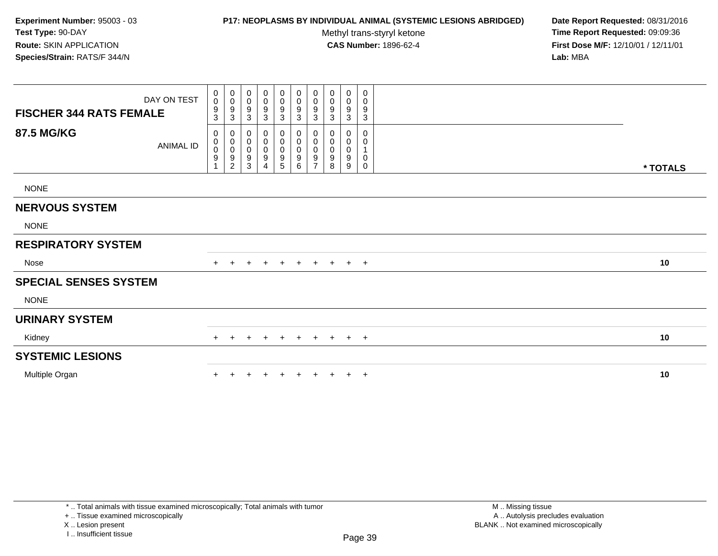# **P17: NEOPLASMS BY INDIVIDUAL ANIMAL (SYSTEMIC LESIONS ABRIDGED) Date Report Requested:** 08/31/2016

Methyl trans-styryl ketone<br>CAS Number: 1896-62-4

|                                | DAY ON TEST      | $\mathbf 0$<br>$\ddot{\mathbf{0}}$              | 0<br>$\mathbf 0$                             | 0<br>0                        | $\begin{smallmatrix} 0\\0 \end{smallmatrix}$                      | $\begin{smallmatrix} 0\\0 \end{smallmatrix}$                         | $\begin{smallmatrix}0\\0\end{smallmatrix}$                                            | 0<br>$\mathbf 0$                   | 0<br>0           | 0<br>$\mathbf 0$              | 0<br>0            |          |
|--------------------------------|------------------|-------------------------------------------------|----------------------------------------------|-------------------------------|-------------------------------------------------------------------|----------------------------------------------------------------------|---------------------------------------------------------------------------------------|------------------------------------|------------------|-------------------------------|-------------------|----------|
| <b>FISCHER 344 RATS FEMALE</b> |                  | $\boldsymbol{9}$<br>$\sqrt{3}$                  | 9<br>3                                       | 9<br>3                        | 9<br>3                                                            | 9<br>3                                                               | $\boldsymbol{9}$<br>$\mathbf{3}$                                                      | 9<br>3                             | 9<br>3           | 9<br>3                        | 9<br>$\mathbf{3}$ |          |
| 87.5 MG/KG                     | <b>ANIMAL ID</b> | 0<br>$\pmb{0}$<br>$\pmb{0}$<br>$\boldsymbol{9}$ | 0<br>0<br>$\mathbf 0$<br>9<br>$\overline{2}$ | 0<br>$\pmb{0}$<br>0<br>9<br>3 | 0<br>$\pmb{0}$<br>$\pmb{0}$<br>$\boldsymbol{9}$<br>$\overline{4}$ | 0<br>$\pmb{0}$<br>$\pmb{0}$<br>$\begin{array}{c} 9 \\ 5 \end{array}$ | 0<br>$\begin{smallmatrix}0\\0\end{smallmatrix}$<br>$\boldsymbol{9}$<br>$\overline{6}$ | 0<br>0<br>0<br>9<br>$\overline{ }$ | 0<br>0<br>9<br>8 | 0<br>0<br>$\pmb{0}$<br>9<br>9 | 0<br>0<br>0<br>0  | * TOTALS |
| <b>NONE</b>                    |                  |                                                 |                                              |                               |                                                                   |                                                                      |                                                                                       |                                    |                  |                               |                   |          |
| <b>NERVOUS SYSTEM</b>          |                  |                                                 |                                              |                               |                                                                   |                                                                      |                                                                                       |                                    |                  |                               |                   |          |
| <b>NONE</b>                    |                  |                                                 |                                              |                               |                                                                   |                                                                      |                                                                                       |                                    |                  |                               |                   |          |
| <b>RESPIRATORY SYSTEM</b>      |                  |                                                 |                                              |                               |                                                                   |                                                                      |                                                                                       |                                    |                  |                               |                   |          |
| Nose                           |                  |                                                 | $\div$                                       | $+$                           | $\pm$                                                             | $+$                                                                  | $+$                                                                                   | $+$                                | $+$              | $+$                           | $+$               | 10       |
| <b>SPECIAL SENSES SYSTEM</b>   |                  |                                                 |                                              |                               |                                                                   |                                                                      |                                                                                       |                                    |                  |                               |                   |          |
| <b>NONE</b>                    |                  |                                                 |                                              |                               |                                                                   |                                                                      |                                                                                       |                                    |                  |                               |                   |          |
| <b>URINARY SYSTEM</b>          |                  |                                                 |                                              |                               |                                                                   |                                                                      |                                                                                       |                                    |                  |                               |                   |          |
| Kidney                         |                  |                                                 |                                              | $\pm$                         | $\pm$                                                             | $+$                                                                  | $\pm$                                                                                 | $\pm$                              | $+$              | $+$ $+$                       |                   | 10       |
| <b>SYSTEMIC LESIONS</b>        |                  |                                                 |                                              |                               |                                                                   |                                                                      |                                                                                       |                                    |                  |                               |                   |          |
| Multiple Organ                 |                  |                                                 |                                              |                               |                                                                   |                                                                      |                                                                                       |                                    |                  | $+$                           | $+$               | 10       |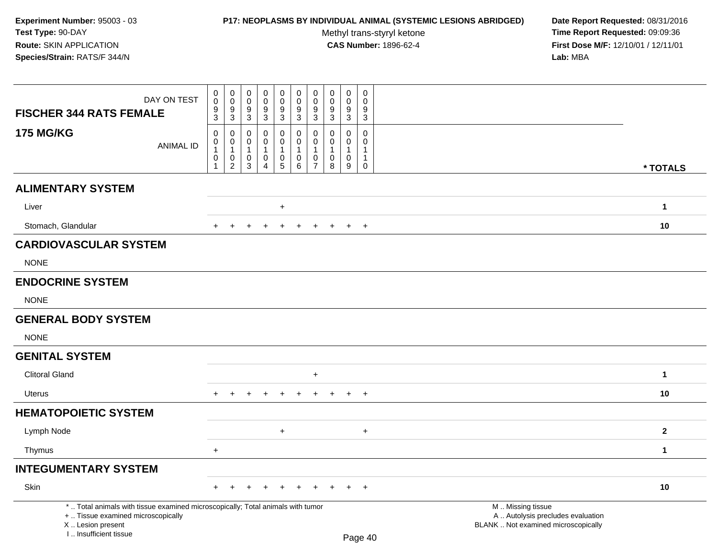# **P17: NEOPLASMS BY INDIVIDUAL ANIMAL (SYSTEMIC LESIONS ABRIDGED) Date Report Requested:** 08/31/2016

Methyl trans-styryl ketone<br>CAS Number: 1896-62-4

| DAY ON TEST<br><b>FISCHER 344 RATS FEMALE</b>                                                                                                                       | $\pmb{0}$<br>$\pmb{0}$<br>$\frac{9}{3}$                         | $\pmb{0}$<br>$\overline{0}$<br>$\frac{9}{3}$                    | 0<br>$\mathbf 0$<br>9                                     | 0<br>$\mathbf 0$<br>9                                                | $\pmb{0}$<br>$\mathsf{O}\xspace$<br>9                   | 0<br>$\mathbf 0$<br>9                                                        | $\pmb{0}$<br>$\mathbf 0$<br>9                                                               | $\pmb{0}$<br>$\mathbf 0$<br>$\frac{9}{3}$         | $\pmb{0}$<br>$\mathbf 0$<br>9                                                   | $\mathbf 0$<br>$\mathbf 0$<br>$9\,$                                                          |                                                                                               |              |
|---------------------------------------------------------------------------------------------------------------------------------------------------------------------|-----------------------------------------------------------------|-----------------------------------------------------------------|-----------------------------------------------------------|----------------------------------------------------------------------|---------------------------------------------------------|------------------------------------------------------------------------------|---------------------------------------------------------------------------------------------|---------------------------------------------------|---------------------------------------------------------------------------------|----------------------------------------------------------------------------------------------|-----------------------------------------------------------------------------------------------|--------------|
| <b>175 MG/KG</b><br><b>ANIMAL ID</b>                                                                                                                                | $\mathbf 0$<br>0<br>$\mathbf{1}$<br>$\pmb{0}$<br>$\overline{1}$ | $\mathbf 0$<br>0<br>$\mathbf{1}$<br>$\pmb{0}$<br>$\overline{2}$ | $\mathbf{3}$<br>0<br>$\Omega$<br>$\overline{1}$<br>0<br>3 | $\mathbf{3}$<br>0<br>$\Omega$<br>$\mathbf{1}$<br>0<br>$\overline{4}$ | $\mathbf{3}$<br>0<br>$\mathbf 0$<br>1<br>$\pmb{0}$<br>5 | $\mathbf{3}$<br>$\mathbf 0$<br>$\mathbf 0$<br>$\mathbf{1}$<br>$\pmb{0}$<br>6 | $\overline{3}$<br>$\mathbf 0$<br>$\mathbf 0$<br>$\mathbf{1}$<br>$\pmb{0}$<br>$\overline{7}$ | $\mathbf{0}$<br>$\Omega$<br>$\mathbf 1$<br>0<br>8 | $\mathbf{3}$<br>$\mathbf 0$<br>$\mathbf{0}$<br>$\mathbf{1}$<br>$\mathbf 0$<br>9 | $\mathbf{3}$<br>$\mathsf{O}\xspace$<br>$\Omega$<br>$\mathbf{1}$<br>$\mathbf{1}$<br>$\pmb{0}$ |                                                                                               | * TOTALS     |
| <b>ALIMENTARY SYSTEM</b>                                                                                                                                            |                                                                 |                                                                 |                                                           |                                                                      |                                                         |                                                                              |                                                                                             |                                                   |                                                                                 |                                                                                              |                                                                                               |              |
| Liver                                                                                                                                                               |                                                                 |                                                                 |                                                           |                                                                      | $\ddot{}$                                               |                                                                              |                                                                                             |                                                   |                                                                                 |                                                                                              |                                                                                               | $\mathbf{1}$ |
| Stomach, Glandular                                                                                                                                                  |                                                                 |                                                                 |                                                           |                                                                      |                                                         |                                                                              |                                                                                             |                                                   | $\pm$                                                                           | $+$                                                                                          |                                                                                               | 10           |
| <b>CARDIOVASCULAR SYSTEM</b>                                                                                                                                        |                                                                 |                                                                 |                                                           |                                                                      |                                                         |                                                                              |                                                                                             |                                                   |                                                                                 |                                                                                              |                                                                                               |              |
| <b>NONE</b>                                                                                                                                                         |                                                                 |                                                                 |                                                           |                                                                      |                                                         |                                                                              |                                                                                             |                                                   |                                                                                 |                                                                                              |                                                                                               |              |
| <b>ENDOCRINE SYSTEM</b>                                                                                                                                             |                                                                 |                                                                 |                                                           |                                                                      |                                                         |                                                                              |                                                                                             |                                                   |                                                                                 |                                                                                              |                                                                                               |              |
| <b>NONE</b>                                                                                                                                                         |                                                                 |                                                                 |                                                           |                                                                      |                                                         |                                                                              |                                                                                             |                                                   |                                                                                 |                                                                                              |                                                                                               |              |
| <b>GENERAL BODY SYSTEM</b>                                                                                                                                          |                                                                 |                                                                 |                                                           |                                                                      |                                                         |                                                                              |                                                                                             |                                                   |                                                                                 |                                                                                              |                                                                                               |              |
| <b>NONE</b>                                                                                                                                                         |                                                                 |                                                                 |                                                           |                                                                      |                                                         |                                                                              |                                                                                             |                                                   |                                                                                 |                                                                                              |                                                                                               |              |
| <b>GENITAL SYSTEM</b>                                                                                                                                               |                                                                 |                                                                 |                                                           |                                                                      |                                                         |                                                                              |                                                                                             |                                                   |                                                                                 |                                                                                              |                                                                                               |              |
| <b>Clitoral Gland</b>                                                                                                                                               |                                                                 |                                                                 |                                                           |                                                                      |                                                         |                                                                              | $\ddot{}$                                                                                   |                                                   |                                                                                 |                                                                                              |                                                                                               | $\mathbf{1}$ |
| Uterus                                                                                                                                                              |                                                                 |                                                                 | $\div$                                                    |                                                                      | $\overline{ }$                                          | $\pm$                                                                        | $\pm$                                                                                       | $\pm$                                             | $\pm$                                                                           | $+$                                                                                          |                                                                                               | 10           |
| <b>HEMATOPOIETIC SYSTEM</b>                                                                                                                                         |                                                                 |                                                                 |                                                           |                                                                      |                                                         |                                                                              |                                                                                             |                                                   |                                                                                 |                                                                                              |                                                                                               |              |
| Lymph Node                                                                                                                                                          |                                                                 |                                                                 |                                                           |                                                                      | $\ddot{}$                                               |                                                                              |                                                                                             |                                                   |                                                                                 | $\ddot{}$                                                                                    |                                                                                               | $\mathbf{2}$ |
| Thymus                                                                                                                                                              | $+$                                                             |                                                                 |                                                           |                                                                      |                                                         |                                                                              |                                                                                             |                                                   |                                                                                 |                                                                                              |                                                                                               | $\mathbf{1}$ |
| <b>INTEGUMENTARY SYSTEM</b>                                                                                                                                         |                                                                 |                                                                 |                                                           |                                                                      |                                                         |                                                                              |                                                                                             |                                                   |                                                                                 |                                                                                              |                                                                                               |              |
| Skin                                                                                                                                                                | $+$                                                             |                                                                 |                                                           |                                                                      |                                                         |                                                                              |                                                                                             |                                                   |                                                                                 | $+$                                                                                          |                                                                                               | 10           |
| *  Total animals with tissue examined microscopically; Total animals with tumor<br>+  Tissue examined microscopically<br>X  Lesion present<br>I Insufficient tissue |                                                                 |                                                                 |                                                           |                                                                      |                                                         |                                                                              |                                                                                             |                                                   |                                                                                 | $D_{200}$ $AD$                                                                               | M  Missing tissue<br>A  Autolysis precludes evaluation<br>BLANK  Not examined microscopically |              |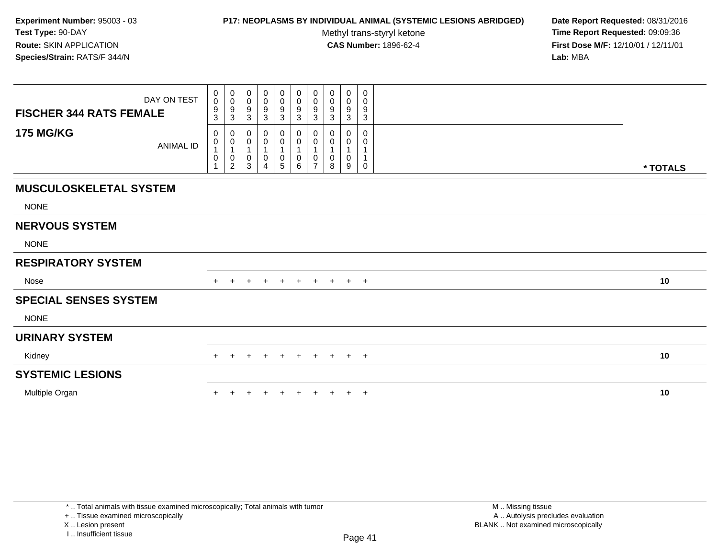## **P17: NEOPLASMS BY INDIVIDUAL ANIMAL (SYSTEMIC LESIONS ABRIDGED) Date Report Requested:** 08/31/2016

Methyl trans-styryl ketone<br>CAS Number: 1896-62-4

 **Time Report Requested:** 09:09:36 **First Dose M/F:** 12/10/01 / 12/11/01<br>**Lab:** MBA **Lab:** MBA

| DAY ON TEST<br><b>FISCHER 344 RATS FEMALE</b> | $_{\rm 0}^{\rm 0}$<br>$\boldsymbol{9}$<br>$\mathbf{3}$      | $_{\rm 0}^{\rm 0}$<br>$\boldsymbol{9}$<br>$\sqrt{3}$        | 0<br>0<br>9<br>3                   | 0<br>0<br>9<br>3                                                       | 0<br>$\mathbf 0$<br>9<br>$\mathbf{3}$   | $\mathbf 0$<br>$\ddot{\mathbf{0}}$<br>$\boldsymbol{9}$<br>$\sqrt{3}$ | $\begin{smallmatrix} 0\\0 \end{smallmatrix}$<br>$\boldsymbol{9}$<br>$\sqrt{3}$ | $\pmb{0}$<br>$\mathbf 0$<br>9<br>$\ensuremath{\mathsf{3}}$ | $\mathbf 0$<br>$\mathbf 0$<br>$\boldsymbol{9}$<br>$\ensuremath{\mathsf{3}}$ | 0<br>0<br>9<br>$\ensuremath{\mathsf{3}}$ |          |  |
|-----------------------------------------------|-------------------------------------------------------------|-------------------------------------------------------------|------------------------------------|------------------------------------------------------------------------|-----------------------------------------|----------------------------------------------------------------------|--------------------------------------------------------------------------------|------------------------------------------------------------|-----------------------------------------------------------------------------|------------------------------------------|----------|--|
| <b>175 MG/KG</b><br><b>ANIMAL ID</b>          | 0<br>$\pmb{0}$<br>1<br>$\pmb{0}$<br>$\overline{\mathbf{A}}$ | 0<br>$\pmb{0}$<br>$\mathbf{1}$<br>$\,0\,$<br>$\overline{2}$ | 0<br>0<br>$\overline{1}$<br>0<br>3 | 0<br>$\boldsymbol{0}$<br>$\overline{1}$<br>0<br>$\boldsymbol{\Lambda}$ | 0<br>$\pmb{0}$<br>$\boldsymbol{0}$<br>5 | 0<br>$\pmb{0}$<br>$\mathbf{1}$<br>$\boldsymbol{0}$<br>6              | 0<br>$\pmb{0}$<br>$\mathbf 0$<br>$\overline{ }$                                | 0<br>$\pmb{0}$<br>$\overline{1}$<br>$\pmb{0}$<br>8         | 0<br>0<br>$\mathbf{1}$<br>0<br>9                                            | 0<br>0<br>1<br>0                         | * TOTALS |  |
| <b>MUSCULOSKELETAL SYSTEM</b>                 |                                                             |                                                             |                                    |                                                                        |                                         |                                                                      |                                                                                |                                                            |                                                                             |                                          |          |  |
| <b>NONE</b>                                   |                                                             |                                                             |                                    |                                                                        |                                         |                                                                      |                                                                                |                                                            |                                                                             |                                          |          |  |
| <b>NERVOUS SYSTEM</b>                         |                                                             |                                                             |                                    |                                                                        |                                         |                                                                      |                                                                                |                                                            |                                                                             |                                          |          |  |
| <b>NONE</b>                                   |                                                             |                                                             |                                    |                                                                        |                                         |                                                                      |                                                                                |                                                            |                                                                             |                                          |          |  |
| <b>RESPIRATORY SYSTEM</b>                     |                                                             |                                                             |                                    |                                                                        |                                         |                                                                      |                                                                                |                                                            |                                                                             |                                          |          |  |
| Nose                                          |                                                             |                                                             | $\div$                             | $\pm$                                                                  | $+$                                     | $+$                                                                  | $+$                                                                            | $+$                                                        | $+$ $+$                                                                     |                                          | 10       |  |
| <b>SPECIAL SENSES SYSTEM</b>                  |                                                             |                                                             |                                    |                                                                        |                                         |                                                                      |                                                                                |                                                            |                                                                             |                                          |          |  |
| <b>NONE</b>                                   |                                                             |                                                             |                                    |                                                                        |                                         |                                                                      |                                                                                |                                                            |                                                                             |                                          |          |  |
| <b>URINARY SYSTEM</b>                         |                                                             |                                                             |                                    |                                                                        |                                         |                                                                      |                                                                                |                                                            |                                                                             |                                          |          |  |
| Kidney                                        | $+$                                                         | $\div$                                                      | $\div$                             | $\pm$                                                                  | $\overline{+}$                          | $+$                                                                  | $+$                                                                            | $+$                                                        |                                                                             | $+$ $+$                                  | 10       |  |
| <b>SYSTEMIC LESIONS</b>                       |                                                             |                                                             |                                    |                                                                        |                                         |                                                                      |                                                                                |                                                            |                                                                             |                                          |          |  |
| Multiple Organ                                |                                                             |                                                             |                                    |                                                                        | $\ddot{}$                               | $+$                                                                  | $\ddot{}$                                                                      |                                                            | $+$                                                                         | $+$                                      | 10       |  |

+ .. Tissue examined microscopically

X .. Lesion present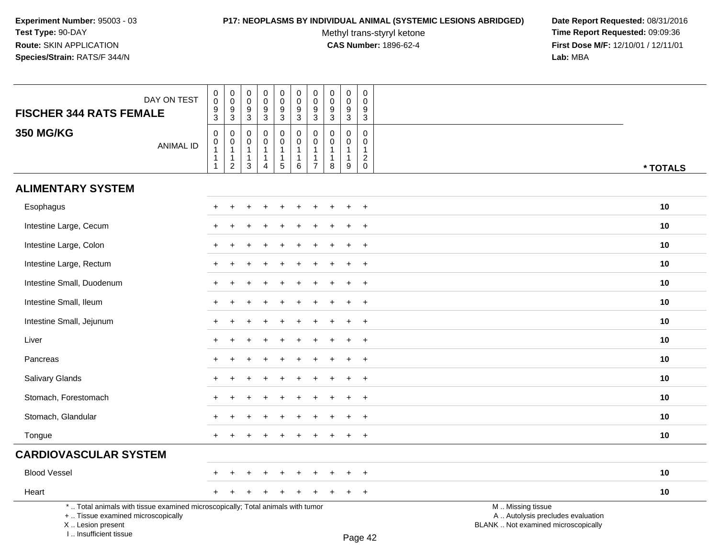# **P17: NEOPLASMS BY INDIVIDUAL ANIMAL (SYSTEMIC LESIONS ABRIDGED) Date Report Requested:** 08/31/2016

Methyl trans-styryl ketone<br>CAS Number: 1896-62-4

| DAY ON TEST                                                                                                                                                         | $\pmb{0}$<br>$\mathbf 0$    | $\begin{smallmatrix} 0\\0 \end{smallmatrix}$                               | 0<br>$\mathbf 0$<br>9                                          | $\pmb{0}$<br>$\mathbf 0$<br>9                                                | $\pmb{0}$<br>$\mathsf{O}\xspace$<br>9   | $\mathbf 0$<br>$\mathbf 0$<br>$\boldsymbol{9}$              | $\pmb{0}$<br>$\mathbf 0$                                                   | $\pmb{0}$<br>$\mathbf 0$<br>9                                     | $\mathbf 0$<br>$\mathbf 0$<br>9                                   | 0<br>$\mathbf{0}$<br>9                                  |                                                                                               |          |
|---------------------------------------------------------------------------------------------------------------------------------------------------------------------|-----------------------------|----------------------------------------------------------------------------|----------------------------------------------------------------|------------------------------------------------------------------------------|-----------------------------------------|-------------------------------------------------------------|----------------------------------------------------------------------------|-------------------------------------------------------------------|-------------------------------------------------------------------|---------------------------------------------------------|-----------------------------------------------------------------------------------------------|----------|
| <b>FISCHER 344 RATS FEMALE</b>                                                                                                                                      | $\frac{9}{3}$               | $^9_3$                                                                     | $\mathbf{3}$                                                   | $\overline{3}$                                                               | $\overline{3}$                          | $\overline{3}$                                              | $\frac{9}{3}$                                                              | $\overline{3}$                                                    | $\overline{3}$                                                    | $\mathbf{3}$                                            |                                                                                               |          |
| <b>350 MG/KG</b><br><b>ANIMAL ID</b>                                                                                                                                | $\pmb{0}$<br>$\pmb{0}$<br>1 | $\mathbf 0$<br>$\pmb{0}$<br>$\mathbf{1}$<br>$\mathbf{1}$<br>$\overline{2}$ | $\mathbf 0$<br>$\Omega$<br>$\overline{1}$<br>$\mathbf{1}$<br>3 | $\mathbf 0$<br>$\mathbf 0$<br>$\mathbf{1}$<br>$\mathbf{1}$<br>$\overline{4}$ | $\pmb{0}$<br>$\mathbf 0$<br>1<br>1<br>5 | 0<br>$\mathbf 0$<br>$\mathbf{1}$<br>$\mathbf{1}$<br>$\,6\,$ | $\mathbf 0$<br>$\pmb{0}$<br>$\mathbf{1}$<br>$\mathbf{1}$<br>$\overline{7}$ | $\Omega$<br>$\mathbf{0}$<br>$\overline{1}$<br>$\overline{1}$<br>8 | $\mathbf 0$<br>$\mathbf 0$<br>$\mathbf{1}$<br>$\overline{1}$<br>9 | $\mathbf 0$<br>$\Omega$<br>$\mathbf{1}$<br>$^2_{\rm 0}$ |                                                                                               | * TOTALS |
| <b>ALIMENTARY SYSTEM</b>                                                                                                                                            |                             |                                                                            |                                                                |                                                                              |                                         |                                                             |                                                                            |                                                                   |                                                                   |                                                         |                                                                                               |          |
| Esophagus                                                                                                                                                           |                             |                                                                            |                                                                |                                                                              |                                         |                                                             |                                                                            |                                                                   |                                                                   | $+$                                                     |                                                                                               | 10       |
| Intestine Large, Cecum                                                                                                                                              |                             |                                                                            |                                                                |                                                                              |                                         |                                                             |                                                                            |                                                                   |                                                                   | $\ddot{}$                                               |                                                                                               | 10       |
| Intestine Large, Colon                                                                                                                                              |                             |                                                                            |                                                                |                                                                              |                                         |                                                             |                                                                            |                                                                   |                                                                   | $\overline{+}$                                          |                                                                                               | 10       |
| Intestine Large, Rectum                                                                                                                                             |                             |                                                                            |                                                                |                                                                              |                                         |                                                             |                                                                            |                                                                   |                                                                   | $\ddot{}$                                               |                                                                                               | 10       |
| Intestine Small, Duodenum                                                                                                                                           | $+$                         |                                                                            |                                                                |                                                                              |                                         |                                                             |                                                                            |                                                                   |                                                                   | $+$                                                     |                                                                                               | 10       |
| Intestine Small, Ileum                                                                                                                                              | $+$                         |                                                                            |                                                                |                                                                              |                                         |                                                             |                                                                            |                                                                   |                                                                   | $+$                                                     |                                                                                               | 10       |
| Intestine Small, Jejunum                                                                                                                                            | ÷                           |                                                                            |                                                                |                                                                              |                                         |                                                             |                                                                            |                                                                   |                                                                   | $+$                                                     |                                                                                               | 10       |
| Liver                                                                                                                                                               |                             |                                                                            |                                                                |                                                                              |                                         |                                                             |                                                                            |                                                                   |                                                                   | $\ddot{}$                                               |                                                                                               | 10       |
| Pancreas                                                                                                                                                            |                             |                                                                            |                                                                |                                                                              |                                         |                                                             |                                                                            |                                                                   |                                                                   | $\ddot{}$                                               |                                                                                               | 10       |
| Salivary Glands                                                                                                                                                     | ÷                           |                                                                            |                                                                |                                                                              |                                         |                                                             |                                                                            |                                                                   |                                                                   | $+$                                                     |                                                                                               | 10       |
| Stomach, Forestomach                                                                                                                                                | $\pm$                       |                                                                            |                                                                |                                                                              |                                         |                                                             |                                                                            |                                                                   |                                                                   | $^{+}$                                                  |                                                                                               | 10       |
| Stomach, Glandular                                                                                                                                                  | $\pm$                       |                                                                            |                                                                |                                                                              |                                         |                                                             |                                                                            |                                                                   |                                                                   | $+$                                                     |                                                                                               | 10       |
| Tongue                                                                                                                                                              | $+$                         |                                                                            |                                                                |                                                                              |                                         |                                                             |                                                                            |                                                                   |                                                                   | $+$                                                     |                                                                                               | 10       |
| <b>CARDIOVASCULAR SYSTEM</b>                                                                                                                                        |                             |                                                                            |                                                                |                                                                              |                                         |                                                             |                                                                            |                                                                   |                                                                   |                                                         |                                                                                               |          |
| <b>Blood Vessel</b>                                                                                                                                                 |                             |                                                                            |                                                                |                                                                              |                                         |                                                             |                                                                            |                                                                   |                                                                   | $\ddot{}$                                               |                                                                                               | 10       |
| Heart                                                                                                                                                               | $+$                         |                                                                            |                                                                |                                                                              |                                         |                                                             |                                                                            |                                                                   | $\ddot{}$                                                         | $+$                                                     |                                                                                               | 10       |
| *  Total animals with tissue examined microscopically; Total animals with tumor<br>+  Tissue examined microscopically<br>X  Lesion present<br>I Insufficient tissue |                             |                                                                            |                                                                |                                                                              |                                         |                                                             |                                                                            |                                                                   |                                                                   | $D_{200}$ $A2$                                          | M  Missing tissue<br>A  Autolysis precludes evaluation<br>BLANK  Not examined microscopically |          |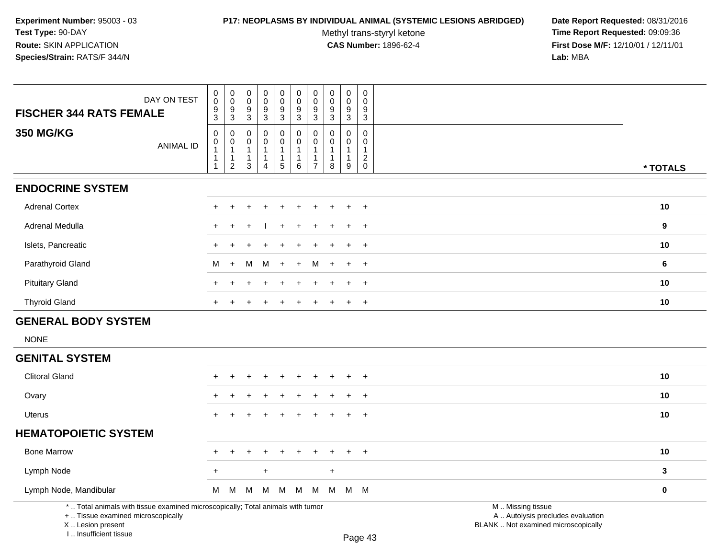### **P17: NEOPLASMS BY INDIVIDUAL ANIMAL (SYSTEMIC LESIONS ABRIDGED) Date Report Requested:** 08/31/2016

Methyl trans-styryl ketone<br>CAS Number: 1896-62-4

| DAY ON TEST                                                                                                                                                         | $\pmb{0}$<br>$\pmb{0}$<br>$\mathbf 0$<br>0                                              | $\pmb{0}$<br>0<br>$\pmb{0}$<br>$\mathbf 0$<br>9                                                      | $_{\rm 0}^{\rm 0}$<br>$\boldsymbol{9}$                                       | 0<br>$\pmb{0}$<br>$\boldsymbol{9}$                   | $\pmb{0}$<br>$\mathbf 0$                                                     | $\mathsf{O}\xspace$<br>0<br>9 | $\pmb{0}$<br>$\pmb{0}$                                          | $\mathbf 0$<br>$\Omega$<br>9                            |                                                                                               |              |
|---------------------------------------------------------------------------------------------------------------------------------------------------------------------|-----------------------------------------------------------------------------------------|------------------------------------------------------------------------------------------------------|------------------------------------------------------------------------------|------------------------------------------------------|------------------------------------------------------------------------------|-------------------------------|-----------------------------------------------------------------|---------------------------------------------------------|-----------------------------------------------------------------------------------------------|--------------|
| <b>FISCHER 344 RATS FEMALE</b>                                                                                                                                      | $\frac{9}{3}$<br>$\frac{9}{3}$                                                          | $\frac{9}{3}$<br>3                                                                                   | $\overline{3}$                                                               | $\overline{3}$                                       | $\frac{9}{3}$                                                                | $\overline{3}$                | $\frac{9}{3}$                                                   | 3                                                       |                                                                                               |              |
| <b>350 MG/KG</b><br><b>ANIMAL ID</b>                                                                                                                                | $\mathbf 0$<br>0<br>$\mathsf 0$<br>0<br>$\mathbf{1}$<br>$\mathbf{1}$<br>$\sqrt{2}$<br>1 | $\mathbf 0$<br>$\Omega$<br>0<br>0<br>$\mathbf{1}$<br>-1<br>$\mathbf{1}$<br>-1<br>3<br>$\overline{4}$ | $\mathbf 0$<br>$\mathbf 0$<br>$\mathbf{1}$<br>$\mathbf{1}$<br>$\overline{5}$ | 0<br>$\mathbf 0$<br>$\mathbf{1}$<br>$\mathbf 1$<br>6 | $\mathbf 0$<br>$\mathbf 0$<br>$\mathbf{1}$<br>$\mathbf{1}$<br>$\overline{7}$ | $\Omega$<br>0<br>8            | $\Omega$<br>0<br>$\mathbf{1}$<br>$\mathbf{1}$<br>$\overline{9}$ | $\Omega$<br>$\mathbf 0$<br>$\mathbf{1}$<br>$^2_{\rm 0}$ |                                                                                               | * TOTALS     |
| <b>ENDOCRINE SYSTEM</b>                                                                                                                                             |                                                                                         |                                                                                                      |                                                                              |                                                      |                                                                              |                               |                                                                 |                                                         |                                                                                               |              |
| <b>Adrenal Cortex</b>                                                                                                                                               |                                                                                         |                                                                                                      |                                                                              |                                                      |                                                                              |                               |                                                                 | $\overline{1}$                                          |                                                                                               | 10           |
| <b>Adrenal Medulla</b>                                                                                                                                              |                                                                                         |                                                                                                      |                                                                              |                                                      |                                                                              |                               |                                                                 | $\overline{ }$                                          |                                                                                               | 9            |
| Islets, Pancreatic                                                                                                                                                  |                                                                                         |                                                                                                      |                                                                              |                                                      |                                                                              |                               |                                                                 | $\overline{+}$                                          |                                                                                               | 10           |
| Parathyroid Gland                                                                                                                                                   | М<br>$\pm$                                                                              | м<br>M                                                                                               | $+$                                                                          | $+$                                                  | M                                                                            |                               |                                                                 | $+$                                                     |                                                                                               | 6            |
| <b>Pituitary Gland</b>                                                                                                                                              |                                                                                         |                                                                                                      |                                                                              |                                                      |                                                                              |                               |                                                                 | $+$                                                     |                                                                                               | 10           |
| <b>Thyroid Gland</b>                                                                                                                                                | $\ddot{}$                                                                               |                                                                                                      |                                                                              | $\ddot{}$                                            | $\ddot{}$                                                                    | $\ddot{}$                     |                                                                 | $\overline{+}$                                          |                                                                                               | 10           |
| <b>GENERAL BODY SYSTEM</b>                                                                                                                                          |                                                                                         |                                                                                                      |                                                                              |                                                      |                                                                              |                               |                                                                 |                                                         |                                                                                               |              |
| <b>NONE</b>                                                                                                                                                         |                                                                                         |                                                                                                      |                                                                              |                                                      |                                                                              |                               |                                                                 |                                                         |                                                                                               |              |
| <b>GENITAL SYSTEM</b>                                                                                                                                               |                                                                                         |                                                                                                      |                                                                              |                                                      |                                                                              |                               |                                                                 |                                                         |                                                                                               |              |
| <b>Clitoral Gland</b>                                                                                                                                               |                                                                                         |                                                                                                      |                                                                              |                                                      |                                                                              |                               |                                                                 |                                                         |                                                                                               | 10           |
| Ovary                                                                                                                                                               |                                                                                         |                                                                                                      |                                                                              |                                                      |                                                                              |                               |                                                                 | $\overline{1}$                                          |                                                                                               | 10           |
| <b>Uterus</b>                                                                                                                                                       | $+$<br>$\ddot{}$                                                                        | $\ddot{}$                                                                                            | <b>+</b>                                                                     | $\ddot{}$                                            | $\div$                                                                       | $\div$                        | $+$                                                             | $+$                                                     |                                                                                               | 10           |
| <b>HEMATOPOIETIC SYSTEM</b>                                                                                                                                         |                                                                                         |                                                                                                      |                                                                              |                                                      |                                                                              |                               |                                                                 |                                                         |                                                                                               |              |
| <b>Bone Marrow</b>                                                                                                                                                  | $\div$<br>$\pm$                                                                         | $\ddot{}$<br>$\ddot{}$                                                                               | $\ddot{}$                                                                    | $+$                                                  | $\overline{+}$                                                               | $\ddot{}$                     | $\pm$                                                           | $+$                                                     |                                                                                               | 10           |
| Lymph Node                                                                                                                                                          | $\ddot{}$                                                                               | $+$                                                                                                  |                                                                              |                                                      |                                                                              | $\ddot{}$                     |                                                                 |                                                         |                                                                                               | $\mathbf{3}$ |
| Lymph Node, Mandibular                                                                                                                                              | M<br>M                                                                                  | M<br>M                                                                                               | M                                                                            | M                                                    | M                                                                            | M                             |                                                                 | M M                                                     |                                                                                               | $\bf{0}$     |
| *  Total animals with tissue examined microscopically; Total animals with tumor<br>+  Tissue examined microscopically<br>X  Lesion present<br>I Insufficient tissue |                                                                                         |                                                                                                      |                                                                              |                                                      |                                                                              |                               |                                                                 | $D_{200}$ $A2$                                          | M  Missing tissue<br>A  Autolysis precludes evaluation<br>BLANK  Not examined microscopically |              |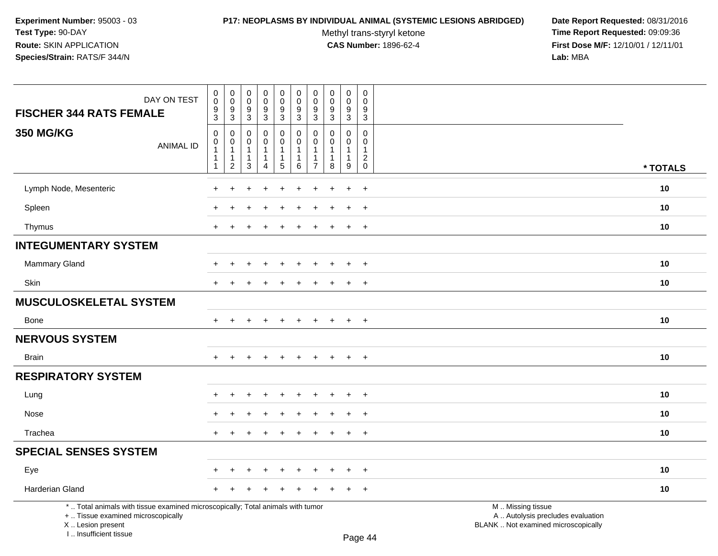### **P17: NEOPLASMS BY INDIVIDUAL ANIMAL (SYSTEMIC LESIONS ABRIDGED) Date Report Requested:** 08/31/2016

Methyl trans-styryl ketone<br>CAS Number: 1896-62-4

| DAY ON TEST<br><b>FISCHER 344 RATS FEMALE</b>                                                                                                                       | $\pmb{0}$<br>$\pmb{0}$<br>9<br>3                                               | 0<br>$\mathbf 0$<br>9<br>$\mathbf{3}$                                            | $\pmb{0}$<br>$\mathbf 0$<br>9<br>$\sqrt{3}$       | $\pmb{0}$<br>$\mathsf 0$<br>9<br>$\mathbf{3}$ | $\pmb{0}$<br>$\pmb{0}$<br>$9\,$<br>3                           | $\pmb{0}$<br>$\pmb{0}$<br>9<br>$\mathbf{3}$ | $\pmb{0}$<br>$\mathbf 0$<br>$9\,$<br>$\overline{3}$                 | $\mathbf 0$<br>$\mathbf 0$<br>9<br>$\mathbf{3}$                  | $\pmb{0}$<br>$\mathbf 0$<br>9<br>$\mathbf{3}$ | $\pmb{0}$<br>$\mathbf 0$<br>9<br>$\mathbf{3}$                     |                                                                                               |          |
|---------------------------------------------------------------------------------------------------------------------------------------------------------------------|--------------------------------------------------------------------------------|----------------------------------------------------------------------------------|---------------------------------------------------|-----------------------------------------------|----------------------------------------------------------------|---------------------------------------------|---------------------------------------------------------------------|------------------------------------------------------------------|-----------------------------------------------|-------------------------------------------------------------------|-----------------------------------------------------------------------------------------------|----------|
| <b>350 MG/KG</b><br><b>ANIMAL ID</b>                                                                                                                                | $\mathsf 0$<br>$\mathbf 0$<br>$\overline{1}$<br>$\mathbf{1}$<br>$\overline{1}$ | $\mathbf 0$<br>$\mathbf 0$<br>$\overline{1}$<br>$\overline{1}$<br>$\overline{c}$ | $\mathbf 0$<br>$\Omega$<br>1<br>$\mathbf{1}$<br>3 | 0<br>$\mathbf 0$<br>1<br>$\mathbf{1}$<br>4    | 0<br>$\mathbf 0$<br>$\mathbf{1}$<br>$\mathbf{1}$<br>$\sqrt{5}$ | $\mathbf 0$<br>$\Omega$<br>-1<br>1<br>6     | $\mathbf 0$<br>$\mathbf{0}$<br>-1<br>$\mathbf{1}$<br>$\overline{7}$ | $\mathbf 0$<br>$\mathbf{0}$<br>$\mathbf{1}$<br>$\mathbf{1}$<br>8 | 0<br>$\Omega$<br>1<br>1<br>9                  | 0<br>$\mathbf 0$<br>$\mathbf{1}$<br>$\overline{c}$<br>$\mathbf 0$ |                                                                                               | * TOTALS |
| Lymph Node, Mesenteric                                                                                                                                              |                                                                                |                                                                                  |                                                   |                                               |                                                                |                                             |                                                                     |                                                                  | $\ddot{}$                                     | $\ddot{}$                                                         |                                                                                               | 10       |
| Spleen                                                                                                                                                              |                                                                                |                                                                                  |                                                   |                                               |                                                                |                                             |                                                                     |                                                                  |                                               | $\ddot{}$                                                         |                                                                                               | 10       |
| Thymus                                                                                                                                                              | $\ddot{}$                                                                      |                                                                                  |                                                   |                                               |                                                                |                                             |                                                                     |                                                                  | $\ddot{}$                                     | $\overline{+}$                                                    |                                                                                               | 10       |
| <b>INTEGUMENTARY SYSTEM</b>                                                                                                                                         |                                                                                |                                                                                  |                                                   |                                               |                                                                |                                             |                                                                     |                                                                  |                                               |                                                                   |                                                                                               |          |
| <b>Mammary Gland</b>                                                                                                                                                |                                                                                | +                                                                                |                                                   |                                               | ÷                                                              | $\div$                                      |                                                                     | ÷                                                                | $\ddot{}$                                     | $^{+}$                                                            |                                                                                               | 10       |
| Skin                                                                                                                                                                | $\ddot{}$                                                                      | $\ddot{}$                                                                        |                                                   | $\ddot{}$                                     | $\div$                                                         | $\div$                                      |                                                                     | ÷.                                                               | $+$                                           | $+$                                                               |                                                                                               | 10       |
| <b>MUSCULOSKELETAL SYSTEM</b>                                                                                                                                       |                                                                                |                                                                                  |                                                   |                                               |                                                                |                                             |                                                                     |                                                                  |                                               |                                                                   |                                                                                               |          |
| <b>Bone</b>                                                                                                                                                         | $+$                                                                            | $\ddot{}$                                                                        | ÷                                                 | $\ddot{}$                                     | $\ddot{}$                                                      | $\ddot{}$                                   | $+$                                                                 | $+$                                                              | $+$                                           | $+$                                                               |                                                                                               | 10       |
| <b>NERVOUS SYSTEM</b>                                                                                                                                               |                                                                                |                                                                                  |                                                   |                                               |                                                                |                                             |                                                                     |                                                                  |                                               |                                                                   |                                                                                               |          |
| <b>Brain</b>                                                                                                                                                        |                                                                                |                                                                                  |                                                   |                                               |                                                                |                                             |                                                                     |                                                                  | $\ddot{}$                                     | $+$                                                               |                                                                                               | 10       |
| <b>RESPIRATORY SYSTEM</b>                                                                                                                                           |                                                                                |                                                                                  |                                                   |                                               |                                                                |                                             |                                                                     |                                                                  |                                               |                                                                   |                                                                                               |          |
| Lung                                                                                                                                                                |                                                                                |                                                                                  |                                                   |                                               |                                                                |                                             |                                                                     |                                                                  |                                               | $\ddot{}$                                                         |                                                                                               | 10       |
| Nose                                                                                                                                                                |                                                                                |                                                                                  |                                                   |                                               |                                                                |                                             |                                                                     |                                                                  |                                               | $\ddot{}$                                                         |                                                                                               | 10       |
| Trachea                                                                                                                                                             | $+$                                                                            | $\ddot{}$                                                                        |                                                   | $\div$                                        | $\ddot{}$                                                      | $\ddot{}$                                   | $+$                                                                 | $\overline{+}$                                                   | $+$                                           | $+$                                                               |                                                                                               | 10       |
| <b>SPECIAL SENSES SYSTEM</b>                                                                                                                                        |                                                                                |                                                                                  |                                                   |                                               |                                                                |                                             |                                                                     |                                                                  |                                               |                                                                   |                                                                                               |          |
| Eye                                                                                                                                                                 |                                                                                |                                                                                  |                                                   |                                               |                                                                |                                             |                                                                     |                                                                  | $\ddot{}$                                     | $+$                                                               |                                                                                               | 10       |
| Harderian Gland                                                                                                                                                     |                                                                                |                                                                                  |                                                   |                                               |                                                                |                                             |                                                                     |                                                                  | $\div$                                        | $+$                                                               |                                                                                               | 10       |
| *  Total animals with tissue examined microscopically; Total animals with tumor<br>+  Tissue examined microscopically<br>X  Lesion present<br>I Insufficient tissue |                                                                                |                                                                                  |                                                   |                                               |                                                                |                                             |                                                                     |                                                                  |                                               | $D_{200}$ $\Lambda$                                               | M  Missing tissue<br>A  Autolysis precludes evaluation<br>BLANK  Not examined microscopically |          |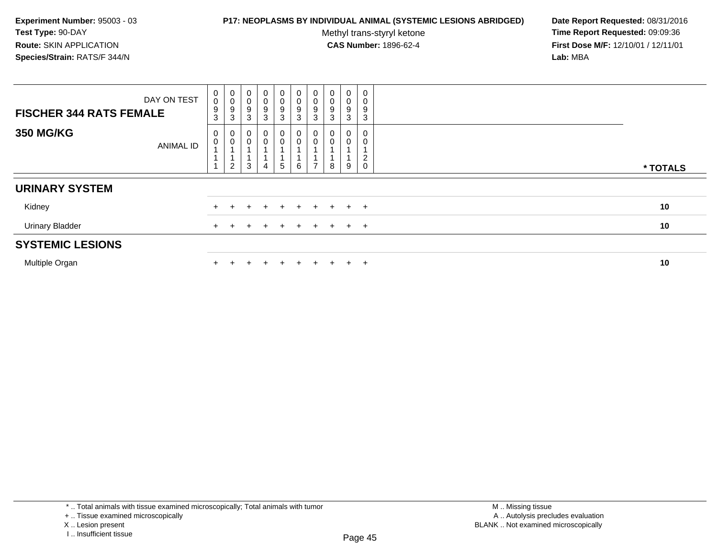## **P17: NEOPLASMS BY INDIVIDUAL ANIMAL (SYSTEMIC LESIONS ABRIDGED) Date Report Requested:** 08/31/2016

Methyl trans-styryl ketone<br>CAS Number: 1896-62-4

 **Time Report Requested:** 09:09:36 **First Dose M/F:** 12/10/01 / 12/11/01<br>**Lab:** MBA **Lab:** MBA

| <b>FISCHER 344 RATS FEMALE</b> | DAY ON TEST      | $\begin{smallmatrix} 0\\0 \end{smallmatrix}$<br>$\boldsymbol{9}$<br>3 | 0<br>0<br>9<br>3                                                   | $\pmb{0}$<br>$\pmb{0}$<br>9<br>3 | $\,0\,$<br>$\mathsf{O}\xspace$<br>$\boldsymbol{9}$<br>3 | $_0^0$<br>$\boldsymbol{9}$<br>3     | $\mathbf 0$<br>0<br>9<br>3 | $\begin{smallmatrix}0\\0\\9\end{smallmatrix}$<br>$\mathbf{3}$ | $_{\rm 0}^{\rm 0}$<br>$\boldsymbol{9}$<br>$\mathfrak{Z}$ | $\mathbf 0$<br>$\boldsymbol{0}$<br>$\boldsymbol{9}$<br>3 | 0<br>0<br>9<br>3    |          |
|--------------------------------|------------------|-----------------------------------------------------------------------|--------------------------------------------------------------------|----------------------------------|---------------------------------------------------------|-------------------------------------|----------------------------|---------------------------------------------------------------|----------------------------------------------------------|----------------------------------------------------------|---------------------|----------|
| <b>350 MG/KG</b>               | <b>ANIMAL ID</b> | 0<br>$\mathbf 0$                                                      | $\begin{smallmatrix}0\0\0\end{smallmatrix}$<br>1<br>$\overline{2}$ | 0<br>$\mathbf 0$<br>3            | 0                                                       | 0<br>$\mathsf 0$<br>$5\phantom{.0}$ | 0<br>0<br>6                | $\boldsymbol{0}$<br>$\pmb{0}$<br>$\overline{ }$               | 0<br>$\mathbf 0$<br>8                                    | 0<br>9                                                   | 0<br>2<br>$\pmb{0}$ | * TOTALS |
| <b>URINARY SYSTEM</b>          |                  |                                                                       |                                                                    |                                  |                                                         |                                     |                            |                                                               |                                                          |                                                          |                     |          |
| Kidney                         |                  |                                                                       |                                                                    |                                  |                                                         | ÷                                   | $\pm$                      | $+$                                                           | $+$                                                      | $+$ $+$                                                  |                     | 10       |
| <b>Urinary Bladder</b>         |                  |                                                                       |                                                                    |                                  |                                                         | $\pm$                               | $\pm$                      |                                                               | $\pm$                                                    | $+$ $+$                                                  |                     | 10       |
| <b>SYSTEMIC LESIONS</b>        |                  |                                                                       |                                                                    |                                  |                                                         |                                     |                            |                                                               |                                                          |                                                          |                     |          |
| Multiple Organ                 |                  |                                                                       |                                                                    |                                  |                                                         | $\div$                              | $\pm$                      | $+$                                                           |                                                          | $+$                                                      | $\pm$               | 10       |

\* .. Total animals with tissue examined microscopically; Total animals with tumor

+ .. Tissue examined microscopically

X .. Lesion present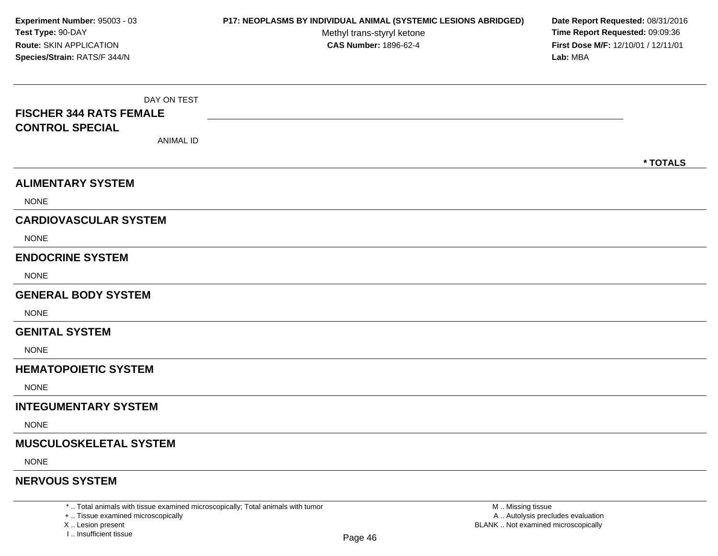DAY ON TEST**FISCHER 344 RATS FEMALECONTROL SPECIAL**ANIMAL ID**\* TOTALSALIMENTARY SYSTEMNONE CARDIOVASCULAR SYSTEM**NONE**ENDOCRINE SYSTEM**NONE**GENERAL BODY SYSTEMNONE GENITAL SYSTEM**NONE**HEMATOPOIETIC SYSTEMNONE INTEGUMENTARY SYSTEM**NONE**MUSCULOSKELETAL SYSTEM**NONE**NERVOUS SYSTEMExperiment Number:** 95003 - 03 **P17: NEOPLASMS BY INDIVIDUAL ANIMAL (SYSTEMIC LESIONS ABRIDGED) Date Report Requested:** 08/31/2016 **Test Type:** 90-DAYMethyl trans-styryl ketone<br>CAS Number: 1896-62-4 **Time Report Requested:** 09:09:36 **Route:** SKIN APPLICATION**First Dose M/F:** 12/10/01 / 12/11/01<br>**Lab:** MBA **Species/Strain:** RATS/F 344/N**Lab:** MBA

\* .. Total animals with tissue examined microscopically; Total animals with tumor

+ .. Tissue examined microscopically

X .. Lesion present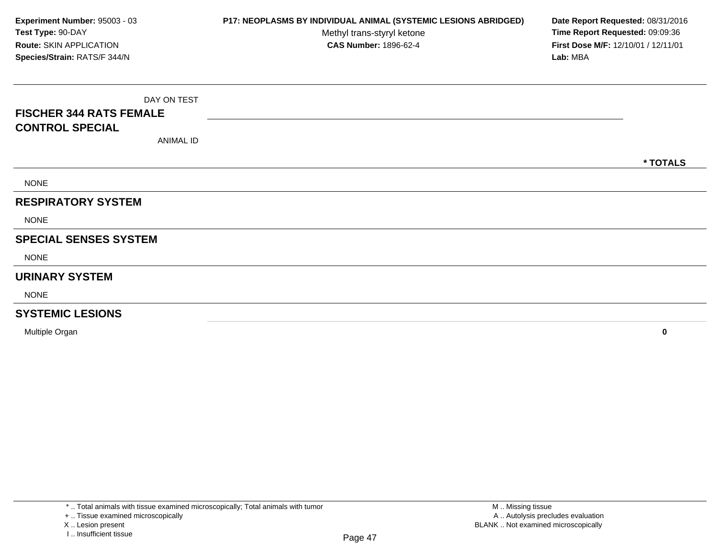DAY ON TEST**FISCHER 344 RATS FEMALECONTROL SPECIAL**ANIMAL ID**\* TOTALS**NONE**RESPIRATORY SYSTEM**NONE**SPECIAL SENSES SYSTEM**NONE**URINARY SYSTEM**NONE**SYSTEMIC LESIONSExperiment Number:** 95003 - 03 **P17: NEOPLASMS BY INDIVIDUAL ANIMAL (SYSTEMIC LESIONS ABRIDGED) Date Report Requested:** 08/31/2016 **Test Type:** 90-DAYMethyl trans-styryl ketone<br>CAS Number: 1896-62-4 **Time Report Requested:** 09:09:36 **Route:** SKIN APPLICATION**First Dose M/F:** 12/10/01 / 12/11/01<br>**Lab:** MBA **Species/Strain:** RATS/F 344/N**Lab:** MBA

Multiple Organ**<sup>0</sup>**

X .. Lesion present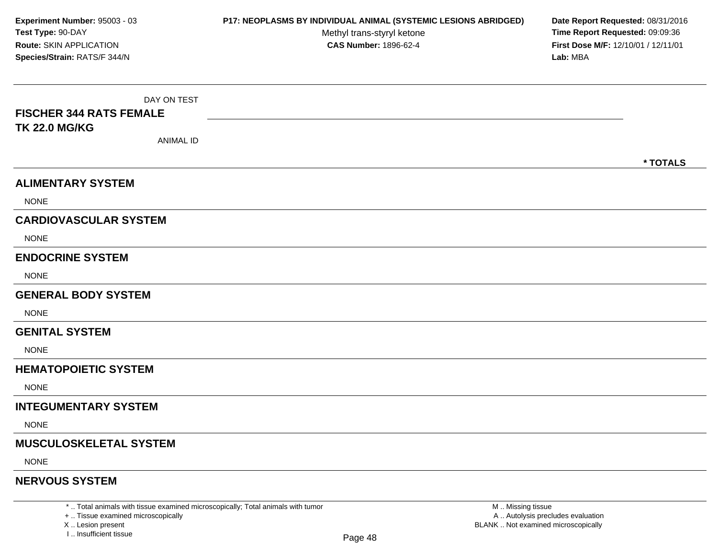DAY ON TEST**FISCHER 344 RATS FEMALETK 22.0 MG/KG**ANIMAL ID**\* TOTALSALIMENTARY SYSTEM**NONE**CARDIOVASCULAR SYSTEM**NONE**ENDOCRINE SYSTEM**NONE**GENERAL BODY SYSTEMNONE GENITAL SYSTEM**NONE**HEMATOPOIETIC SYSTEMNONE INTEGUMENTARY SYSTEM**NONE**MUSCULOSKELETAL SYSTEM**NONE**NERVOUS SYSTEMExperiment Number:** 95003 - 03 **P17: NEOPLASMS BY INDIVIDUAL ANIMAL (SYSTEMIC LESIONS ABRIDGED) Date Report Requested:** 08/31/2016 **Test Type:** 90-DAYMethyl trans-styryl ketone<br>CAS Number: 1896-62-4 **Time Report Requested:** 09:09:36 **Route:** SKIN APPLICATION**First Dose M/F:** 12/10/01 / 12/11/01<br>**Lab:** MBA **Species/Strain:** RATS/F 344/N**Lab:** MBA

\* .. Total animals with tissue examined microscopically; Total animals with tumor

+ .. Tissue examined microscopically

X .. Lesion present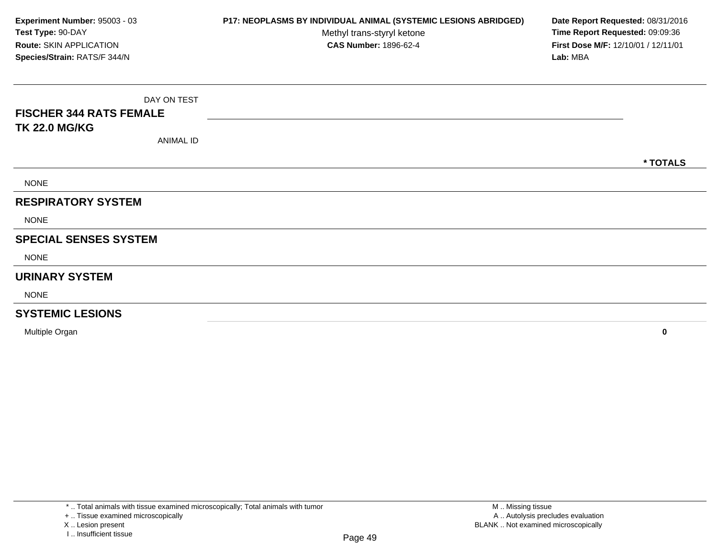DAY ON TEST**FISCHER 344 RATS FEMALETK 22.0 MG/KG**ANIMAL ID**\* TOTALS**NONE**RESPIRATORY SYSTEM**NONE**SPECIAL SENSES SYSTEM**NONE**URINARY SYSTEM**NONE**SYSTEMIC LESIONS**Multiple Organ**Experiment Number:** 95003 - 03 **P17: NEOPLASMS BY INDIVIDUAL ANIMAL (SYSTEMIC LESIONS ABRIDGED) Date Report Requested:** 08/31/2016 **Test Type:** 90-DAYMethyl trans-styryl ketone<br>CAS Number: 1896-62-4 **Time Report Requested:** 09:09:36 **Route:** SKIN APPLICATION**First Dose M/F:** 12/10/01 / 12/11/01<br>**Lab:** MBA **Species/Strain:** RATS/F 344/N**Lab:** MBA

**<sup>0</sup>**

X .. Lesion present

<sup>+ ..</sup> Tissue examined microscopically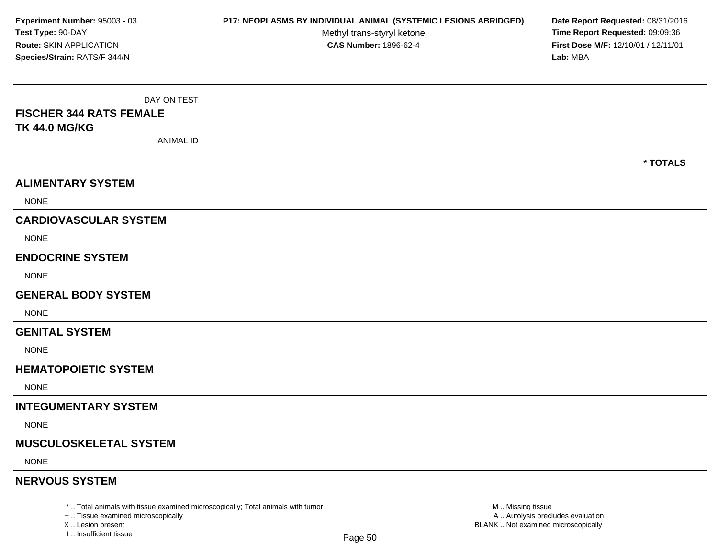DAY ON TEST**FISCHER 344 RATS FEMALETK 44.0 MG/KG**ANIMAL ID**\* TOTALSALIMENTARY SYSTEM**NONE**CARDIOVASCULAR SYSTEM**NONE**ENDOCRINE SYSTEM**NONE**GENERAL BODY SYSTEMNONE GENITAL SYSTEM**NONE**HEMATOPOIETIC SYSTEMNONE INTEGUMENTARY SYSTEM**NONE**MUSCULOSKELETAL SYSTEM**NONE**NERVOUS SYSTEMExperiment Number:** 95003 - 03 **P17: NEOPLASMS BY INDIVIDUAL ANIMAL (SYSTEMIC LESIONS ABRIDGED) Date Report Requested:** 08/31/2016 **Test Type:** 90-DAYMethyl trans-styryl ketone<br>CAS Number: 1896-62-4 **Time Report Requested:** 09:09:36 **Route:** SKIN APPLICATION**First Dose M/F:** 12/10/01 / 12/11/01<br>**Lab:** MBA **Species/Strain:** RATS/F 344/N**Lab:** MBA

\* .. Total animals with tissue examined microscopically; Total animals with tumor

+ .. Tissue examined microscopically

X .. Lesion present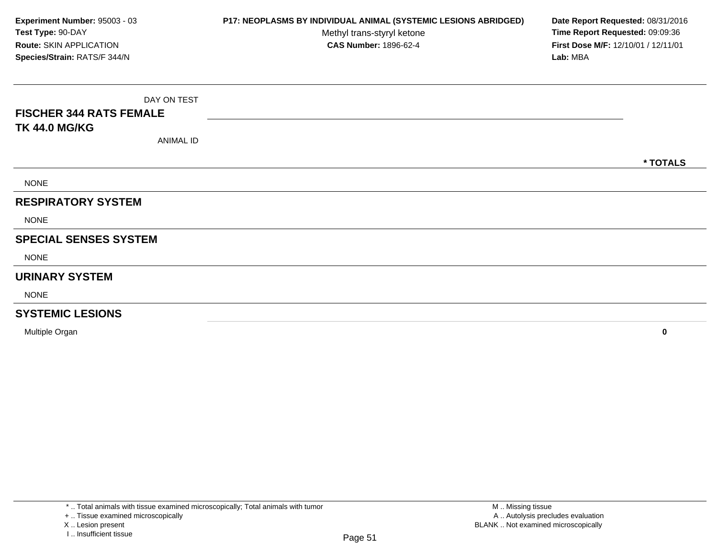DAY ON TEST**FISCHER 344 RATS FEMALETK 44.0 MG/KG**ANIMAL ID**\* TOTALS**NONE**RESPIRATORY SYSTEM**NONE**SPECIAL SENSES SYSTEM**NONE**URINARY SYSTEM**NONE**SYSTEMIC LESIONS**Multiple Organ**Experiment Number:** 95003 - 03 **P17: NEOPLASMS BY INDIVIDUAL ANIMAL (SYSTEMIC LESIONS ABRIDGED) Date Report Requested:** 08/31/2016 **Test Type:** 90-DAYMethyl trans-styryl ketone<br>CAS Number: 1896-62-4 **Time Report Requested:** 09:09:36 **Route:** SKIN APPLICATION**First Dose M/F:** 12/10/01 / 12/11/01<br>**Lab:** MBA **Species/Strain:** RATS/F 344/N**Lab:** MBA

**<sup>0</sup>**

X .. Lesion present

<sup>+ ..</sup> Tissue examined microscopically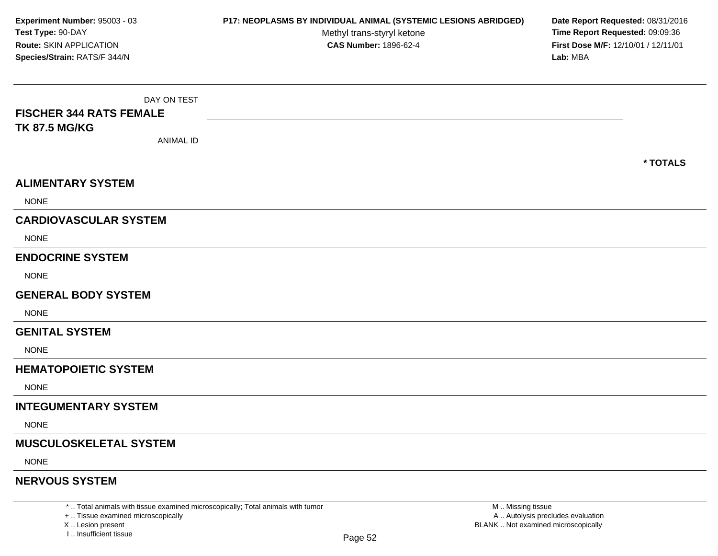DAY ON TEST**FISCHER 344 RATS FEMALETK 87.5 MG/KG**ANIMAL ID**\* TOTALSALIMENTARY SYSTEM**NONE**CARDIOVASCULAR SYSTEM**NONE**ENDOCRINE SYSTEM**NONE**GENERAL BODY SYSTEMNONE GENITAL SYSTEM**NONE**HEMATOPOIETIC SYSTEMNONE INTEGUMENTARY SYSTEM**NONE**MUSCULOSKELETAL SYSTEM**NONE**NERVOUS SYSTEMExperiment Number:** 95003 - 03 **P17: NEOPLASMS BY INDIVIDUAL ANIMAL (SYSTEMIC LESIONS ABRIDGED) Date Report Requested:** 08/31/2016 **Test Type:** 90-DAYMethyl trans-styryl ketone<br>CAS Number: 1896-62-4 **Time Report Requested:** 09:09:36 **Route:** SKIN APPLICATION**First Dose M/F:** 12/10/01 / 12/11/01<br>**Lab:** MBA **Species/Strain:** RATS/F 344/N**Lab:** MBA

\* .. Total animals with tissue examined microscopically; Total animals with tumor

+ .. Tissue examined microscopically

X .. Lesion present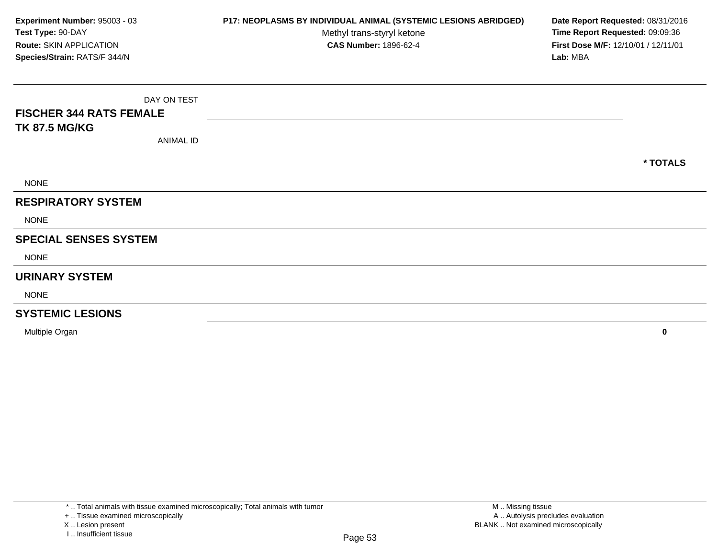DAY ON TEST**FISCHER 344 RATS FEMALETK 87.5 MG/KG**ANIMAL ID**\* TOTALS**NONE**RESPIRATORY SYSTEMNONE SPECIAL SENSES SYSTEM**NONE**URINARY SYSTEM**NONE**SYSTEMIC LESIONSExperiment Number:** 95003 - 03 **P17: NEOPLASMS BY INDIVIDUAL ANIMAL (SYSTEMIC LESIONS ABRIDGED) Date Report Requested:** 08/31/2016 **Test Type:** 90-DAYMethyl trans-styryl ketone<br>CAS Number: 1896-62-4 **Time Report Requested:** 09:09:36 **Route:** SKIN APPLICATION**First Dose M/F:** 12/10/01 / 12/11/01<br>**Lab:** MBA **Species/Strain:** RATS/F 344/N**Lab:** MBA

Multiple Organ**<sup>0</sup>**

X .. Lesion present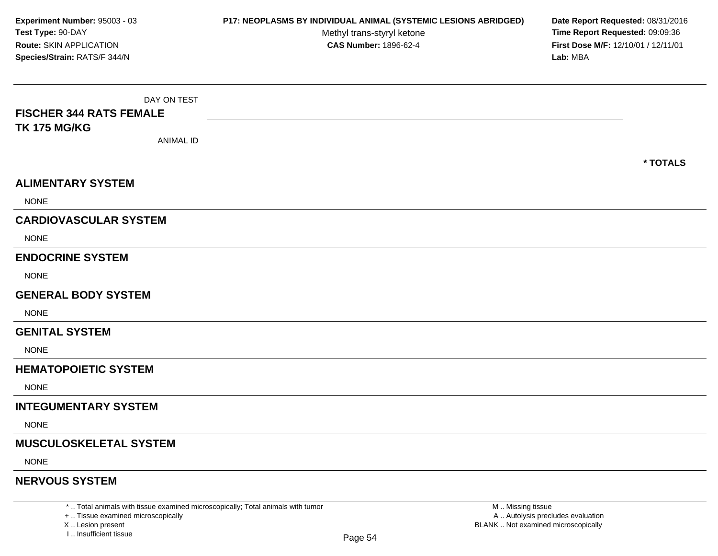DAY ON TEST**FISCHER 344 RATS FEMALETK 175 MG/KG**ANIMAL ID**\* TOTALSALIMENTARY SYSTEM**NONE**CARDIOVASCULAR SYSTEM**NONE**ENDOCRINE SYSTEM**NONE**GENERAL BODY SYSTEMNONE GENITAL SYSTEM**NONE**HEMATOPOIETIC SYSTEMNONE INTEGUMENTARY SYSTEM**NONE**MUSCULOSKELETAL SYSTEM**NONE**NERVOUS SYSTEMExperiment Number:** 95003 - 03 **P17: NEOPLASMS BY INDIVIDUAL ANIMAL (SYSTEMIC LESIONS ABRIDGED) Date Report Requested:** 08/31/2016 **Test Type:** 90-DAYMethyl trans-styryl ketone<br>CAS Number: 1896-62-4 **Time Report Requested:** 09:09:36 **Route:** SKIN APPLICATION**First Dose M/F:** 12/10/01 / 12/11/01<br>**Lab:** MBA **Species/Strain:** RATS/F 344/N**Lab:** MBA

\* .. Total animals with tissue examined microscopically; Total animals with tumor

+ .. Tissue examined microscopically

X .. Lesion present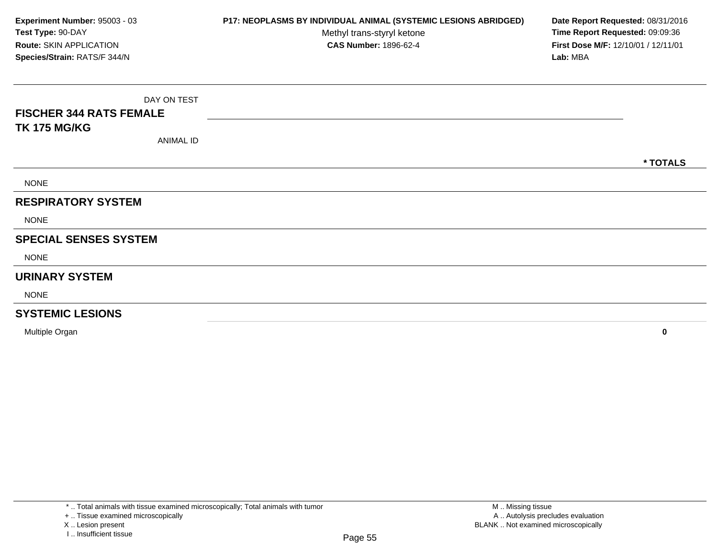DAY ON TEST**FISCHER 344 RATS FEMALETK 175 MG/KG**ANIMAL ID**\* TOTALS**NONE**RESPIRATORY SYSTEM**NONE**SPECIAL SENSES SYSTEM**NONE**URINARY SYSTEM**NONE**SYSTEMIC LESIONS <sup>0</sup> Experiment Number:** 95003 - 03 **P17: NEOPLASMS BY INDIVIDUAL ANIMAL (SYSTEMIC LESIONS ABRIDGED) Date Report Requested:** 08/31/2016 **Test Type:** 90-DAYMethyl trans-styryl ketone<br>CAS Number: 1896-62-4 **Time Report Requested:** 09:09:36 **Route:** SKIN APPLICATION**First Dose M/F:** 12/10/01 / 12/11/01<br>**Lab:** MBA **Species/Strain:** RATS/F 344/N**Lab:** MBA

Multiple Organ

X .. Lesion present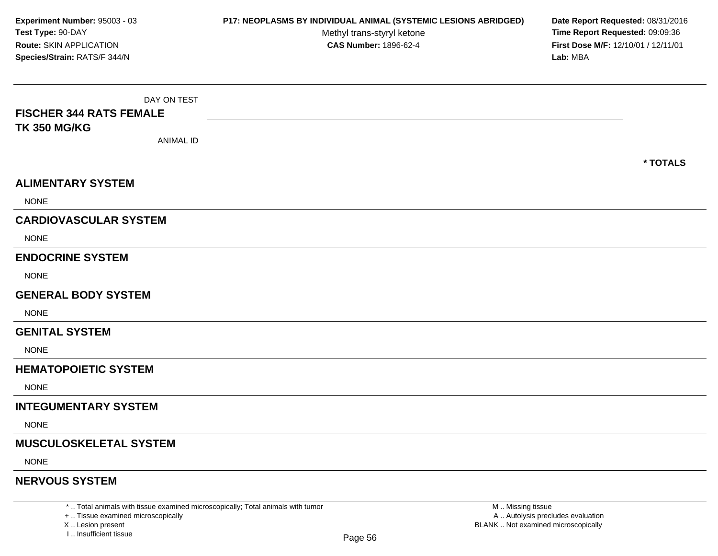DAY ON TEST**FISCHER 344 RATS FEMALETK 350 MG/KG**ANIMAL ID**\* TOTALSALIMENTARY SYSTEM**NONE**CARDIOVASCULAR SYSTEM**NONE**ENDOCRINE SYSTEM**NONE**GENERAL BODY SYSTEMNONE GENITAL SYSTEM**NONE**HEMATOPOIETIC SYSTEMNONE INTEGUMENTARY SYSTEM**NONE**MUSCULOSKELETAL SYSTEM**NONE**NERVOUS SYSTEMExperiment Number:** 95003 - 03 **P17: NEOPLASMS BY INDIVIDUAL ANIMAL (SYSTEMIC LESIONS ABRIDGED) Date Report Requested:** 08/31/2016 **Test Type:** 90-DAYMethyl trans-styryl ketone<br>CAS Number: 1896-62-4 **Time Report Requested:** 09:09:36 **Route:** SKIN APPLICATION**First Dose M/F:** 12/10/01 / 12/11/01<br>**Lab:** MBA **Species/Strain:** RATS/F 344/N**Lab:** MBA

\* .. Total animals with tissue examined microscopically; Total animals with tumor

+ .. Tissue examined microscopically

X .. Lesion present